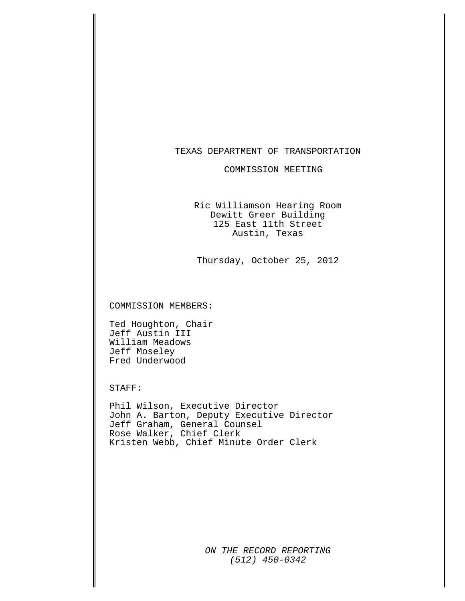#### TEXAS DEPARTMENT OF TRANSPORTATION

#### COMMISSION MEETING

Ric Williamson Hearing Room Dewitt Greer Building 125 East 11th Street Austin, Texas

Thursday, October 25, 2012

COMMISSION MEMBERS:

Ted Houghton, Chair Jeff Austin III William Meadows Jeff Moseley Fred Underwood

STAFF:

Phil Wilson, Executive Director John A. Barton, Deputy Executive Director Jeff Graham, General Counsel Rose Walker, Chief Clerk Kristen Webb, Chief Minute Order Clerk

> *ON THE RECORD REPORTING (512) 450-0342*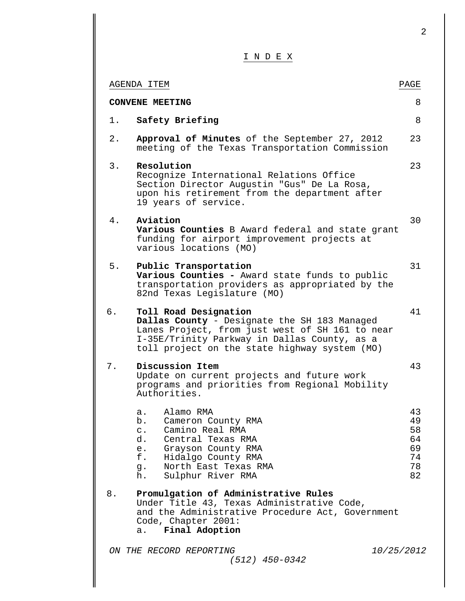I N D E X

|    | AGENDA ITEM                                                                                                                                                                                                                  | PAGE                                         |
|----|------------------------------------------------------------------------------------------------------------------------------------------------------------------------------------------------------------------------------|----------------------------------------------|
|    | <b>CONVENE MEETING</b>                                                                                                                                                                                                       | 8                                            |
| 1. | Safety Briefing                                                                                                                                                                                                              | 8                                            |
| 2. | Approval of Minutes of the September 27, 2012<br>meeting of the Texas Transportation Commission                                                                                                                              | 23                                           |
| 3. | Resolution<br>Recognize International Relations Office<br>Section Director Augustin "Gus" De La Rosa,<br>upon his retirement from the department after<br>19 years of service.                                               | 23                                           |
| 4. | Aviation<br>Various Counties B Award federal and state grant<br>funding for airport improvement projects at<br>various locations (MO)                                                                                        | 30                                           |
| 5. | Public Transportation<br>Various Counties - Award state funds to public<br>transportation providers as appropriated by the<br>82nd Texas Legislature (MO)                                                                    | 31                                           |
| б. | Toll Road Designation<br>Dallas County - Designate the SH 183 Managed<br>Lanes Project, from just west of SH 161 to near<br>I-35E/Trinity Parkway in Dallas County, as a<br>toll project on the state highway system (MO)    | 41                                           |
| 7. | Discussion Item<br>Update on current projects and future work<br>programs and priorities from Regional Mobility<br>Authorities.                                                                                              | 43                                           |
|    | Alamo RMA<br>a.<br>b.<br>Cameron County RMA<br>Camino Real RMA<br>$\mathsf{C}$ .<br>d.<br>Central Texas RMA<br>Grayson County RMA<br>е.<br>f.<br>Hidalgo County RMA<br>North East Texas RMA<br>g.<br>h.<br>Sulphur River RMA | 43<br>49<br>58<br>64<br>69<br>74<br>78<br>82 |
| 8. | Promulgation of Administrative Rules<br>Under Title 43, Texas Administrative Code,<br>and the Administrative Procedure Act, Government<br>Code, Chapter 2001:<br>Final Adoption<br>a.                                        |                                              |
|    | ON THE RECORD REPORTING<br>$(512)$ 450-0342                                                                                                                                                                                  | 10/25/2012                                   |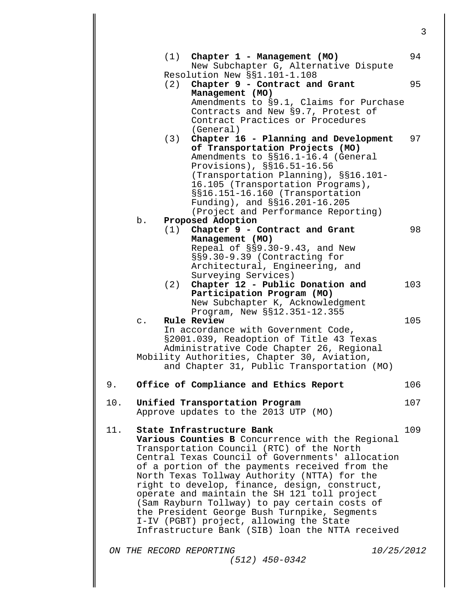*ON THE RECORD REPORTING 10/25/2012 (512) 450-0342* (1) **Chapter 1 - Management (MO)** 94 New Subchapter G, Alternative Dispute Resolution New §§1.101-1.108 (2) **Chapter 9 - Contract and Grant** 95 **Management (MO)**  Amendments to §9.1, Claims for Purchase Contracts and New §9.7, Protest of Contract Practices or Procedures (General) (3) **Chapter 16 - Planning and Development** 97 **of Transportation Projects (MO)**  Amendments to §§16.1-16.4 (General Provisions), §§16.51-16.56<br>(Transportation Planning), §§16.101-16.105 (Transportation Programs), §§16.151-16.160 (Transportation Funding), and §§16.201-16.205 (Project and Performance Reporting) b. **Proposed Adoption**  (1) **Chapter 9 - Contract and Grant** 98 **Management (MO)**  Repeal of §§9.30-9.43, and New §§9.30-9.39 (Contracting for Architectural, Engineering, and Surveying Services) (2) **Chapter 12 - Public Donation and** 103 **Participation Program (MO)**  New Subchapter K, Acknowledgment Program, New §§12.351-12.355 c. **Rule Review** 105 In accordance with Government Code, §2001.039, Readoption of Title 43 Texas Administrative Code Chapter 26, Regional Mobility Authorities, Chapter 30, Aviation, and Chapter 31, Public Transportation (MO) 9. **Office of Compliance and Ethics Report** 106 10. **Unified Transportation Program** 107 Approve updates to the 2013 UTP (MO) 11. **State Infrastructure Bank** 109 **Various Counties B** Concurrence with the Regional Transportation Council (RTC) of the North Central Texas Council of Governments' allocation of a portion of the payments received from the North Texas Tollway Authority (NTTA) for the right to develop, finance, design, construct, operate and maintain the SH 121 toll project (Sam Rayburn Tollway) to pay certain costs of the President George Bush Turnpike, Segments I-IV (PGBT) project, allowing the State Infrastructure Bank (SIB) loan the NTTA received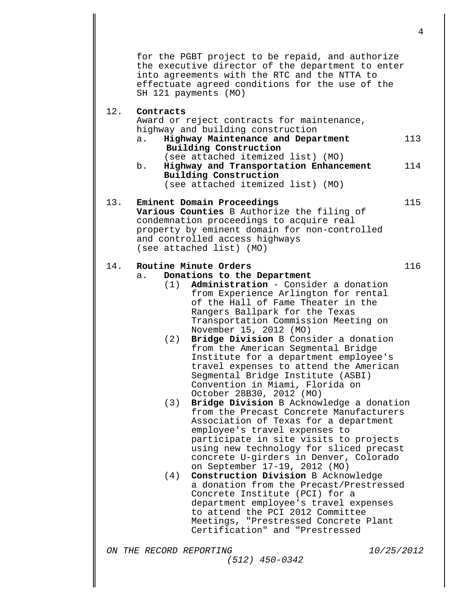for the PGBT project to be repaid, and authorize the executive director of the department to enter into agreements with the RTC and the NTTA to effectuate agreed conditions for the use of the SH 121 payments (MO)

#### 12. **Contracts**

Award or reject contracts for maintenance, highway and building construction<br>a. **Highway Maintenance and Depa** 

- a. **Highway Maintenance and Department** <sup>113</sup> **Building Construction**  (see attached itemized list) (MO)
- b. **Highway and Transportation Enhancement** 114 **Building Construction**  (see attached itemized list) (MO)

### 13. **Eminent Domain Proceedings** 115 **Various Counties** B Authorize the filing of condemnation proceedings to acquire real property by eminent domain for non-controlled and controlled access highways (see attached list) (MO)

### 14. **Routine Minute Orders 116**<br> **116**<br> **116**<br> **116**

### a. **Donations to the Department**

- (1) **Administration**  Consider a donation from Experience Arlington for rental of the Hall of Fame Theater in the Rangers Ballpark for the Texas Transportation Commission Meeting on November 15, 2012 (MO)
- (2) **Bridge Division** B Consider a donation from the American Segmental Bridge Institute for a department employee's travel expenses to attend the American Segmental Bridge Institute (ASBI) Convention in Miami, Florida on October 28B30, 2012 (MO)
- (3) **Bridge Division** B Acknowledge a donation from the Precast Concrete Manufacturers Association of Texas for a department employee's travel expenses to participate in site visits to projects using new technology for sliced precast concrete U-girders in Denver, Colorado on September 17-19, 2012 (MO)
- (4) **Construction Division** B Acknowledge a donation from the Precast/Prestressed Concrete Institute (PCI) for a department employee's travel expenses to attend the PCI 2012 Committee Meetings, "Prestressed Concrete Plant Certification" and "Prestressed

*(512) 450-0342*

*ON THE RECORD REPORTING 10/25/2012*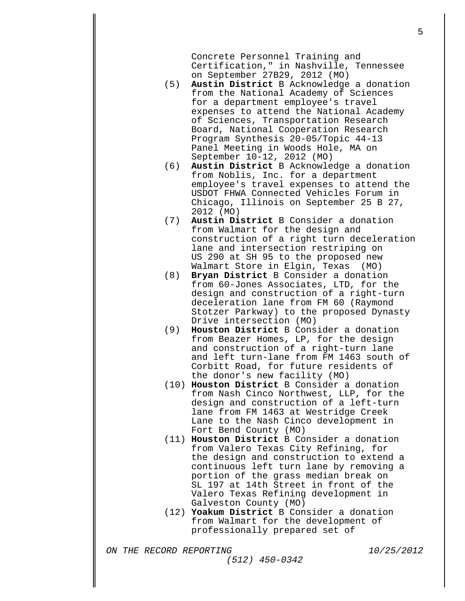Concrete Personnel Training and Certification," in Nashville, Tennessee on September 27B29, 2012 (MO)

- (5) **Austin District** B Acknowledge a donation from the National Academy of Sciences for a department employee's travel expenses to attend the National Academy of Sciences, Transportation Research Board, National Cooperation Research Program Synthesis 20-05/Topic 44-13 Panel Meeting in Woods Hole, MA on September 10-12, 2012 (MO)
- (6) **Austin District** B Acknowledge a donation from Noblis, Inc. for a department employee's travel expenses to attend the USDOT FHWA Connected Vehicles Forum in Chicago, Illinois on September 25 B 27, 2012 (MO)
- (7) **Austin District** B Consider a donation from Walmart for the design and construction of a right turn deceleration lane and intersection restriping on US 290 at SH 95 to the proposed new Walmart Store in Elgin, Texas
- (8) **Bryan District** B Consider a donation from 60-Jones Associates, LTD, for the design and construction of a right-turn deceleration lane from FM 60 (Raymond Stotzer Parkway) to the proposed Dynasty Drive intersection (MO)
- (9) **Houston District** B Consider a donation from Beazer Homes, LP, for the design and construction of a right-turn lane and left turn-lane from FM 1463 south of Corbitt Road, for future residents of the donor's new facility (MO)
- (10) **Houston District** B Consider a donation from Nash Cinco Northwest, LLP, for the design and construction of a left-turn lane from FM 1463 at Westridge Creek Lane to the Nash Cinco development in Fort Bend County (MO)
- (11) **Houston District** B Consider a donation from Valero Texas City Refining, for the design and construction to extend a continuous left turn lane by removing a portion of the grass median break on SL 197 at 14th Street in front of the Valero Texas Refining development in Galveston County (MO)
- (12) **Yoakum District** B Consider a donation from Walmart for the development of professionally prepared set of

*ON THE RECORD REPORTING 10/25/2012*

*(512) 450-0342*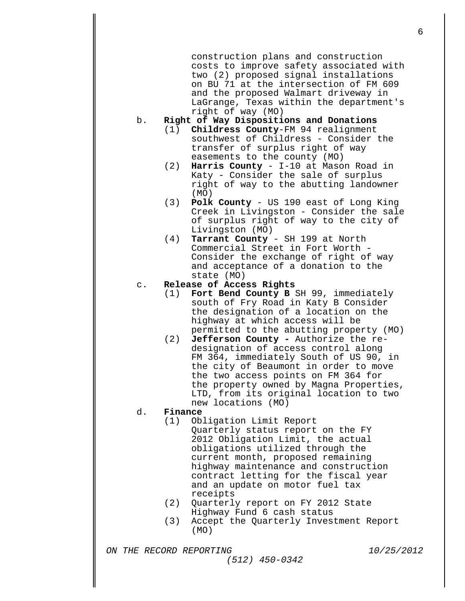construction plans and construction costs to improve safety associated with two (2) proposed signal installations on BU 71 at the intersection of FM 609 and the proposed Walmart driveway in LaGrange, Texas within the department's right of way (MO)

# b. **Right of Way Dispositions and Donations**

- (1) **Childress County**-FM 94 realignment southwest of Childress - Consider the transfer of surplus right of way easements to the county (MO)
- (2) **Harris County**  I-10 at Mason Road in Katy - Consider the sale of surplus right of way to the abutting landowner (MO)
- (3) **Polk County**  US 190 east of Long King Creek in Livingston - Consider the sale of surplus right of way to the city of Livingston (MO)
- (4) **Tarrant County**  SH 199 at North Consider the exchange of right of way and acceptance of a donation to the state (MO)

#### c. **Release of Access Rights**

- (1) **Fort Bend County B** SH 99, immediately south of Fry Road in Katy B Consider the designation of a location on the highway at which access will be permitted to the abutting property (MO)
- (2) **Jefferson County -** Authorize the redesignation of access control along FM 364, immediately South of US 90, in the city of Beaumont in order to move the two access points on FM 364 for the property owned by Magna Properties, LTD, from its original location to two new locations (MO)

# d. **Finance**

- Obligation Limit Report Quarterly status report on the FY 2012 Obligation Limit, the actual obligations utilized through the current month, proposed remaining highway maintenance and construction contract letting for the fiscal year and an update on motor fuel tax receipts
- (2) Quarterly report on FY 2012 State Highway Fund 6 cash status
- (3) Accept the Quarterly Investment Report (MO)

*ON THE RECORD REPORTING 10/25/2012 (512) 450-0342*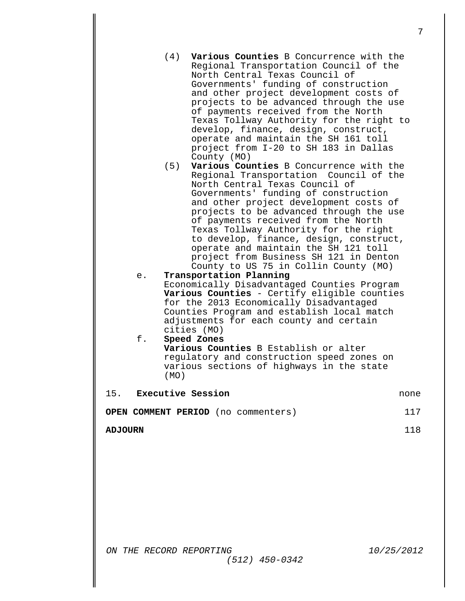- (4) **Various Counties** B Concurrence with the Regional Transportation Council of the North Central Texas Council of Governments' funding of construction and other project development costs of projects to be advanced through the use of payments received from the North Texas Tollway Authority for the right to develop, finance, design, construct, operate and maintain the SH 161 toll project from I-20 to SH 183 in Dallas (5) **Various Counties** B Concurrence with the Regional Transportation Council of the North Central Texas Council of Governments' funding of construction and other project development costs of projects to be advanced through the use
	- of payments received from the North Texas Tollway Authority for the right to develop, finance, design, construct, operate and maintain the SH 121 toll project from Business SH 121 in Denton County to US 75 in Collin County (MO)
- e. **Transportation Planning**

County (MO)

Economically Disadvantaged Counties Program **Various Counties** - Certify eligible counties for the 2013 Economically Disadvantaged Counties Program and establish local match adjustments for each county and certain cities (MO)

#### f. **Speed Zones Various Counties** B Establish or alter regulatory and construction speed zones on various sections of highways in the state (MO)

| 15. | Executive Session                          | none |
|-----|--------------------------------------------|------|
|     | <b>OPEN COMMENT PERIOD</b> (no commenters) | 117  |

**ADJOURN** 118

*ON THE RECORD REPORTING 10/25/2012 (512) 450-0342*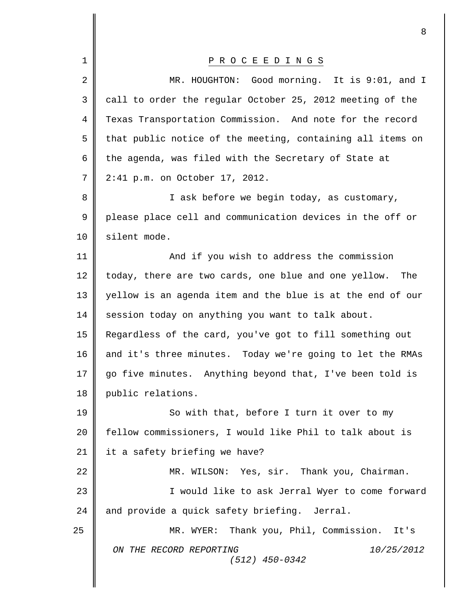|             | 8                                                           |
|-------------|-------------------------------------------------------------|
| $\mathbf 1$ | P R O C E E D I N G S                                       |
| 2           | MR. HOUGHTON: Good morning. It is 9:01, and I               |
| 3           | call to order the regular October 25, 2012 meeting of the   |
| 4           | Texas Transportation Commission. And note for the record    |
| 5           | that public notice of the meeting, containing all items on  |
| 6           | the agenda, was filed with the Secretary of State at        |
| 7           | 2:41 p.m. on October 17, 2012.                              |
| 8           | I ask before we begin today, as customary,                  |
| 9           | please place cell and communication devices in the off or   |
| 10          | silent mode.                                                |
| 11          | And if you wish to address the commission                   |
| 12          | today, there are two cards, one blue and one yellow.<br>The |
| 13          | yellow is an agenda item and the blue is at the end of our  |
| 14          | session today on anything you want to talk about.           |
| 15          | Regardless of the card, you've got to fill something out    |
| 16          | and it's three minutes. Today we're going to let the RMAs   |
| 17          | go five minutes. Anything beyond that, I've been told is    |
| 18          | public relations.                                           |
| 19          | So with that, before I turn it over to my                   |
| 20          | fellow commissioners, I would like Phil to talk about is    |
| 21          | it a safety briefing we have?                               |
| 22          | MR. WILSON: Yes, sir. Thank you, Chairman.                  |
| 23          | I would like to ask Jerral Wyer to come forward             |
| 24          | and provide a quick safety briefing. Jerral.                |
| 25          | MR. WYER: Thank you, Phil, Commission. It's                 |
|             | ON THE RECORD REPORTING<br>10/25/2012<br>$(512)$ 450-0342   |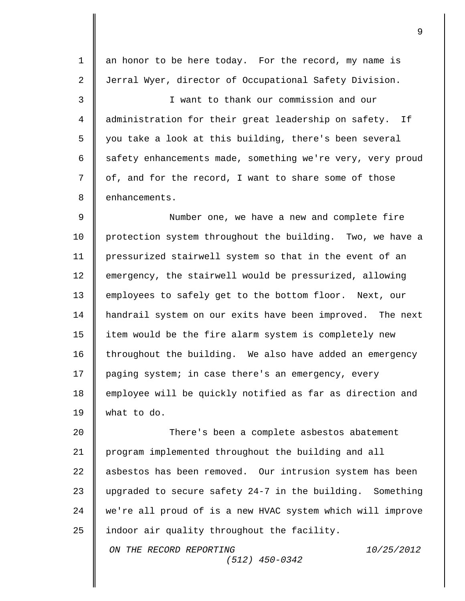1 | an honor to be here today. For the record, my name is 2 Jerral Wyer, director of Occupational Safety Division. 3 I want to thank our commission and our 4 administration for their great leadership on safety. If 5 | you take a look at this building, there's been several 6  $\parallel$  safety enhancements made, something we're very, very proud 7 | of, and for the record, I want to share some of those 8 enhancements. 9 || Number one, we have a new and complete fire 10 | protection system throughout the building. Two, we have a 11 pressurized stairwell system so that in the event of an 12 emergency, the stairwell would be pressurized, allowing 13 employees to safely get to the bottom floor. Next, our 14 handrail system on our exits have been improved. The next 15 | item would be the fire alarm system is completely new  $16$  throughout the building. We also have added an emergency 17 | paging system; in case there's an emergency, every 18 employee will be quickly notified as far as direction and 19 what to do. 20  $\parallel$  There's been a complete asbestos abatement 21 program implemented throughout the building and all 22 asbestos has been removed. Our intrusion system has been 23  $\parallel$  upgraded to secure safety 24-7 in the building. Something

24 we're all proud of is a new HVAC system which will improve 25  $\parallel$  indoor air quality throughout the facility.

> *ON THE RECORD REPORTING 10/25/2012 (512) 450-0342*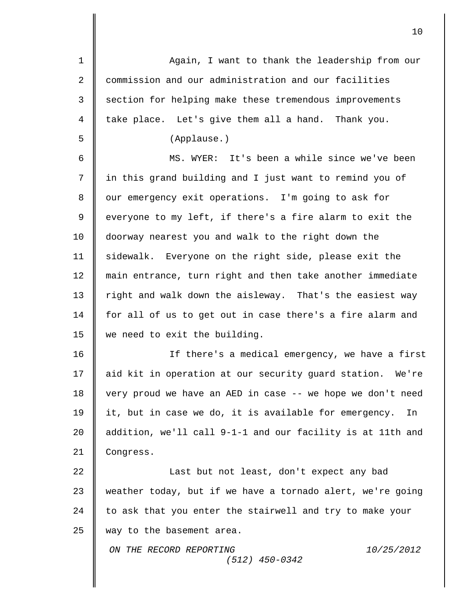*ON THE RECORD REPORTING 10/25/2012 (512) 450-0342* 1 || Again, I want to thank the leadership from our 2 | commission and our administration and our facilities 3 Section for helping make these tremendous improvements  $4 \parallel$  take place. Let's give them all a hand. Thank you. 5 (Applause.) 6 MS. WYER: It's been a while since we've been 7 in this grand building and I just want to remind you of 8 | our emergency exit operations. I'm going to ask for 9 | everyone to my left, if there's a fire alarm to exit the 10 doorway nearest you and walk to the right down the 11 | sidewalk. Everyone on the right side, please exit the 12 main entrance, turn right and then take another immediate 13 | right and walk down the aisleway. That's the easiest way 14 | for all of us to get out in case there's a fire alarm and 15 we need to exit the building. 16 If there's a medical emergency, we have a first 17 aid kit in operation at our security guard station. We're 18 | very proud we have an AED in case -- we hope we don't need 19 | it, but in case we do, it is available for emergency. In 20  $\parallel$  addition, we'll call 9-1-1 and our facility is at 11th and 21 | Congress. 22 || Last but not least, don't expect any bad 23 weather today, but if we have a tornado alert, we're going  $24$  | to ask that you enter the stairwell and try to make your 25  $\parallel$  way to the basement area.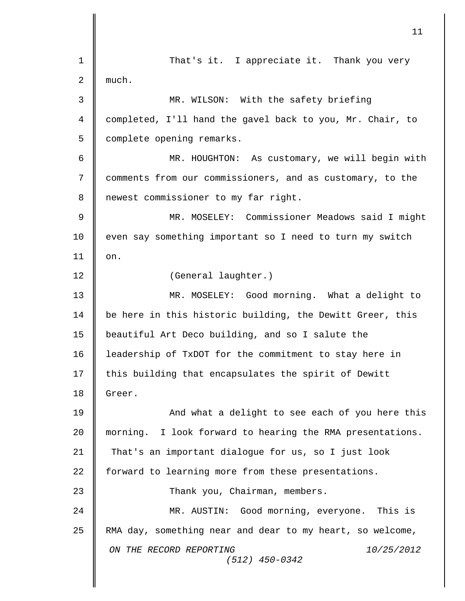*ON THE RECORD REPORTING 10/25/2012 (512) 450-0342* 1 || That's it. I appreciate it. Thank you very 2 || much. 3 **MR.** WILSON: With the safety briefing 4 || completed, I'll hand the gavel back to you, Mr. Chair, to 5 | complete opening remarks. 6 || MR. HOUGHTON: As customary, we will begin with 7 | comments from our commissioners, and as customary, to the 8 | newest commissioner to my far right. 9 MR. MOSELEY: Commissioner Meadows said I might 10 even say something important so I need to turn my switch  $11 \parallel$  on. 12 (General laughter.) 13 MR. MOSELEY: Good morning. What a delight to 14 | be here in this historic building, the Dewitt Greer, this 15 | beautiful Art Deco building, and so I salute the 16 | leadership of TxDOT for the commitment to stay here in 17 | this building that encapsulates the spirit of Dewitt 18 Greer. 19 || And what a delight to see each of you here this 20 morning. I look forward to hearing the RMA presentations. 21 | That's an important dialogue for us, so I just look 22 | forward to learning more from these presentations. 23 **||** Thank you, Chairman, members. 24 MR. AUSTIN: Good morning, everyone. This is 25 RMA day, something near and dear to my heart, so welcome,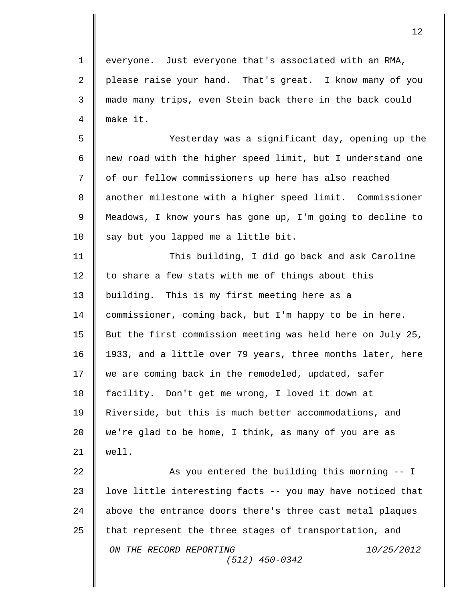1 || everyone. Just everyone that's associated with an RMA, 2 please raise your hand. That's great. I know many of you 3 made many trips, even Stein back there in the back could 4 make it. 5 Yesterday was a significant day, opening up the 6  $\parallel$  new road with the higher speed limit, but I understand one 7 || of our fellow commissioners up here has also reached 8 | another milestone with a higher speed limit. Commissioner 9 Meadows, I know yours has gone up, I'm going to decline to 10  $\parallel$  say but you lapped me a little bit. 11 This building, I did go back and ask Caroline 12  $\parallel$  to share a few stats with me of things about this 13 | building. This is my first meeting here as a 14 commissioner, coming back, but I'm happy to be in here. 15 But the first commission meeting was held here on July 25, 16 | 1933, and a little over 79 years, three months later, here 17 we are coming back in the remodeled, updated, safer 18 facility. Don't get me wrong, I loved it down at 19 Riverside, but this is much better accommodations, and 20 we're glad to be home, I think, as many of you are as  $21$  | well. 22 || As you entered the building this morning -- I 23  $\parallel$  love little interesting facts -- you may have noticed that

12

*ON THE RECORD REPORTING 10/25/2012 (512) 450-0342* 24 above the entrance doors there's three cast metal plaques 25  $\parallel$  that represent the three stages of transportation, and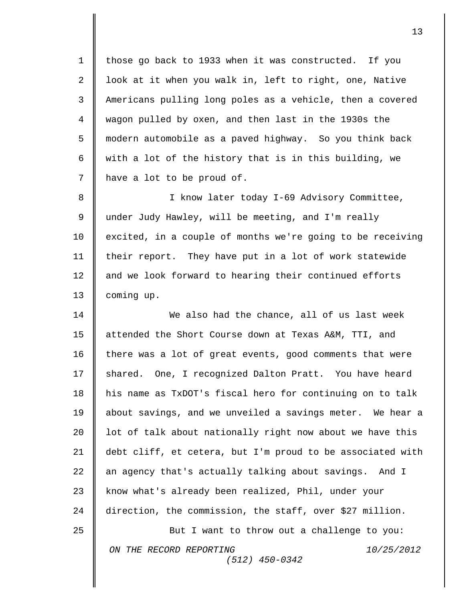1 | those go back to 1933 when it was constructed. If you  $\parallel$  look at it when you walk in, left to right, one, Native Americans pulling long poles as a vehicle, then a covered wagon pulled by oxen, and then last in the 1930s the modern automobile as a paved highway. So you think back  $\parallel$  with a lot of the history that is in this building, we 7 | have a lot to be proud of.

8 || I know later today I-69 Advisory Committee, 9 under Judy Hawley, will be meeting, and I'm really 10 | excited, in a couple of months we're going to be receiving 11 | their report. They have put in a lot of work statewide 12 | and we look forward to hearing their continued efforts 13 **coming up.** 

14 We also had the chance, all of us last week 15 attended the Short Course down at Texas A&M, TTI, and 16 | there was a lot of great events, good comments that were 17 shared. One, I recognized Dalton Pratt. You have heard 18 his name as TxDOT's fiscal hero for continuing on to talk 19 | about savings, and we unveiled a savings meter. We hear a 20  $\parallel$  lot of talk about nationally right now about we have this 21 debt cliff, et cetera, but I'm proud to be associated with 22  $\parallel$  an agency that's actually talking about savings. And I 23 know what's already been realized, Phil, under your 24 direction, the commission, the staff, over \$27 million. 25 **But I want to throw out a challenge to you:** 

*(512) 450-0342*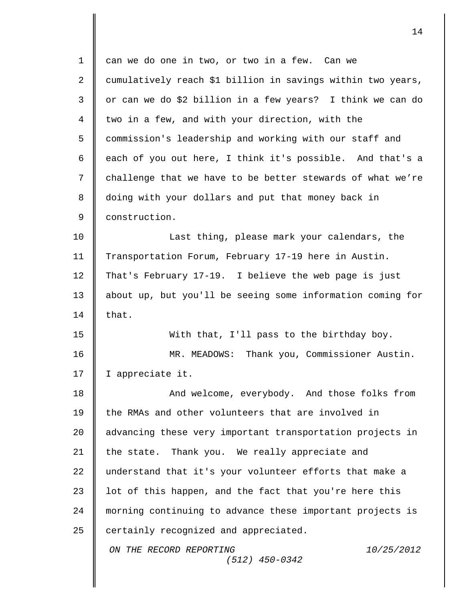| $\mathbf 1$ | can we do one in two, or two in a few. Can we               |
|-------------|-------------------------------------------------------------|
| 2           | cumulatively reach \$1 billion in savings within two years, |
| 3           | or can we do \$2 billion in a few years? I think we can do  |
| 4           | two in a few, and with your direction, with the             |
| 5           | commission's leadership and working with our staff and      |
| 6           | each of you out here, I think it's possible. And that's a   |
| 7           | challenge that we have to be better stewards of what we're  |
| 8           | doing with your dollars and put that money back in          |
| 9           | construction.                                               |
| 10          | Last thing, please mark your calendars, the                 |
| 11          | Transportation Forum, February 17-19 here in Austin.        |
| 12          | That's February 17-19. I believe the web page is just       |
| 13          | about up, but you'll be seeing some information coming for  |
| 14          | that.                                                       |
| 15          | With that, I'll pass to the birthday boy.                   |
| 16          | MR. MEADOWS: Thank you, Commissioner Austin.                |
| 17          | I appreciate it.                                            |
| 18          | And welcome, everybody. And those folks from                |
| 19          | the RMAs and other volunteers that are involved in          |
| 20          | advancing these very important transportation projects in   |
| 21          | the state. Thank you. We really appreciate and              |
| 22          | understand that it's your volunteer efforts that make a     |
| 23          | lot of this happen, and the fact that you're here this      |
| 24          | morning continuing to advance these important projects is   |
| 25          | certainly recognized and appreciated.                       |
|             | ON THE RECORD REPORTING<br>10/25/2012<br>$(512)$ 450-0342   |
|             |                                                             |

 $\mathbf{I}$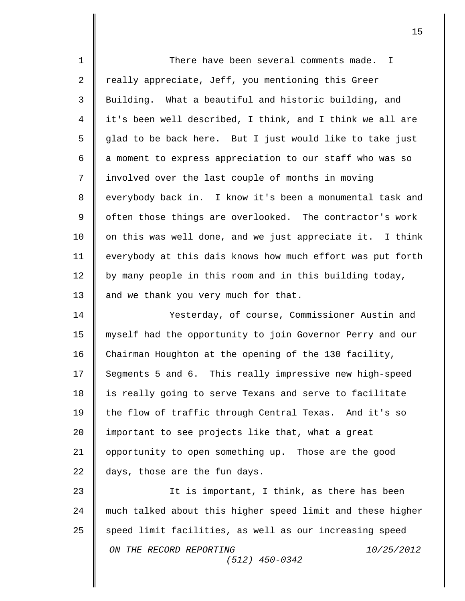| $\mathbf 1$    | There have been several comments made. I                   |
|----------------|------------------------------------------------------------|
| $\overline{2}$ | really appreciate, Jeff, you mentioning this Greer         |
| $\mathsf{3}$   | Building. What a beautiful and historic building, and      |
| 4              | it's been well described, I think, and I think we all are  |
| 5              | glad to be back here. But I just would like to take just   |
| 6              | a moment to express appreciation to our staff who was so   |
| 7              | involved over the last couple of months in moving          |
| 8              | everybody back in. I know it's been a monumental task and  |
| $\mathsf 9$    | often those things are overlooked. The contractor's work   |
| 10             | on this was well done, and we just appreciate it. I think  |
| 11             | everybody at this dais knows how much effort was put forth |
| 12             | by many people in this room and in this building today,    |
| 13             | and we thank you very much for that.                       |
| 14             | Yesterday, of course, Commissioner Austin and              |
| 15             | myself had the opportunity to join Governor Perry and our  |
| 16             | Chairman Houghton at the opening of the 130 facility,      |
| 17             | Segments 5 and 6. This really impressive new high-speed    |
| 18             | is really going to serve Texans and serve to facilitate    |
| 19             | the flow of traffic through Central Texas. And it's so     |
| 20             | important to see projects like that, what a great          |
| 21             | opportunity to open something up. Those are the good       |
| 22             | days, those are the fun days.                              |
| 23             | It is important, I think, as there has been                |
| 24             | much talked about this higher speed limit and these higher |
| 25             | speed limit facilities, as well as our increasing speed    |
|                | ON THE RECORD REPORTING<br>10/25/2012<br>$(512)$ 450-0342  |
|                |                                                            |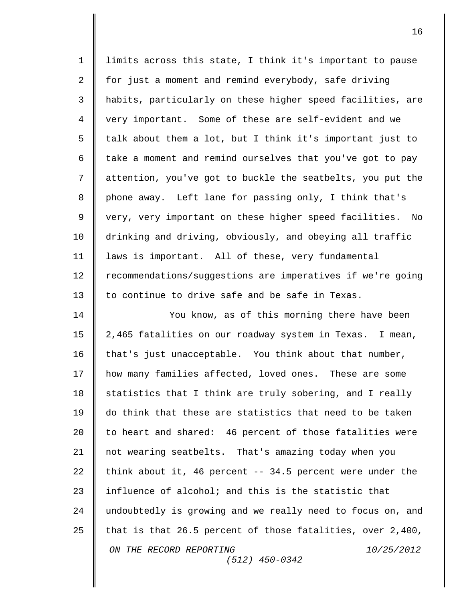1 limits across this state, I think it's important to pause 2 for just a moment and remind everybody, safe driving 3 habits, particularly on these higher speed facilities, are 4 very important. Some of these are self-evident and we  $5 \parallel$  talk about them a lot, but I think it's important just to 6  $\parallel$  take a moment and remind ourselves that you've got to pay 7 attention, you've got to buckle the seatbelts, you put the 8 phone away. Left lane for passing only, I think that's 9 || very, very important on these higher speed facilities. No 10 drinking and driving, obviously, and obeying all traffic 11 laws is important. All of these, very fundamental 12 | recommendations/suggestions are imperatives if we're going 13 || to continue to drive safe and be safe in Texas. 14 || You know, as of this morning there have been 15 2,465 fatalities on our roadway system in Texas. I mean,  $16$  | that's just unacceptable. You think about that number, 17 | how many families affected, loved ones. These are some  $18$   $\parallel$  statistics that I think are truly sobering, and I really 19 do think that these are statistics that need to be taken 20 | to heart and shared: 46 percent of those fatalities were 21 not wearing seatbelts. That's amazing today when you 22 think about it, 46 percent  $-$  34.5 percent were under the 23  $\parallel$  influence of alcohol; and this is the statistic that 24 | undoubtedly is growing and we really need to focus on, and

*ON THE RECORD REPORTING 10/25/2012 (512) 450-0342* 25 that is that 26.5 percent of those fatalities, over 2,400,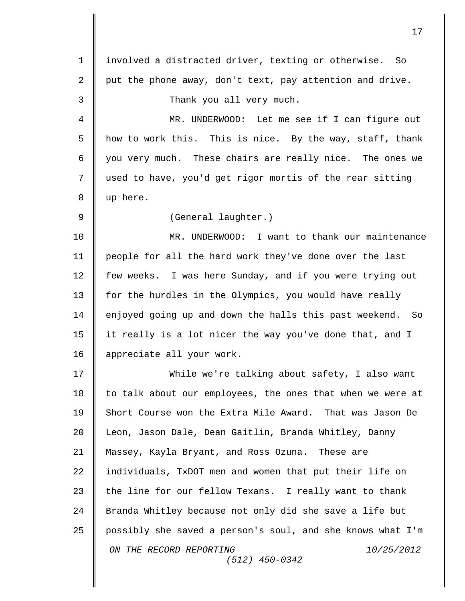*ON THE RECORD REPORTING 10/25/2012 (512) 450-0342* involved a distracted driver, texting or otherwise. So  $\parallel$  put the phone away, don't text, pay attention and drive. **Thank** you all very much. MR. UNDERWOOD: Let me see if I can figure out  $\parallel$  how to work this. This is nice. By the way, staff, thank  $\parallel$  you very much. These chairs are really nice. The ones we used to have, you'd get rigor mortis of the rear sitting up here. 9 | (General laughter.) MR. UNDERWOOD: I want to thank our maintenance people for all the hard work they've done over the last few weeks. I was here Sunday, and if you were trying out 13 for the hurdles in the Olympics, you would have really 14 | enjoyed going up and down the halls this past weekend. So it really is a lot nicer the way you've done that, and I 16 | appreciate all your work. While we're talking about safety, I also want  $\parallel$  to talk about our employees, the ones that when we were at 19 Short Course won the Extra Mile Award. That was Jason De Leon, Jason Dale, Dean Gaitlin, Branda Whitley, Danny Massey, Kayla Bryant, and Ross Ozuna. These are  $\parallel$  individuals, TxDOT men and women that put their life on  $\parallel$  the line for our fellow Texans. I really want to thank 24 | Branda Whitley because not only did she save a life but  $\parallel$  possibly she saved a person's soul, and she knows what I'm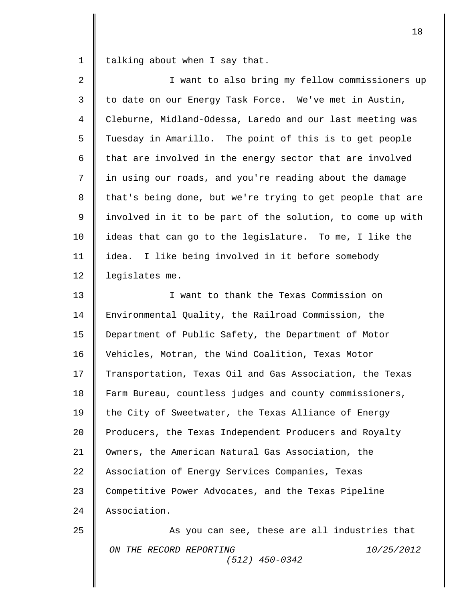1 talking about when I say that.

| 2              | I want to also bring my fellow commissioners up            |
|----------------|------------------------------------------------------------|
| 3              | to date on our Energy Task Force. We've met in Austin,     |
| $\overline{4}$ | Cleburne, Midland-Odessa, Laredo and our last meeting was  |
| 5              | Tuesday in Amarillo. The point of this is to get people    |
| 6              | that are involved in the energy sector that are involved   |
| 7              | in using our roads, and you're reading about the damage    |
| 8              | that's being done, but we're trying to get people that are |
| 9              | involved in it to be part of the solution, to come up with |
| 10             | ideas that can go to the legislature. To me, I like the    |
| 11             | idea. I like being involved in it before somebody          |
| 12             | legislates me.                                             |
| 13             | I want to thank the Texas Commission on                    |
| 14             | Environmental Quality, the Railroad Commission, the        |
| 15             | Department of Public Safety, the Department of Motor       |
| 16             | Vehicles, Motran, the Wind Coalition, Texas Motor          |
| 17             | Transportation, Texas Oil and Gas Association, the Texas   |
| 18             | Farm Bureau, countless judges and county commissioners,    |
| 19             | the City of Sweetwater, the Texas Alliance of Energy       |
| 20             | Producers, the Texas Independent Producers and Royalty     |
| 21             | Owners, the American Natural Gas Association, the          |
| 22             | Association of Energy Services Companies, Texas            |
| 23             | Competitive Power Advocates, and the Texas Pipeline        |
| 24             | Association.                                               |
| 25             | As you can see, these are all industries that              |
|                | ON THE RECORD REPORTING<br>10/25/2012<br>$(512)$ 450-0342  |
|                |                                                            |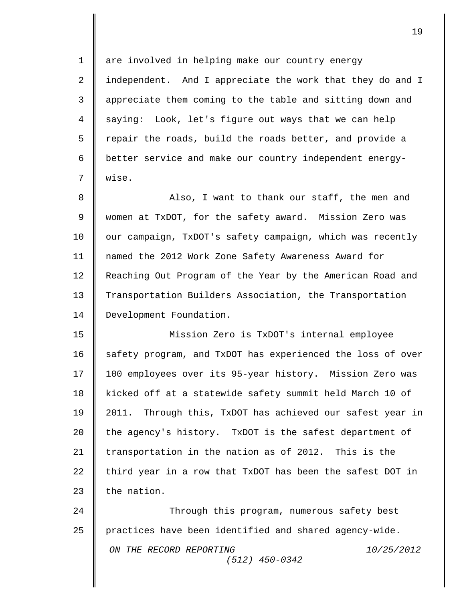*ON THE RECORD REPORTING 10/25/2012 (512) 450-0342* 1 || are involved in helping make our country energy 2 || independent. And I appreciate the work that they do and I 3 appreciate them coming to the table and sitting down and 4 || saying: Look, let's figure out ways that we can help 5 || repair the roads, build the roads better, and provide a 6 | better service and make our country independent energy-7 wise. 8 Also, I want to thank our staff, the men and 9 women at TxDOT, for the safety award. Mission Zero was 10 | our campaign, TxDOT's safety campaign, which was recently 11 named the 2012 Work Zone Safety Awareness Award for 12 Reaching Out Program of the Year by the American Road and 13 Transportation Builders Association, the Transportation 14 | Development Foundation. 15 Mission Zero is TxDOT's internal employee 16 | safety program, and TxDOT has experienced the loss of over 17 100 employees over its 95-year history. Mission Zero was 18 kicked off at a statewide safety summit held March 10 of 19 2011. Through this, TxDOT has achieved our safest year in  $20$  | the agency's history. TxDOT is the safest department of 21  $\parallel$  transportation in the nation as of 2012. This is the 22  $\parallel$  third year in a row that TxDOT has been the safest DOT in  $23 \parallel$  the nation. 24 || Through this program, numerous safety best 25 practices have been identified and shared agency-wide.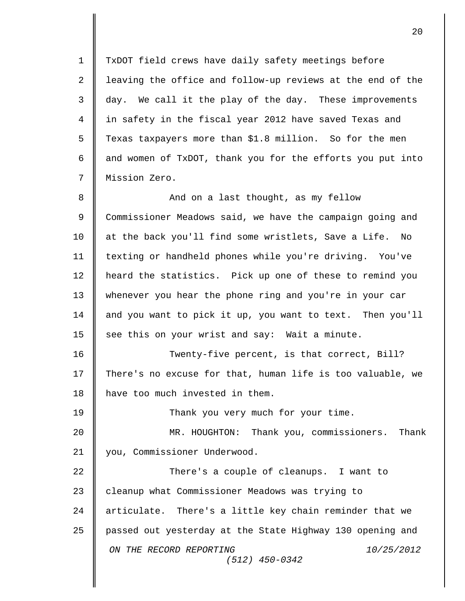*ON THE RECORD REPORTING 10/25/2012 (512) 450-0342* 1 TxDOT field crews have daily safety meetings before 2 || leaving the office and follow-up reviews at the end of the  $3 \parallel$  day. We call it the play of the day. These improvements 4 in safety in the fiscal year 2012 have saved Texas and 5 | Texas taxpayers more than \$1.8 million. So for the men 6  $\parallel$  and women of TxDOT, thank you for the efforts you put into 7 Mission Zero. 8 **B** And on a last thought, as my fellow 9 Commissioner Meadows said, we have the campaign going and 10 | at the back you'll find some wristlets, Save a Life. No 11 texting or handheld phones while you're driving. You've 12 | heard the statistics. Pick up one of these to remind you 13 whenever you hear the phone ring and you're in your car 14 | and you want to pick it up, you want to text. Then you'll  $15$  see this on your wrist and say: Wait a minute. 16 Twenty-five percent, is that correct, Bill? 17 || There's no excuse for that, human life is too valuable, we 18 | have too much invested in them. 19 || Thank you very much for your time. 20 MR. HOUGHTON: Thank you, commissioners. Thank 21 | you, Commissioner Underwood. 22 || There's a couple of cleanups. I want to 23 cleanup what Commissioner Meadows was trying to 24 | articulate. There's a little key chain reminder that we 25 passed out yesterday at the State Highway 130 opening and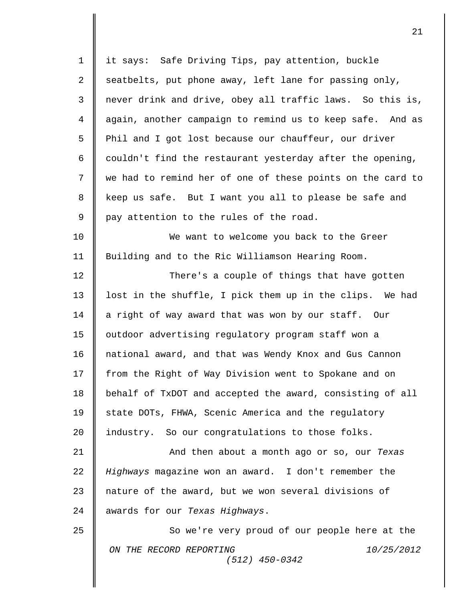| $\mathbf 1$ | it says: Safe Driving Tips, pay attention, buckle          |
|-------------|------------------------------------------------------------|
| 2           | seatbelts, put phone away, left lane for passing only,     |
| 3           | never drink and drive, obey all traffic laws. So this is,  |
| 4           | again, another campaign to remind us to keep safe. And as  |
| 5           | Phil and I got lost because our chauffeur, our driver      |
| 6           | couldn't find the restaurant yesterday after the opening,  |
| 7           | we had to remind her of one of these points on the card to |
| 8           | keep us safe. But I want you all to please be safe and     |
| 9           | pay attention to the rules of the road.                    |
| 10          | We want to welcome you back to the Greer                   |
| 11          | Building and to the Ric Williamson Hearing Room.           |
| 12          | There's a couple of things that have gotten                |
| 13          | lost in the shuffle, I pick them up in the clips. We had   |
| 14          | a right of way award that was won by our staff. Our        |
| 15          | outdoor advertising regulatory program staff won a         |
| 16          | national award, and that was Wendy Knox and Gus Cannon     |
| 17          | from the Right of Way Division went to Spokane and on      |
| 18          | behalf of TxDOT and accepted the award, consisting of all  |
| 19          | state DOTs, FHWA, Scenic America and the regulatory        |
| 20          | industry. So our congratulations to those folks.           |
| 21          | And then about a month ago or so, our Texas                |
| 22          | Highways magazine won an award. I don't remember the       |
| 23          | nature of the award, but we won several divisions of       |
| 24          | awards for our Texas Highways.                             |
| 25          | So we're very proud of our people here at the              |
|             | ON THE RECORD REPORTING<br>10/25/2012<br>$(512)$ 450-0342  |
|             |                                                            |
|             |                                                            |

 $\mathbf{I}$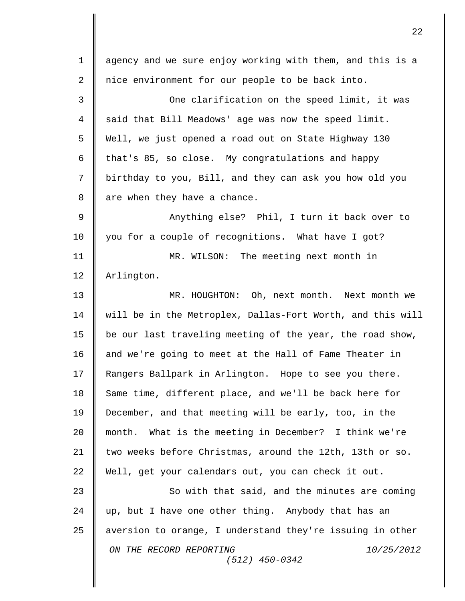*ON THE RECORD REPORTING 10/25/2012 (512) 450-0342* 1 || agency and we sure enjoy working with them, and this is a 2 || nice environment for our people to be back into. 3 **C** One clarification on the speed limit, it was  $4 \parallel$  said that Bill Meadows' age was now the speed limit. 5 Well, we just opened a road out on State Highway 130 6 | that's 85, so close. My congratulations and happy 7 birthday to you, Bill, and they can ask you how old you  $8 \parallel$  are when they have a chance. 9  $\parallel$  2 Anything else? Phil, I turn it back over to 10 you for a couple of recognitions. What have I got? 11 MR. WILSON: The meeting next month in 12 Arlington. 13 MR. HOUGHTON: Oh, next month. Next month we 14 will be in the Metroplex, Dallas-Fort Worth, and this will 15 | be our last traveling meeting of the year, the road show, 16 and we're going to meet at the Hall of Fame Theater in 17 | Rangers Ballpark in Arlington. Hope to see you there. 18 Same time, different place, and we'll be back here for 19 December, and that meeting will be early, too, in the 20 month. What is the meeting in December? I think we're 21 two weeks before Christmas, around the 12th, 13th or so. 22 Well, get your calendars out, you can check it out. 23 So with that said, and the minutes are coming  $24$  up, but I have one other thing. Anybody that has an 25  $\parallel$  aversion to orange, I understand they're issuing in other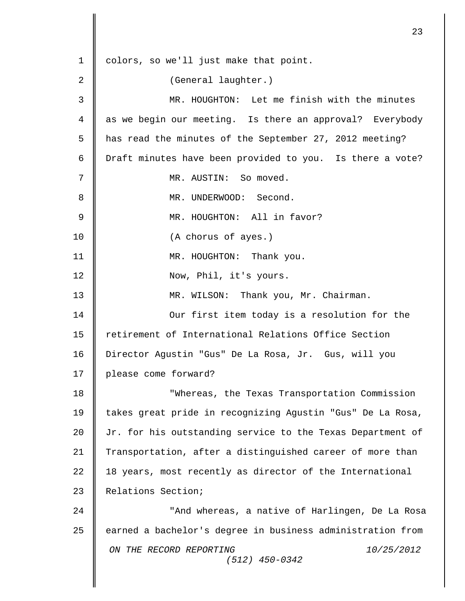*ON THE RECORD REPORTING 10/25/2012 (512) 450-0342* 1 | colors, so we'll just make that point. 2 || (General laughter.) 3 MR. HOUGHTON: Let me finish with the minutes 4 || as we begin our meeting. Is there an approval? Everybody 5 | has read the minutes of the September 27, 2012 meeting? 6 | Draft minutes have been provided to you. Is there a vote? 7 MR. AUSTIN: So moved. 8 **MR. UNDERWOOD:** Second. 9 || MR. HOUGHTON: All in favor? 10 | (A chorus of ayes.) 11 || MR. HOUGHTON: Thank you. 12 | Now, Phil, it's yours. 13 | MR. WILSON: Thank you, Mr. Chairman. 14 **||** Our first item today is a resolution for the 15 | retirement of International Relations Office Section 16 Director Agustin "Gus" De La Rosa, Jr. Gus, will you 17 | please come forward? 18 **Whereas, the Texas Transportation Commission** 19 takes great pride in recognizing Agustin "Gus" De La Rosa, 20 Jr. for his outstanding service to the Texas Department of 21 Transportation, after a distinguished career of more than  $22$  | 18 years, most recently as director of the International 23 Relations Section; 24 || "And whereas, a native of Harlingen, De La Rosa 25 earned a bachelor's degree in business administration from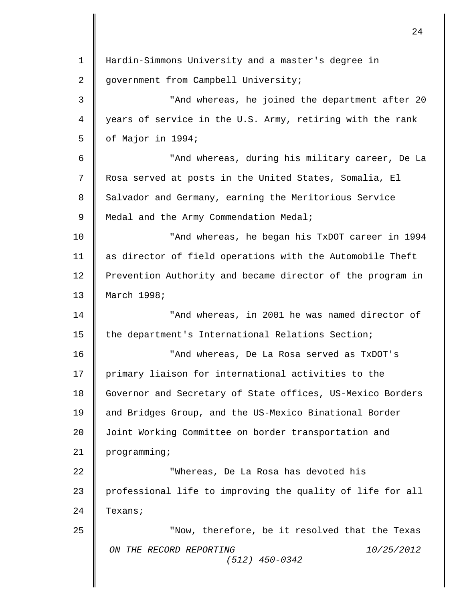| $\mathbf 1$    | Hardin-Simmons University and a master's degree in         |
|----------------|------------------------------------------------------------|
| 2              | government from Campbell University;                       |
| 3              | "And whereas, he joined the department after 20            |
| $\overline{4}$ | years of service in the U.S. Army, retiring with the rank  |
| 5              | of Major in 1994;                                          |
| 6              | "And whereas, during his military career, De La            |
| 7              | Rosa served at posts in the United States, Somalia, El     |
| 8              | Salvador and Germany, earning the Meritorious Service      |
| 9              | Medal and the Army Commendation Medal;                     |
| 10             | "And whereas, he began his TxDOT career in 1994            |
| 11             | as director of field operations with the Automobile Theft  |
| 12             | Prevention Authority and became director of the program in |
| 13             | March 1998;                                                |
| 14             | "And whereas, in 2001 he was named director of             |
| 15             | the department's International Relations Section;          |
| 16             | "And whereas, De La Rosa served as TxDOT's                 |
| 17             | primary liaison for international activities to the        |
| 18             | Governor and Secretary of State offices, US-Mexico Borders |
| 19             | and Bridges Group, and the US-Mexico Binational Border     |
| 20             | Joint Working Committee on border transportation and       |
| 21             | programming;                                               |
| 22             | "Whereas, De La Rosa has devoted his                       |
| 23             | professional life to improving the quality of life for all |
| 24             | Texans;                                                    |
| 25             | "Now, therefore, be it resolved that the Texas             |
|                | 10/25/2012<br>ON THE RECORD REPORTING<br>$(512)$ 450-0342  |
|                |                                                            |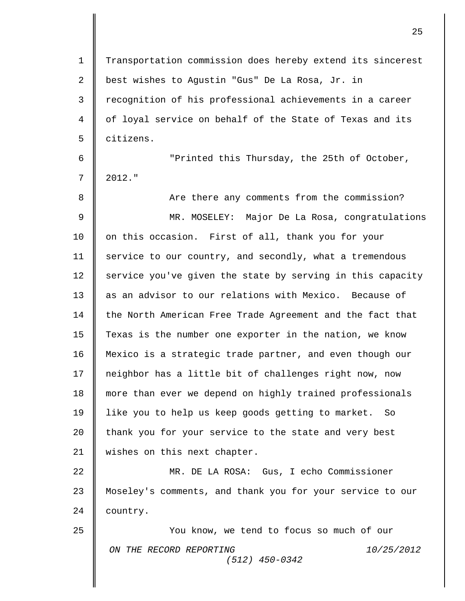*ON THE RECORD REPORTING 10/25/2012 (512) 450-0342* 1 | Transportation commission does hereby extend its sincerest 2 || best wishes to Agustin "Gus" De La Rosa, Jr. in 3 recognition of his professional achievements in a career 4 of loyal service on behalf of the State of Texas and its 5 | citizens. 6 "Printed this Thursday, the 25th of October,  $7 \parallel 2012.$ " 8 || Are there any comments from the commission? 9 MR. MOSELEY: Major De La Rosa, congratulations 10 | on this occasion. First of all, thank you for your 11 | service to our country, and secondly, what a tremendous  $12$  service you've given the state by serving in this capacity 13 as an advisor to our relations with Mexico. Because of 14 | the North American Free Trade Agreement and the fact that 15 | Texas is the number one exporter in the nation, we know 16 Mexico is a strategic trade partner, and even though our 17 neighbor has a little bit of challenges right now, now 18 more than ever we depend on highly trained professionals 19 | like you to help us keep goods getting to market. So 20 thank you for your service to the state and very best 21 | wishes on this next chapter. 22 MR. DE LA ROSA: Gus, I echo Commissioner 23 Moseley's comments, and thank you for your service to our 24 **country.** 25 You know, we tend to focus so much of our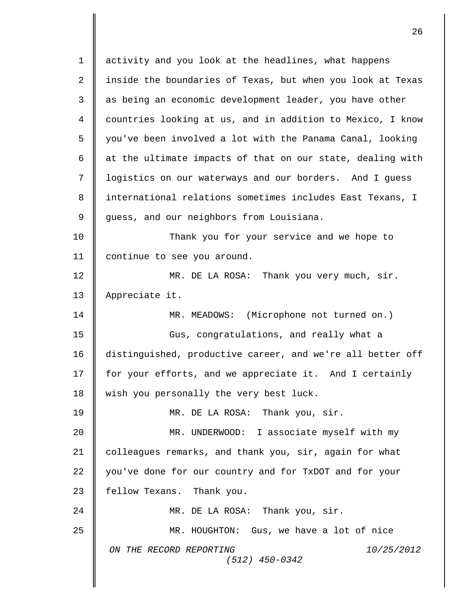*ON THE RECORD REPORTING 10/25/2012 (512) 450-0342* 1 activity and you look at the headlines, what happens 2 inside the boundaries of Texas, but when you look at Texas 3 || as being an economic development leader, you have other 4 countries looking at us, and in addition to Mexico, I know 5 | you've been involved a lot with the Panama Canal, looking 6  $\parallel$  at the ultimate impacts of that on our state, dealing with 7 || logistics on our waterways and our borders. And I guess 8 | international relations sometimes includes East Texans, I 9 guess, and our neighbors from Louisiana. 10 **Thank** you for your service and we hope to 11 | continue to see you around. 12 **MR.** DE LA ROSA: Thank you very much, sir. 13 | Appreciate it. 14 || MR. MEADOWS: (Microphone not turned on.) 15 || Gus, congratulations, and really what a 16 distinguished, productive career, and we're all better off 17 for your efforts, and we appreciate it. And I certainly 18  $\parallel$  wish you personally the very best luck. 19 MR. DE LA ROSA: Thank you, sir. 20 MR. UNDERWOOD: I associate myself with my 21 colleagues remarks, and thank you, sir, again for what 22 you've done for our country and for TxDOT and for your  $23$  | fellow Texans. Thank you. 24 MR. DE LA ROSA: Thank you, sir. 25 MR. HOUGHTON: Gus, we have a lot of nice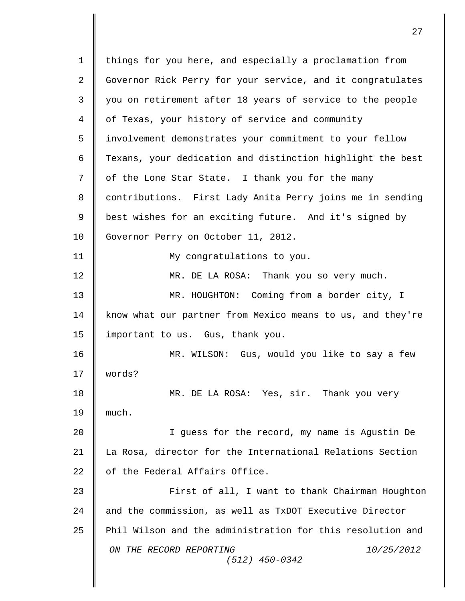*ON THE RECORD REPORTING 10/25/2012 (512) 450-0342* 1 | things for you here, and especially a proclamation from 2 Governor Rick Perry for your service, and it congratulates 3 || you on retirement after 18 years of service to the people 4 of Texas, your history of service and community 5 involvement demonstrates your commitment to your fellow 6 | Texans, your dedication and distinction highlight the best  $7 \parallel$  of the Lone Star State. I thank you for the many 8 contributions. First Lady Anita Perry joins me in sending 9 best wishes for an exciting future. And it's signed by 10 | Governor Perry on October 11, 2012. 11 || My congratulations to you. 12 MR. DE LA ROSA: Thank you so very much. 13 WR. HOUGHTON: Coming from a border city, I 14 | know what our partner from Mexico means to us, and they're 15 | important to us. Gus, thank you. 16 MR. WILSON: Gus, would you like to say a few 17 words? 18 MR. DE LA ROSA: Yes, sir. Thank you very 19  $\parallel$  much. 20 I guess for the record, my name is Agustin De 21 La Rosa, director for the International Relations Section 22  $\parallel$  of the Federal Affairs Office. 23 || First of all, I want to thank Chairman Houghton 24 | and the commission, as well as TxDOT Executive Director 25 Phil Wilson and the administration for this resolution and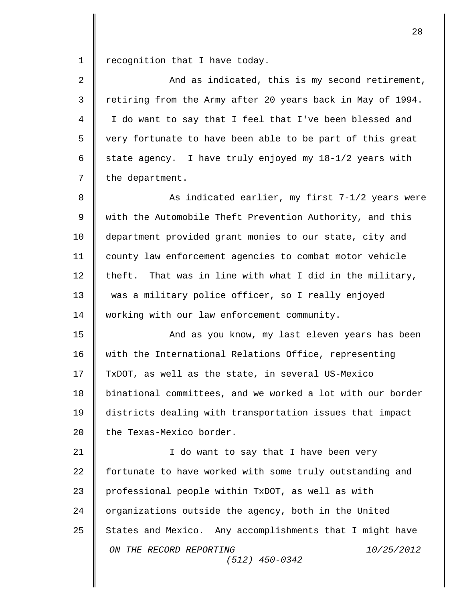$1 \parallel$  recognition that I have today.

| $\overline{2}$ | And as indicated, this is my second retirement,            |
|----------------|------------------------------------------------------------|
| 3              | retiring from the Army after 20 years back in May of 1994. |
| 4              | I do want to say that I feel that I've been blessed and    |
| 5              | very fortunate to have been able to be part of this great  |
| 6              | state agency. I have truly enjoyed my $18-1/2$ years with  |
| 7              | the department.                                            |
| 8              | As indicated earlier, my first 7-1/2 years were            |
| $\mathsf 9$    | with the Automobile Theft Prevention Authority, and this   |
| 10             | department provided grant monies to our state, city and    |
| 11             | county law enforcement agencies to combat motor vehicle    |
| 12             | theft. That was in line with what I did in the military,   |
| 13             | was a military police officer, so I really enjoyed         |
| 14             | working with our law enforcement community.                |
| 15             | And as you know, my last eleven years has been             |
| 16             | with the International Relations Office, representing      |
| 17             | TxDOT, as well as the state, in several US-Mexico          |
| 18             | binational committees, and we worked a lot with our border |
| 19             | districts dealing with transportation issues that impact   |
| 20             | the Texas-Mexico border.                                   |
| 21             | I do want to say that I have been very                     |
| 22             | fortunate to have worked with some truly outstanding and   |
| 23             | professional people within TxDOT, as well as with          |
| 24             | organizations outside the agency, both in the United       |
| 25             | States and Mexico. Any accomplishments that I might have   |
|                | ON THE RECORD REPORTING<br>10/25/2012<br>$(512)$ 450-0342  |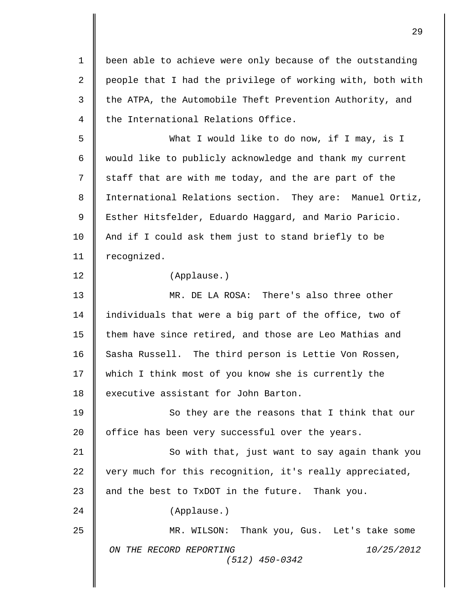*ON THE RECORD REPORTING 10/25/2012 (512) 450-0342* 1 | been able to achieve were only because of the outstanding 2 | people that I had the privilege of working with, both with 3 the ATPA, the Automobile Theft Prevention Authority, and  $4 \parallel$  the International Relations Office. 5 What I would like to do now, if I may, is I 6 | would like to publicly acknowledge and thank my current  $7 \parallel$  staff that are with me today, and the are part of the 8 International Relations section. They are: Manuel Ortiz, 9 || Esther Hitsfelder, Eduardo Haggard, and Mario Paricio. 10 | And if I could ask them just to stand briefly to be 11 | recognized. 12 (Applause.) 13 MR. DE LA ROSA: There's also three other 14 | individuals that were a big part of the office, two of 15 them have since retired, and those are Leo Mathias and 16 Sasha Russell. The third person is Lettie Von Rossen, 17 which I think most of you know she is currently the 18 **executive assistant for John Barton.** 19 || So they are the reasons that I think that our 20 | office has been very successful over the years. 21 || So with that, just want to say again thank you 22  $\parallel$  very much for this recognition, it's really appreciated, 23  $\parallel$  and the best to TxDOT in the future. Thank you. 24 (Applause.) 25 MR. WILSON: Thank you, Gus. Let's take some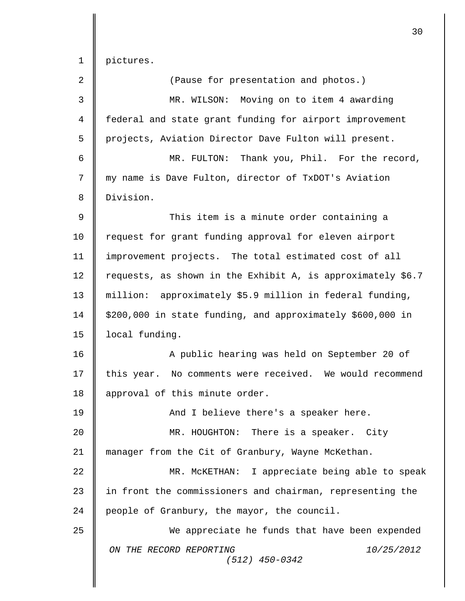1 pictures.

| $\overline{a}$ | (Pause for presentation and photos.)                        |
|----------------|-------------------------------------------------------------|
| 3              | MR. WILSON: Moving on to item 4 awarding                    |
| $\overline{4}$ | federal and state grant funding for airport improvement     |
| 5              | projects, Aviation Director Dave Fulton will present.       |
| 6              | MR. FULTON: Thank you, Phil. For the record,                |
| 7              | my name is Dave Fulton, director of TxDOT's Aviation        |
| 8              | Division.                                                   |
| $\mathsf 9$    | This item is a minute order containing a                    |
| 10             | request for grant funding approval for eleven airport       |
| 11             | improvement projects. The total estimated cost of all       |
| 12             | requests, as shown in the Exhibit A, is approximately \$6.7 |
| 13             | million: approximately \$5.9 million in federal funding,    |
| 14             | \$200,000 in state funding, and approximately \$600,000 in  |
| 15             | local funding.                                              |
| 16             | A public hearing was held on September 20 of                |
| 17             | this year. No comments were received. We would recommend    |
| 18             | approval of this minute order.                              |
| 19             | And I believe there's a speaker here.                       |
| 20             | MR. HOUGHTON: There is a speaker. City                      |
| 21             | manager from the Cit of Granbury, Wayne McKethan.           |
| 22             | MR. MCKETHAN: I appreciate being able to speak              |
| 23             | in front the commissioners and chairman, representing the   |
| 24             | people of Granbury, the mayor, the council.                 |
| 25             | We appreciate he funds that have been expended              |
|                | ON THE RECORD REPORTING<br>10/25/2012<br>$(512)$ 450-0342   |
|                |                                                             |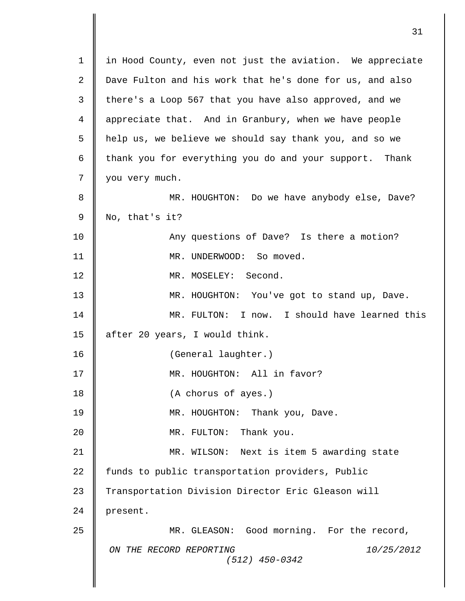| $\mathbf 1$    | in Hood County, even not just the aviation. We appreciate |
|----------------|-----------------------------------------------------------|
| 2              | Dave Fulton and his work that he's done for us, and also  |
| 3              | there's a Loop 567 that you have also approved, and we    |
| $\overline{4}$ | appreciate that. And in Granbury, when we have people     |
| 5              | help us, we believe we should say thank you, and so we    |
| 6              | thank you for everything you do and your support. Thank   |
| 7              | you very much.                                            |
| 8              | MR. HOUGHTON: Do we have anybody else, Dave?              |
| 9              | No, that's it?                                            |
| 10             | Any questions of Dave? Is there a motion?                 |
| 11             | MR. UNDERWOOD: So moved.                                  |
| 12             | MR. MOSELEY: Second.                                      |
| 13             | MR. HOUGHTON: You've got to stand up, Dave.               |
| 14             | MR. FULTON: I now. I should have learned this             |
| 15             | after 20 years, I would think.                            |
| 16             | (General laughter.)                                       |
| 17             | MR. HOUGHTON: All in favor?                               |
| 18             | (A chorus of ayes.)                                       |
| 19             | MR. HOUGHTON: Thank you, Dave.                            |
| 20             | MR. FULTON: Thank you.                                    |
| 21             | MR. WILSON: Next is item 5 awarding state                 |
| 22             | funds to public transportation providers, Public          |
| 23             | Transportation Division Director Eric Gleason will        |
| 24             | present.                                                  |
| 25             | MR. GLEASON: Good morning. For the record,                |
|                | ON THE RECORD REPORTING<br>10/25/2012<br>$(512)$ 450-0342 |
|                |                                                           |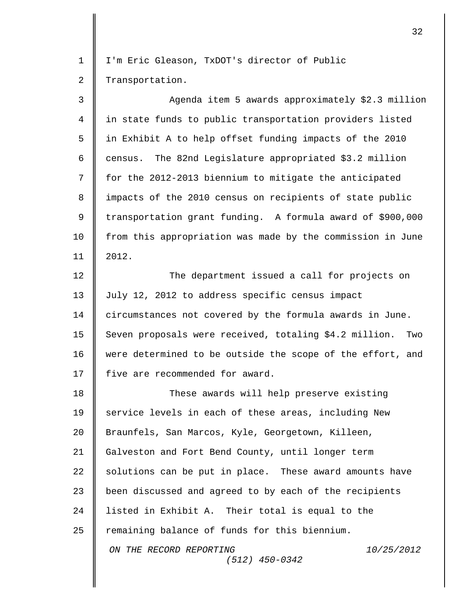1 | I'm Eric Gleason, TxDOT's director of Public 2 | Transportation.

3 || Agenda item 5 awards approximately \$2.3 million 4 in state funds to public transportation providers listed 5 in Exhibit A to help offset funding impacts of the 2010 6  $\parallel$  census. The 82nd Legislature appropriated \$3.2 million 7  $\parallel$  for the 2012-2013 biennium to mitigate the anticipated 8 | impacts of the 2010 census on recipients of state public 9 transportation grant funding. A formula award of \$900,000 10 | from this appropriation was made by the commission in June 11 2012. 12 **The department issued a call for projects on** 

13 July 12, 2012 to address specific census impact 14 circumstances not covered by the formula awards in June. 15 | Seven proposals were received, totaling \$4.2 million. Two 16 were determined to be outside the scope of the effort, and 17 | five are recommended for award.

*ON THE RECORD REPORTING 10/25/2012 (512) 450-0342* 18 **These awards will help preserve existing** 19 | service levels in each of these areas, including New 20 Braunfels, San Marcos, Kyle, Georgetown, Killeen, 21 Galveston and Fort Bend County, until longer term 22  $\parallel$  solutions can be put in place. These award amounts have 23 | been discussed and agreed to by each of the recipients 24  $\parallel$  listed in Exhibit A. Their total is equal to the  $25$  | remaining balance of funds for this biennium.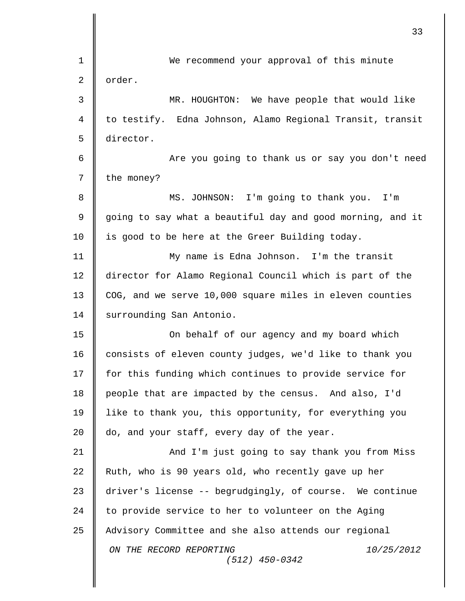|             | 33                                                         |
|-------------|------------------------------------------------------------|
| 1           | We recommend your approval of this minute                  |
| 2           | order.                                                     |
| 3           | MR. HOUGHTON: We have people that would like               |
| 4           | to testify. Edna Johnson, Alamo Regional Transit, transit  |
| 5           | director.                                                  |
| 6           | Are you going to thank us or say you don't need            |
| 7           | the money?                                                 |
| 8           | MS. JOHNSON: I'm going to thank you. I'm                   |
| $\mathsf 9$ | going to say what a beautiful day and good morning, and it |
| 10          | is good to be here at the Greer Building today.            |
| 11          | My name is Edna Johnson. I'm the transit                   |
| 12          | director for Alamo Regional Council which is part of the   |
| 13          | COG, and we serve 10,000 square miles in eleven counties   |
| 14          | surrounding San Antonio.                                   |
| 15          | On behalf of our agency and my board which                 |
| 16          | consists of eleven county judges, we'd like to thank you   |
| 17          | for this funding which continues to provide service for    |
| 18          | people that are impacted by the census. And also, I'd      |
| 19          | like to thank you, this opportunity, for everything you    |
| 20          | do, and your staff, every day of the year.                 |
| 21          | And I'm just going to say thank you from Miss              |
| 22          | Ruth, who is 90 years old, who recently gave up her        |
| 23          | driver's license -- begrudgingly, of course. We continue   |
| 24          | to provide service to her to volunteer on the Aging        |
| 25          | Advisory Committee and she also attends our regional       |
|             | ON THE RECORD REPORTING<br>10/25/2012<br>$(512)$ 450-0342  |
|             |                                                            |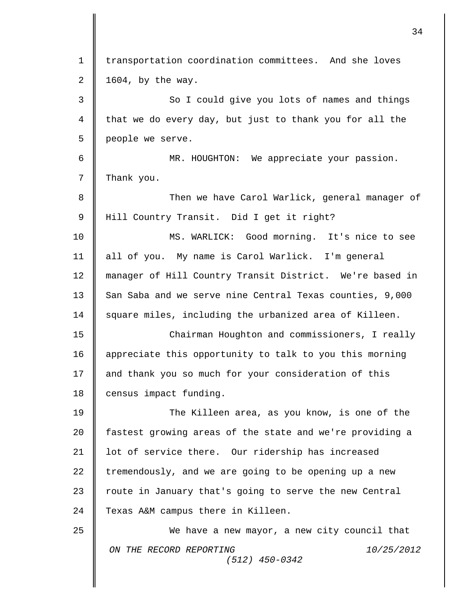|             | 34                                                        |
|-------------|-----------------------------------------------------------|
| $\mathbf 1$ | transportation coordination committees. And she loves     |
| 2           | 1604, by the way.                                         |
| 3           | So I could give you lots of names and things              |
| 4           | that we do every day, but just to thank you for all the   |
| 5           | people we serve.                                          |
| 6           | MR. HOUGHTON: We appreciate your passion.                 |
| 7           | Thank you.                                                |
| 8           | Then we have Carol Warlick, general manager of            |
| 9           | Hill Country Transit. Did I get it right?                 |
| 10          | MS. WARLICK: Good morning. It's nice to see               |
| 11          | all of you. My name is Carol Warlick. I'm general         |
| 12          | manager of Hill Country Transit District. We're based in  |
| 13          | San Saba and we serve nine Central Texas counties, 9,000  |
| 14          | square miles, including the urbanized area of Killeen.    |
| 15          | Chairman Houghton and commissioners, I really             |
| 16          | appreciate this opportunity to talk to you this morning   |
| 17          | and thank you so much for your consideration of this      |
| 18          | census impact funding.                                    |
| 19          | The Killeen area, as you know, is one of the              |
| 20          | fastest growing areas of the state and we're providing a  |
| 21          | lot of service there. Our ridership has increased         |
| 22          | tremendously, and we are going to be opening up a new     |
| 23          | route in January that's going to serve the new Central    |
| 24          | Texas A&M campus there in Killeen.                        |
| 25          | We have a new mayor, a new city council that              |
|             | ON THE RECORD REPORTING<br>10/25/2012<br>$(512)$ 450-0342 |
|             |                                                           |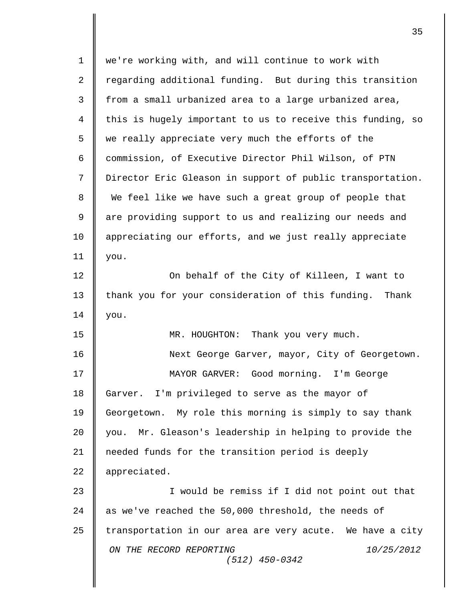*ON THE RECORD REPORTING 10/25/2012 (512) 450-0342* 1 we're working with, and will continue to work with 2 regarding additional funding. But during this transition 3 from a small urbanized area to a large urbanized area,  $4$   $\parallel$  this is hugely important to us to receive this funding, so  $5 \parallel$  we really appreciate very much the efforts of the 6 Commission, of Executive Director Phil Wilson, of PTN 7 Director Eric Gleason in support of public transportation. 8 We feel like we have such a great group of people that 9 || are providing support to us and realizing our needs and 10 appreciating our efforts, and we just really appreciate 11 you. 12 **On behalf of the City of Killeen, I want to** 13 thank you for your consideration of this funding. Thank  $14 \parallel$  you. 15 MR. HOUGHTON: Thank you very much. 16 Next George Garver, mayor, City of Georgetown. 17 MAYOR GARVER: Good morning. I'm George 18 Garver. I'm privileged to serve as the mayor of 19 Georgetown. My role this morning is simply to say thank 20 you. Mr. Gleason's leadership in helping to provide the 21 needed funds for the transition period is deeply 22 | appreciated. 23 || Twould be remiss if I did not point out that 24  $\parallel$  as we've reached the 50,000 threshold, the needs of 25  $\parallel$  transportation in our area are very acute. We have a city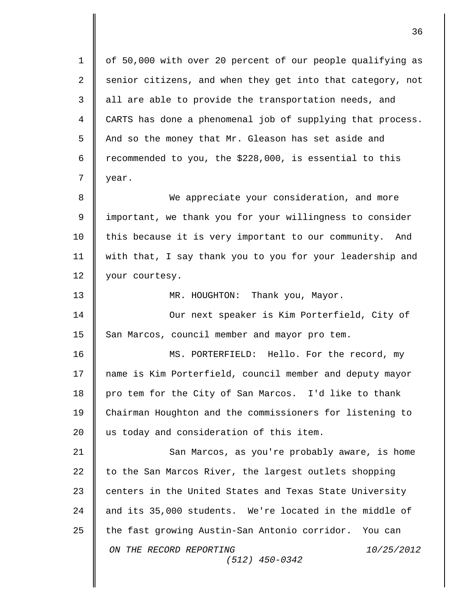| $\mathbf 1$ | of 50,000 with over 20 percent of our people qualifying as |
|-------------|------------------------------------------------------------|
| 2           | senior citizens, and when they get into that category, not |
| 3           | all are able to provide the transportation needs, and      |
| 4           | CARTS has done a phenomenal job of supplying that process. |
| 5           | And so the money that Mr. Gleason has set aside and        |
| 6           | recommended to you, the \$228,000, is essential to this    |
| 7           | year.                                                      |
| 8           | We appreciate your consideration, and more                 |
| 9           | important, we thank you for your willingness to consider   |
| 10          | this because it is very important to our community. And    |
| 11          | with that, I say thank you to you for your leadership and  |
| 12          | your courtesy.                                             |
| 13          | MR. HOUGHTON: Thank you, Mayor.                            |
| 14          | Our next speaker is Kim Porterfield, City of               |
| 15          | San Marcos, council member and mayor pro tem.              |
| 16          | MS. PORTERFIELD: Hello. For the record, my                 |
| 17          | name is Kim Porterfield, council member and deputy mayor   |
| 18          | pro tem for the City of San Marcos. I'd like to thank      |
| 19          | Chairman Houghton and the commissioners for listening to   |
| 20          | us today and consideration of this item.                   |
| 21          | San Marcos, as you're probably aware, is home              |
| 22          | to the San Marcos River, the largest outlets shopping      |
| 23          | centers in the United States and Texas State University    |
| 24          | and its 35,000 students. We're located in the middle of    |
| 25          | the fast growing Austin-San Antonio corridor. You can      |
|             | ON THE RECORD REPORTING<br>10/25/2012<br>$(512)$ 450-0342  |
|             |                                                            |

 $\mathbf{I}$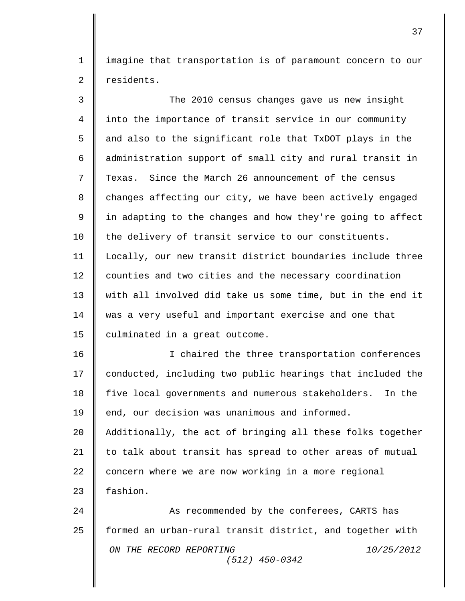1 imagine that transportation is of paramount concern to our 2 | residents.

3 The 2010 census changes gave us new insight 4 into the importance of transit service in our community  $5 \parallel$  and also to the significant role that TxDOT plays in the 6 | administration support of small city and rural transit in 7  $\parallel$  Texas. Since the March 26 announcement of the census  $8 \parallel$  changes affecting our city, we have been actively engaged 9  $\parallel$  in adapting to the changes and how they're going to affect 10 the delivery of transit service to our constituents. 11 Locally, our new transit district boundaries include three 12 counties and two cities and the necessary coordination 13 || with all involved did take us some time, but in the end it 14 was a very useful and important exercise and one that 15  $\parallel$  culminated in a great outcome.

16 || I chaired the three transportation conferences 17 | conducted, including two public hearings that included the 18 five local governments and numerous stakeholders. In the 19 end, our decision was unanimous and informed. 20 Additionally, the act of bringing all these folks together 21 | to talk about transit has spread to other areas of mutual 22 concern where we are now working in a more regional 23 **fashion** 

*ON THE RECORD REPORTING 10/25/2012 (512) 450-0342* 24 || As recommended by the conferees, CARTS has 25 | formed an urban-rural transit district, and together with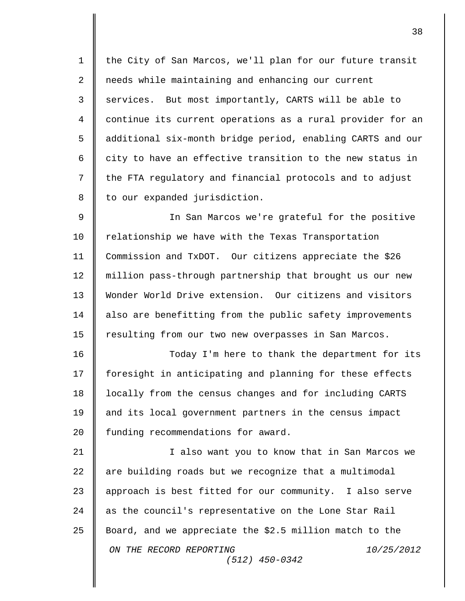1 || the City of San Marcos, we'll plan for our future transit 2 || needs while maintaining and enhancing our current 3 | services. But most importantly, CARTS will be able to 4 continue its current operations as a rural provider for an 5  $\parallel$  additional six-month bridge period, enabling CARTS and our 6  $\parallel$  city to have an effective transition to the new status in 7 | the FTA regulatory and financial protocols and to adjust 8 | to our expanded jurisdiction.

9 || In San Marcos we're grateful for the positive 10 | relationship we have with the Texas Transportation 11 Commission and TxDOT. Our citizens appreciate the \$26 12 million pass-through partnership that brought us our new 13 Wonder World Drive extension. Our citizens and visitors 14 | also are benefitting from the public safety improvements 15 | resulting from our two new overpasses in San Marcos.

16 **Today I'm here to thank the department for its** 17 | foresight in anticipating and planning for these effects 18 | locally from the census changes and for including CARTS 19 and its local government partners in the census impact 20 | funding recommendations for award.

*ON THE RECORD REPORTING 10/25/2012 (512) 450-0342* 21 || I also want you to know that in San Marcos we  $22$  | are building roads but we recognize that a multimodal 23 || approach is best fitted for our community. I also serve 24 as the council's representative on the Lone Star Rail 25 Board, and we appreciate the \$2.5 million match to the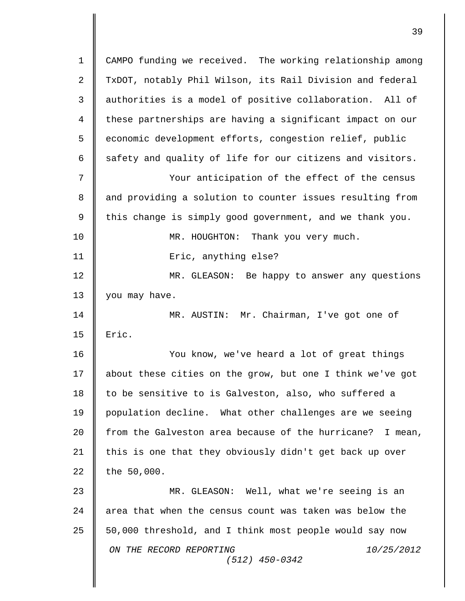*ON THE RECORD REPORTING 10/25/2012 (512) 450-0342* 1 CAMPO funding we received. The working relationship among 2 TxDOT, notably Phil Wilson, its Rail Division and federal 3 | authorities is a model of positive collaboration. All of 4 these partnerships are having a significant impact on our 5 | economic development efforts, congestion relief, public  $6 \parallel$  safety and quality of life for our citizens and visitors. 7 Your anticipation of the effect of the census 8 || and providing a solution to counter issues resulting from 9  $\parallel$  this change is simply good government, and we thank you. 10 **MR.** HOUGHTON: Thank you very much. 11 || Eric, anything else? 12 **MR.** GLEASON: Be happy to answer any questions 13  $\parallel$  you may have. 14 MR. AUSTIN: Mr. Chairman, I've got one of  $15$  | Eric. 16 You know, we've heard a lot of great things 17 | about these cities on the grow, but one I think we've got 18 to be sensitive to is Galveston, also, who suffered a 19 population decline. What other challenges are we seeing 20 from the Galveston area because of the hurricane? I mean, 21 | this is one that they obviously didn't get back up over  $22$  the 50,000. 23 MR. GLEASON: Well, what we're seeing is an  $24$   $\parallel$  area that when the census count was taken was below the 25  $\parallel$  50,000 threshold, and I think most people would say now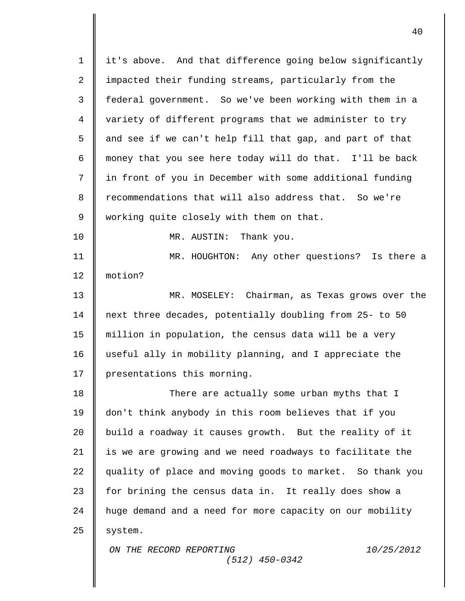| $\mathbf 1$  | it's above. And that difference going below significantly |
|--------------|-----------------------------------------------------------|
| $\sqrt{2}$   | impacted their funding streams, particularly from the     |
| $\mathsf{3}$ | federal government. So we've been working with them in a  |
| 4            | variety of different programs that we administer to try   |
| 5            | and see if we can't help fill that gap, and part of that  |
| 6            | money that you see here today will do that. I'll be back  |
| 7            | in front of you in December with some additional funding  |
| 8            | recommendations that will also address that. So we're     |
| 9            | working quite closely with them on that.                  |
| 10           | MR. AUSTIN: Thank you.                                    |
| 11           | MR. HOUGHTON: Any other questions? Is there a             |
| 12           | motion?                                                   |
| 13           | MR. MOSELEY: Chairman, as Texas grows over the            |
| 14           | next three decades, potentially doubling from 25- to 50   |
| 15           | million in population, the census data will be a very     |
| 16           | useful ally in mobility planning, and I appreciate the    |
| 17           | presentations this morning.                               |
| 18           | There are actually some urban myths that I                |
| 19           | don't think anybody in this room believes that if you     |
| 20           | build a roadway it causes growth. But the reality of it   |
| 21           | is we are growing and we need roadways to facilitate the  |
| 22           | quality of place and moving goods to market. So thank you |
| 23           | for brining the census data in. It really does show a     |
| 24           | huge demand and a need for more capacity on our mobility  |
| 25           | system.                                                   |
|              | ON THE RECORD REPORTING<br>10/25/2012<br>$(512)$ 450-0342 |
|              |                                                           |

 $\overline{\mathbf{I}}$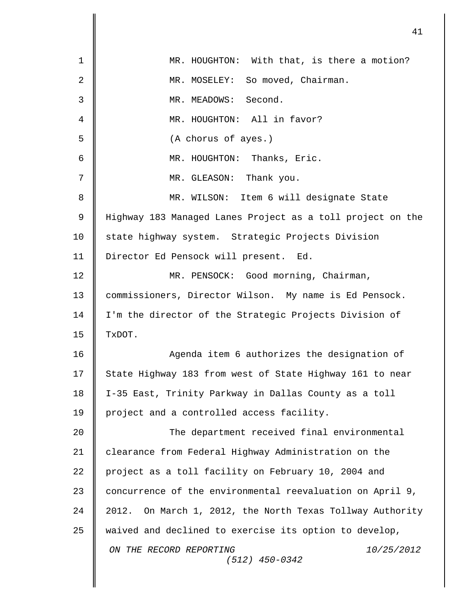|              | 41                                                           |
|--------------|--------------------------------------------------------------|
| $\mathbf 1$  | MR. HOUGHTON: With that, is there a motion?                  |
| $\mathbf{2}$ | MR. MOSELEY: So moved, Chairman.                             |
| 3            | Second.<br>MR. MEADOWS:                                      |
| 4            | MR. HOUGHTON: All in favor?                                  |
| 5            | (A chorus of ayes.)                                          |
| 6            | MR. HOUGHTON: Thanks, Eric.                                  |
| 7            | MR. GLEASON: Thank you.                                      |
| 8            | MR. WILSON: Item 6 will designate State                      |
| 9            | Highway 183 Managed Lanes Project as a toll project on the   |
| 10           | state highway system. Strategic Projects Division            |
| 11           | Director Ed Pensock will present. Ed.                        |
| 12           | MR. PENSOCK: Good morning, Chairman,                         |
| 13           | commissioners, Director Wilson. My name is Ed Pensock.       |
| 14           | I'm the director of the Strategic Projects Division of       |
| 15           | TxDOT.                                                       |
| 16           | Agenda item 6 authorizes the designation of                  |
| 17           | State Highway 183 from west of State Highway 161 to near     |
| 18           | I-35 East, Trinity Parkway in Dallas County as a toll        |
| 19           | project and a controlled access facility.                    |
| 20           | The department received final environmental                  |
| 21           | clearance from Federal Highway Administration on the         |
| 22           | project as a toll facility on February 10, 2004 and          |
| 23           | concurrence of the environmental reevaluation on April 9,    |
| 24           | On March 1, 2012, the North Texas Tollway Authority<br>2012. |
| 25           | waived and declined to exercise its option to develop,       |
|              | ON THE RECORD REPORTING<br>10/25/2012<br>$(512)$ 450-0342    |
|              |                                                              |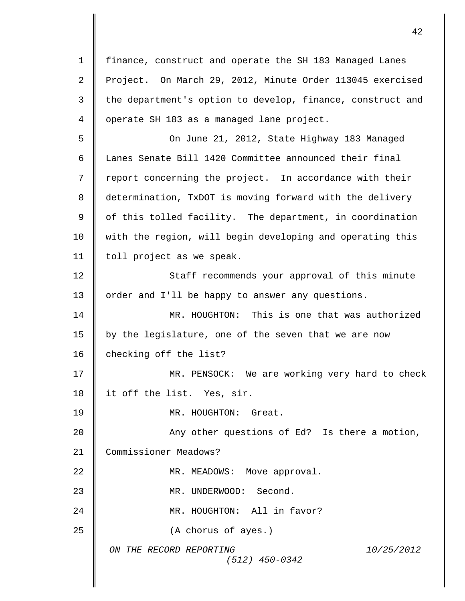*ON THE RECORD REPORTING 10/25/2012 (512) 450-0342* 1 finance, construct and operate the SH 183 Managed Lanes 2 Project. On March 29, 2012, Minute Order 113045 exercised  $3 \parallel$  the department's option to develop, finance, construct and 4 || operate SH 183 as a managed lane project. 5 On June 21, 2012, State Highway 183 Managed 6 || Lanes Senate Bill 1420 Committee announced their final 7 | report concerning the project. In accordance with their 8 determination, TxDOT is moving forward with the delivery  $9 \parallel$  of this tolled facility. The department, in coordination 10 | with the region, will begin developing and operating this 11 | toll project as we speak. 12 Staff recommends your approval of this minute 13 | order and I'll be happy to answer any questions. 14 MR. HOUGHTON: This is one that was authorized 15 | by the legislature, one of the seven that we are now 16 | checking off the list? 17 || MR. PENSOCK: We are working very hard to check 18 | it off the list. Yes, sir. 19 MR. HOUGHTON: Great. 20 || Any other questions of Ed? Is there a motion, 21 Commissioner Meadows? 22 **||** MR. MEADOWS: Move approval. 23 | MR. UNDERWOOD: Second. 24 MR. HOUGHTON: All in favor? 25 **(A** chorus of ayes.)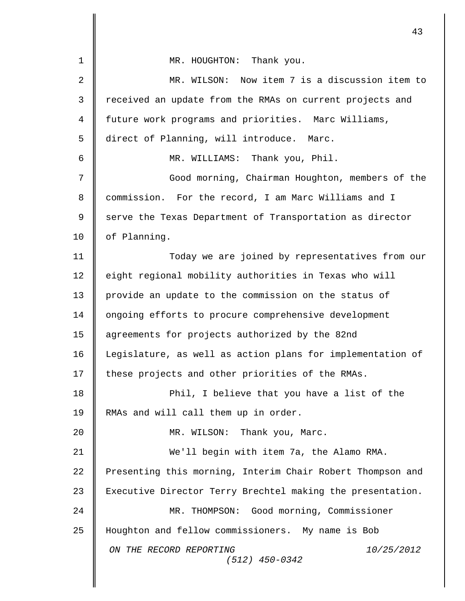|                | 43                                                         |
|----------------|------------------------------------------------------------|
| $\mathbf 1$    | MR. HOUGHTON: Thank you.                                   |
| $\overline{2}$ | MR. WILSON: Now item 7 is a discussion item to             |
| 3              | received an update from the RMAs on current projects and   |
| 4              | future work programs and priorities. Marc Williams,        |
| 5              | direct of Planning, will introduce. Marc.                  |
| 6              | MR. WILLIAMS: Thank you, Phil.                             |
| 7              | Good morning, Chairman Houghton, members of the            |
| 8              | commission. For the record, I am Marc Williams and I       |
| 9              | serve the Texas Department of Transportation as director   |
| 10             | of Planning.                                               |
| 11             | Today we are joined by representatives from our            |
| 12             | eight regional mobility authorities in Texas who will      |
| 13             | provide an update to the commission on the status of       |
| 14             | ongoing efforts to procure comprehensive development       |
| 15             | agreements for projects authorized by the 82nd             |
| 16             | Legislature, as well as action plans for implementation of |
| 17             | these projects and other priorities of the RMAs.           |
| 18             | Phil, I believe that you have a list of the                |
| 19             | RMAs and will call them up in order.                       |
| 20             | MR. WILSON: Thank you, Marc.                               |
| 21             | We'll begin with item 7a, the Alamo RMA.                   |
| 22             | Presenting this morning, Interim Chair Robert Thompson and |
| 23             | Executive Director Terry Brechtel making the presentation. |
| 24             | MR. THOMPSON: Good morning, Commissioner                   |
| 25             | Houghton and fellow commissioners. My name is Bob          |
|                | ON THE RECORD REPORTING<br>10/25/2012<br>$(512)$ 450-0342  |
|                |                                                            |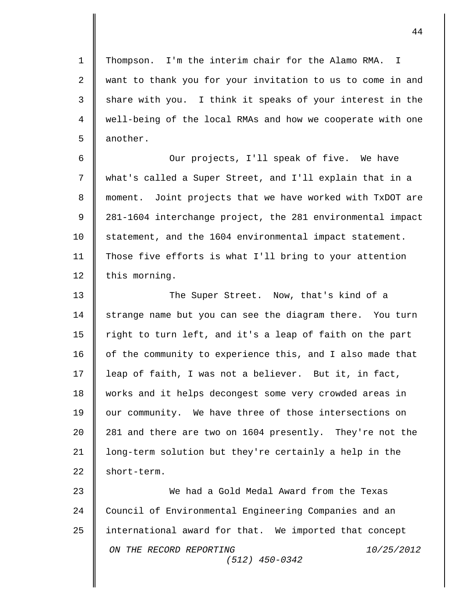1 Thompson. I'm the interim chair for the Alamo RMA. I 2 || want to thank you for your invitation to us to come in and  $3 \parallel$  share with you. I think it speaks of your interest in the 4 well-being of the local RMAs and how we cooperate with one  $5 \parallel$  another.

6 || Our projects, I'll speak of five. We have what's called a Super Street, and I'll explain that in a moment. Joint projects that we have worked with TxDOT are 281-1604 interchange project, the 281 environmental impact 10 statement, and the 1604 environmental impact statement. Those five efforts is what I'll bring to your attention  $\parallel$  this morning.

13 The Super Street. Now, that's kind of a 14 | strange name but you can see the diagram there. You turn 15  $\parallel$  right to turn left, and it's a leap of faith on the part 16 | of the community to experience this, and I also made that 17 | leap of faith, I was not a believer. But it, in fact, 18 | works and it helps decongest some very crowded areas in 19 | our community. We have three of those intersections on 20 | 281 and there are two on 1604 presently. They're not the 21 | long-term solution but they're certainly a help in the  $22 \parallel$  short-term.

*ON THE RECORD REPORTING 10/25/2012 (512) 450-0342* 23 We had a Gold Medal Award from the Texas 24 Council of Environmental Engineering Companies and an 25 international award for that. We imported that concept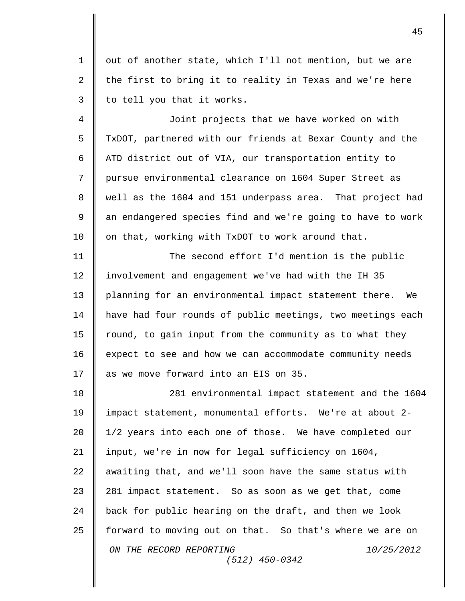1 || out of another state, which I'll not mention, but we are 2  $\parallel$  the first to bring it to reality in Texas and we're here  $3 \parallel$  to tell you that it works.

4 Joint projects that we have worked on with 5 TxDOT, partnered with our friends at Bexar County and the 6 | ATD district out of VIA, our transportation entity to 7 || pursue environmental clearance on 1604 Super Street as 8 || well as the 1604 and 151 underpass area. That project had  $9 \parallel$  an endangered species find and we're going to have to work  $10$  on that, working with TxDOT to work around that.

11 || The second effort I'd mention is the public 12 | involvement and engagement we've had with the IH 35 13 | planning for an environmental impact statement there. We 14 have had four rounds of public meetings, two meetings each  $15$  round, to gain input from the community as to what they 16 | expect to see and how we can accommodate community needs 17  $\parallel$  as we move forward into an EIS on 35.

*ON THE RECORD REPORTING 10/25/2012 (512) 450-0342* 18 281 environmental impact statement and the 1604 19 impact statement, monumental efforts. We're at about 2- 20 | 1/2 years into each one of those. We have completed our 21 | input, we're in now for legal sufficiency on 1604, 22  $\parallel$  awaiting that, and we'll soon have the same status with 23 281 impact statement. So as soon as we get that, come 24 | back for public hearing on the draft, and then we look 25 **f** forward to moving out on that. So that's where we are on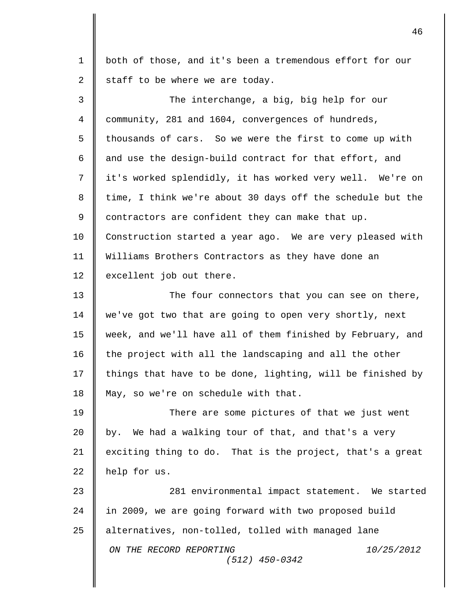*ON THE RECORD REPORTING 10/25/2012 (512) 450-0342* 1 both of those, and it's been a tremendous effort for our 2  $\parallel$  staff to be where we are today. 3 || The interchange, a big, big help for our 4 community, 281 and 1604, convergences of hundreds, 5 | thousands of cars. So we were the first to come up with  $6 \parallel$  and use the design-build contract for that effort, and 7 it's worked splendidly, it has worked very well. We're on 8  $\parallel$  time, I think we're about 30 days off the schedule but the  $9 \parallel$  contractors are confident they can make that up. 10 | Construction started a year ago. We are very pleased with 11 Williams Brothers Contractors as they have done an 12 excellent job out there. 13 The four connectors that you can see on there, 14 we've got two that are going to open very shortly, next 15 week, and we'll have all of them finished by February, and 16 | the project with all the landscaping and all the other 17  $\parallel$  things that have to be done, lighting, will be finished by 18 | May, so we're on schedule with that. 19 There are some pictures of that we just went 20  $\parallel$  by. We had a walking tour of that, and that's a very 21  $\parallel$  exciting thing to do. That is the project, that's a great 22 help for us. 23 **281** environmental impact statement. We started 24 | in 2009, we are going forward with two proposed build 25 alternatives, non-tolled, tolled with managed lane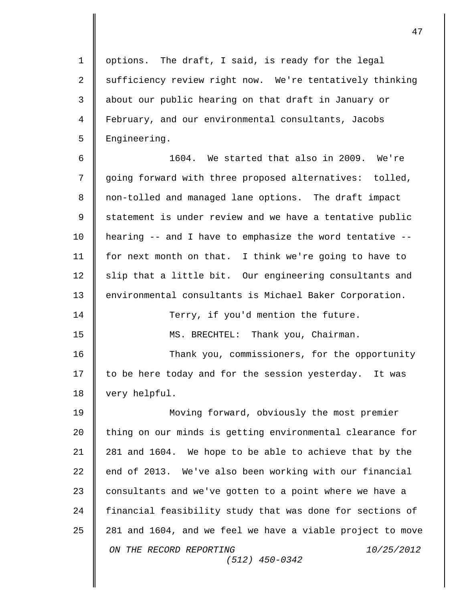1 | options. The draft, I said, is ready for the legal 2 Sufficiency review right now. We're tentatively thinking 3 || about our public hearing on that draft in January or 4 February, and our environmental consultants, Jacobs 5 | Engineering.

 $\parallel$  1604. We started that also in 2009. We're going forward with three proposed alternatives: tolled, 8 || non-tolled and managed lane options. The draft impact 9 Statement is under review and we have a tentative public hearing -- and I have to emphasize the word tentative -- for next month on that. I think we're going to have to slip that a little bit. Our engineering consultants and 13 environmental consultants is Michael Baker Corporation.

14 || Terry, if you'd mention the future.

15 MS. BRECHTEL: Thank you, Chairman.

16 Thank you, commissioners, for the opportunity 17 | to be here today and for the session yesterday. It was 18 | very helpful.

*ON THE RECORD REPORTING 10/25/2012 (512) 450-0342* 19 Moving forward, obviously the most premier 20 | thing on our minds is getting environmental clearance for 21 281 and 1604. We hope to be able to achieve that by the  $22$  | end of 2013. We've also been working with our financial 23 consultants and we've gotten to a point where we have a 24 | financial feasibility study that was done for sections of 25 281 and 1604, and we feel we have a viable project to move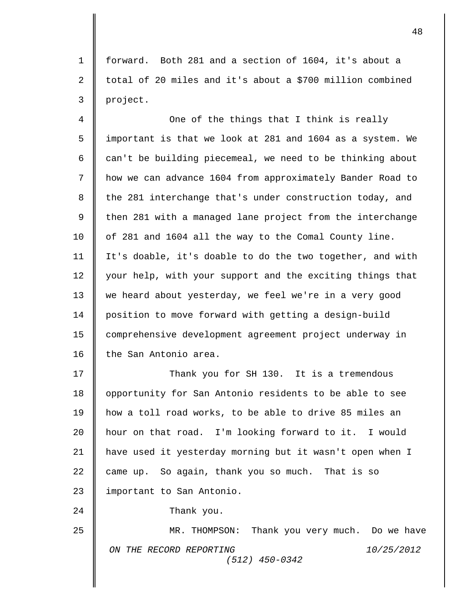forward. Both 281 and a section of 1604, it's about a  $\parallel$  total of 20 miles and it's about a \$700 million combined project.

 One of the things that I think is really important is that we look at 281 and 1604 as a system. We  $\parallel$  can't be building piecemeal, we need to be thinking about how we can advance 1604 from approximately Bander Road to 8 the 281 interchange that's under construction today, and  $\parallel$  then 281 with a managed lane project from the interchange 10 | of 281 and 1604 all the way to the Comal County line. It's doable, it's doable to do the two together, and with 12 your help, with your support and the exciting things that 13 we heard about yesterday, we feel we're in a very good position to move forward with getting a design-build comprehensive development agreement project underway in 16 the San Antonio area.

**Thank you for SH 130.** It is a tremendous 18 | opportunity for San Antonio residents to be able to see how a toll road works, to be able to drive 85 miles an hour on that road. I'm looking forward to it. I would have used it yesterday morning but it wasn't open when I came up. So again, thank you so much. That is so 23 | important to San Antonio.

**Thank** you.

*ON THE RECORD REPORTING 10/25/2012 (512) 450-0342* MR. THOMPSON: Thank you very much. Do we have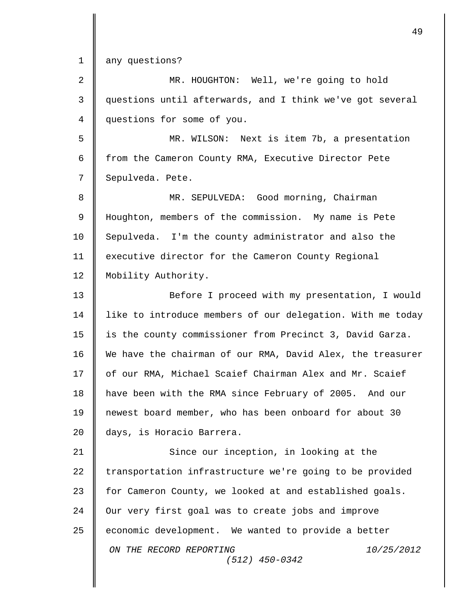1 any questions?

| $\overline{2}$ | MR. HOUGHTON: Well, we're going to hold                    |
|----------------|------------------------------------------------------------|
| 3              | questions until afterwards, and I think we've got several  |
| 4              | questions for some of you.                                 |
| 5              | MR. WILSON: Next is item 7b, a presentation                |
| 6              | from the Cameron County RMA, Executive Director Pete       |
| 7              | Sepulveda. Pete.                                           |
| 8              | MR. SEPULVEDA: Good morning, Chairman                      |
| $\mathsf 9$    | Houghton, members of the commission. My name is Pete       |
| 10             | Sepulveda. I'm the county administrator and also the       |
| 11             | executive director for the Cameron County Regional         |
| 12             | Mobility Authority.                                        |
| 13             | Before I proceed with my presentation, I would             |
| 14             | like to introduce members of our delegation. With me today |
| 15             | is the county commissioner from Precinct 3, David Garza.   |
| 16             | We have the chairman of our RMA, David Alex, the treasurer |
| 17             | of our RMA, Michael Scaief Chairman Alex and Mr. Scaief    |
| 18             | have been with the RMA since February of 2005. And our     |
| 19             | newest board member, who has been onboard for about 30     |
| 20             | days, is Horacio Barrera.                                  |
| 21             | Since our inception, in looking at the                     |
| 22             | transportation infrastructure we're going to be provided   |
| 23             | for Cameron County, we looked at and established goals.    |
| 24             | Our very first goal was to create jobs and improve         |
| 25             | economic development. We wanted to provide a better        |
|                | ON THE RECORD REPORTING<br>10/25/2012<br>$(512)$ 450-0342  |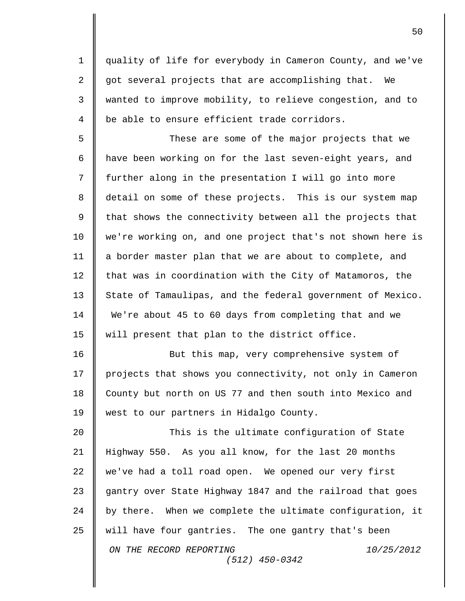quality of life for everybody in Cameron County, and we've  $\parallel$  got several projects that are accomplishing that. We wanted to improve mobility, to relieve congestion, and to  $4 \parallel$  be able to ensure efficient trade corridors.

5 These are some of the major projects that we 6 | have been working on for the last seven-eight years, and 7 | further along in the presentation I will go into more 8 detail on some of these projects. This is our system map  $9 \parallel$  that shows the connectivity between all the projects that 10 we're working on, and one project that's not shown here is 11 a border master plan that we are about to complete, and 12 that was in coordination with the City of Matamoros, the 13 State of Tamaulipas, and the federal government of Mexico. 14 We're about 45 to 60 days from completing that and we 15 || will present that plan to the district office.

16 || But this map, very comprehensive system of 17 projects that shows you connectivity, not only in Cameron 18 County but north on US 77 and then south into Mexico and 19 | west to our partners in Hidalgo County.

*ON THE RECORD REPORTING 10/25/2012 (512) 450-0342* **This is the ultimate configuration of State**  Highway 550. As you all know, for the last 20 months we've had a toll road open. We opened our very first 23 gantry over State Highway 1847 and the railroad that goes  $\parallel$  by there. When we complete the ultimate configuration, it will have four gantries. The one gantry that's been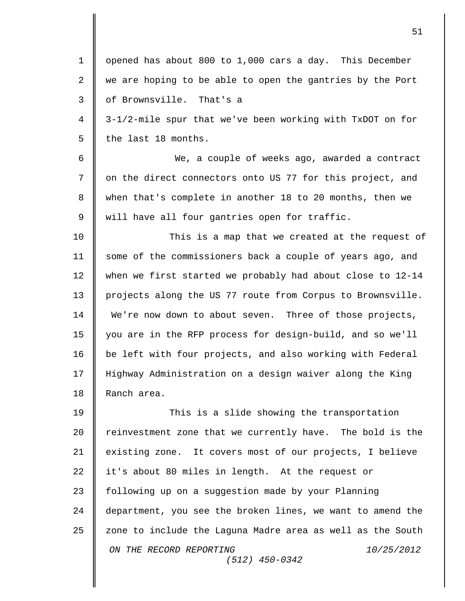| $\mathbf 1$    | opened has about 800 to 1,000 cars a day. This December    |
|----------------|------------------------------------------------------------|
| $\overline{2}$ | we are hoping to be able to open the gantries by the Port  |
| 3              | of Brownsville. That's a                                   |
| 4              | 3-1/2-mile spur that we've been working with TxDOT on for  |
| 5              | the last 18 months.                                        |
| 6              | We, a couple of weeks ago, awarded a contract              |
| 7              | on the direct connectors onto US 77 for this project, and  |
| 8              | when that's complete in another 18 to 20 months, then we   |
| 9              | will have all four gantries open for traffic.              |
| 10             | This is a map that we created at the request of            |
| 11             | some of the commissioners back a couple of years ago, and  |
| 12             | when we first started we probably had about close to 12-14 |
| 13             | projects along the US 77 route from Corpus to Brownsville. |
| 14             | We're now down to about seven. Three of those projects,    |
| 15             | you are in the RFP process for design-build, and so we'll  |
| 16             | be left with four projects, and also working with Federal  |
| 17             | Highway Administration on a design waiver along the King   |
| 18             | Ranch area.                                                |
| 19             | This is a slide showing the transportation                 |
| 20             | reinvestment zone that we currently have. The bold is the  |
| 21             | existing zone. It covers most of our projects, I believe   |
| 22             | it's about 80 miles in length. At the request or           |
| 23             | following up on a suggestion made by your Planning         |
| 24             | department, you see the broken lines, we want to amend the |
| 25             | zone to include the Laguna Madre area as well as the South |
|                | ON THE RECORD REPORTING<br>10/25/2012<br>$(512)$ 450-0342  |
|                |                                                            |

II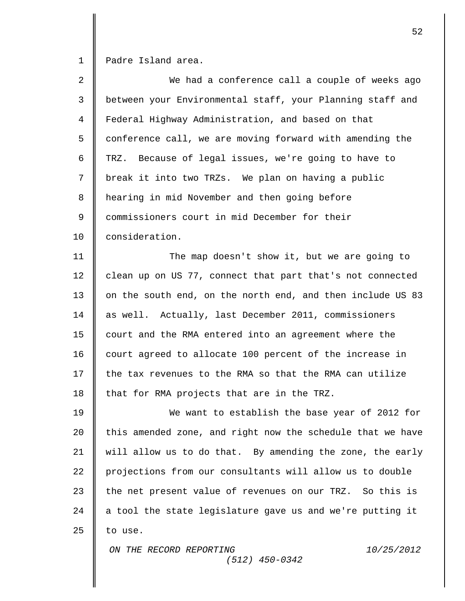1 | Padre Island area.

| 2  | We had a conference call a couple of weeks ago             |
|----|------------------------------------------------------------|
| 3  | between your Environmental staff, your Planning staff and  |
| 4  | Federal Highway Administration, and based on that          |
| 5  | conference call, we are moving forward with amending the   |
| 6  | TRZ. Because of legal issues, we're going to have to       |
| 7  | break it into two TRZs. We plan on having a public         |
| 8  | hearing in mid November and then going before              |
| 9  | commissioners court in mid December for their              |
| 10 | consideration.                                             |
| 11 | The map doesn't show it, but we are going to               |
| 12 | clean up on US 77, connect that part that's not connected  |
| 13 | on the south end, on the north end, and then include US 83 |
| 14 | as well. Actually, last December 2011, commissioners       |
| 15 | court and the RMA entered into an agreement where the      |
| 16 | court agreed to allocate 100 percent of the increase in    |
| 17 | the tax revenues to the RMA so that the RMA can utilize    |
| 18 | that for RMA projects that are in the TRZ.                 |
| 19 | We want to establish the base year of 2012 for             |
| 20 | this amended zone, and right now the schedule that we have |
| 21 | will allow us to do that. By amending the zone, the early  |
| 22 | projections from our consultants will allow us to double   |
| 23 | the net present value of revenues on our TRZ. So this is   |
| 24 | a tool the state legislature gave us and we're putting it  |
| 25 | to use.                                                    |
|    | ON THE RECORD REPORTING<br>10/25/2012<br>$(512)$ 450-0342  |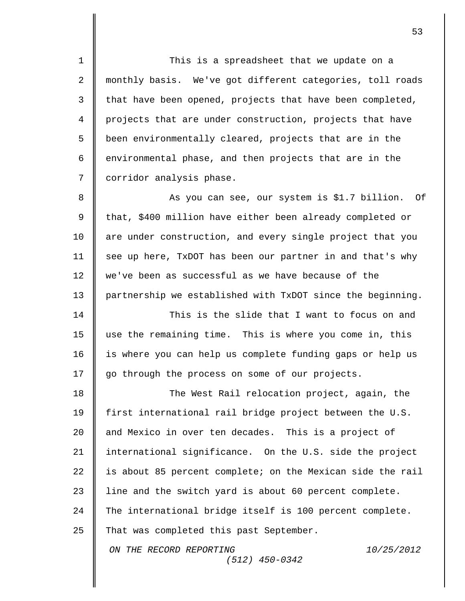1 || This is a spreadsheet that we update on a 2 monthly basis. We've got different categories, toll roads  $3 \parallel$  that have been opened, projects that have been completed, 4 projects that are under construction, projects that have  $5 \parallel$  been environmentally cleared, projects that are in the 6  $\parallel$  environmental phase, and then projects that are in the 7 | corridor analysis phase.

8 || As you can see, our system is \$1.7 billion. Of 9 that, \$400 million have either been already completed or 10 are under construction, and every single project that you  $11$  see up here, TxDOT has been our partner in and that's why 12 we've been as successful as we have because of the 13 partnership we established with TxDOT since the beginning.

14 **This is the slide that I want to focus on and** 15 use the remaining time. This is where you come in, this 16 | is where you can help us complete funding gaps or help us 17 | go through the process on some of our projects.

*ON THE RECORD REPORTING 10/25/2012* 18 | The West Rail relocation project, again, the 19 first international rail bridge project between the U.S. 20 and Mexico in over ten decades. This is a project of 21 | international significance. On the U.S. side the project 22  $\parallel$  is about 85 percent complete; on the Mexican side the rail 23 | line and the switch yard is about 60 percent complete. 24 The international bridge itself is 100 percent complete. 25  $\parallel$  That was completed this past September.

*(512) 450-0342*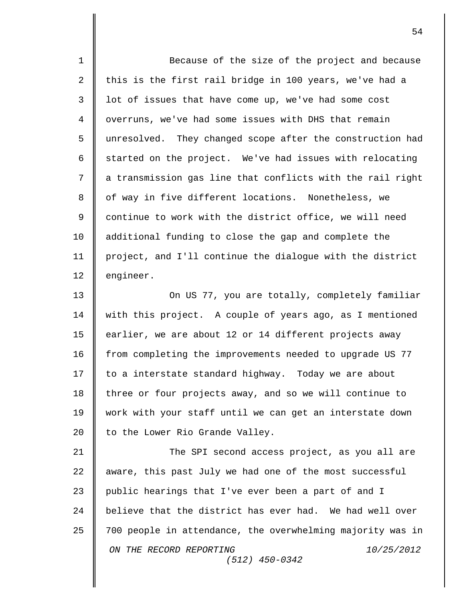*ON THE RECORD REPORTING 10/25/2012 (512) 450-0342* 1 || Because of the size of the project and because 2  $\parallel$  this is the first rail bridge in 100 years, we've had a 3  $\parallel$  lot of issues that have come up, we've had some cost 4 | overruns, we've had some issues with DHS that remain 5 || unresolved. They changed scope after the construction had 6  $\parallel$  started on the project. We've had issues with relocating  $7 \parallel a$  transmission gas line that conflicts with the rail right 8 || of way in five different locations. Nonetheless, we 9 || continue to work with the district office, we will need 10 | additional funding to close the gap and complete the 11 project, and I'll continue the dialogue with the district 12 | engineer. 13 **On US 77, you are totally, completely familiar** 14 with this project. A couple of years ago, as I mentioned 15 earlier, we are about 12 or 14 different projects away 16 from completing the improvements needed to upgrade US 77 17 | to a interstate standard highway. Today we are about 18 three or four projects away, and so we will continue to 19 work with your staff until we can get an interstate down 20  $\parallel$  to the Lower Rio Grande Valley. 21 **The SPI second access project, as you all are**  $22$   $\parallel$  aware, this past July we had one of the most successful 23 public hearings that I've ever been a part of and I  $24$   $\parallel$  believe that the district has ever had. We had well over 25  $\parallel$  700 people in attendance, the overwhelming majority was in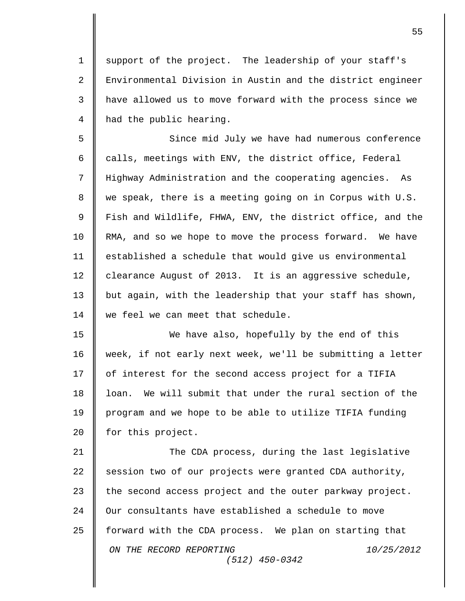1 | support of the project. The leadership of your staff's 2  $\parallel$  Environmental Division in Austin and the district engineer 3 | have allowed us to move forward with the process since we 4 | had the public hearing.

5 Since mid July we have had numerous conference 6  $\parallel$  calls, meetings with ENV, the district office, Federal 7 Highway Administration and the cooperating agencies. As  $8 \parallel$  we speak, there is a meeting going on in Corpus with U.S. 9  $\parallel$  Fish and Wildlife, FHWA, ENV, the district office, and the 10 | RMA, and so we hope to move the process forward. We have 11 established a schedule that would give us environmental 12 clearance August of 2013. It is an aggressive schedule, 13 but again, with the leadership that your staff has shown, 14 we feel we can meet that schedule.

15 We have also, hopefully by the end of this 16 week, if not early next week, we'll be submitting a letter 17 | of interest for the second access project for a TIFIA 18 loan. We will submit that under the rural section of the 19 program and we hope to be able to utilize TIFIA funding 20 | for this project.

*ON THE RECORD REPORTING 10/25/2012 (512) 450-0342* 21 | The CDA process, during the last legislative 22 session two of our projects were granted CDA authority, 23  $\parallel$  the second access project and the outer parkway project. 24 | Our consultants have established a schedule to move 25  $\parallel$  forward with the CDA process. We plan on starting that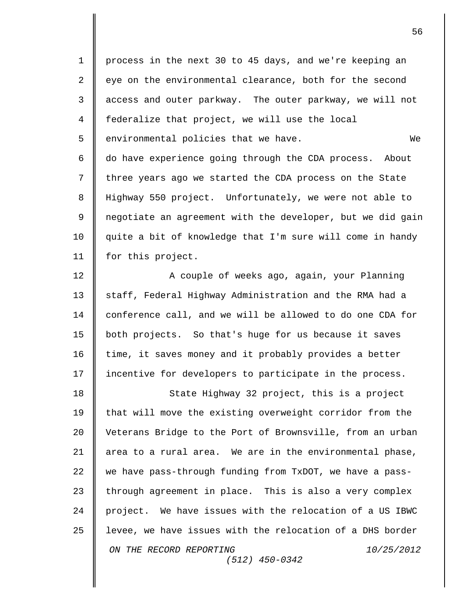| $\mathbf 1$    | process in the next 30 to 45 days, and we're keeping an    |
|----------------|------------------------------------------------------------|
| 2              | eye on the environmental clearance, both for the second    |
| 3              | access and outer parkway. The outer parkway, we will not   |
| $\overline{4}$ | federalize that project, we will use the local             |
| 5              | environmental policies that we have.<br>We                 |
| 6              | do have experience going through the CDA process. About    |
| 7              | three years ago we started the CDA process on the State    |
| 8              | Highway 550 project. Unfortunately, we were not able to    |
| 9              | negotiate an agreement with the developer, but we did gain |
| 10             | quite a bit of knowledge that I'm sure will come in handy  |
| 11             | for this project.                                          |
| 12             | A couple of weeks ago, again, your Planning                |
| 13             | staff, Federal Highway Administration and the RMA had a    |
| 14             | conference call, and we will be allowed to do one CDA for  |
| 15             | both projects. So that's huge for us because it saves      |
| 16             | time, it saves money and it probably provides a better     |
| 17             | incentive for developers to participate in the process.    |
| 18             | State Highway 32 project, this is a project                |
| 19             | that will move the existing overweight corridor from the   |
| 20             | Veterans Bridge to the Port of Brownsville, from an urban  |
| 21             | area to a rural area. We are in the environmental phase,   |
| 22             | we have pass-through funding from TxDOT, we have a pass-   |
| 23             | through agreement in place. This is also a very complex    |
| 24             | project. We have issues with the relocation of a US IBWC   |
| 25             | levee, we have issues with the relocation of a DHS border  |
|                | ON THE RECORD REPORTING<br>10/25/2012<br>$(512)$ 450-0342  |
|                |                                                            |

 $\overline{\mathbf{I}}$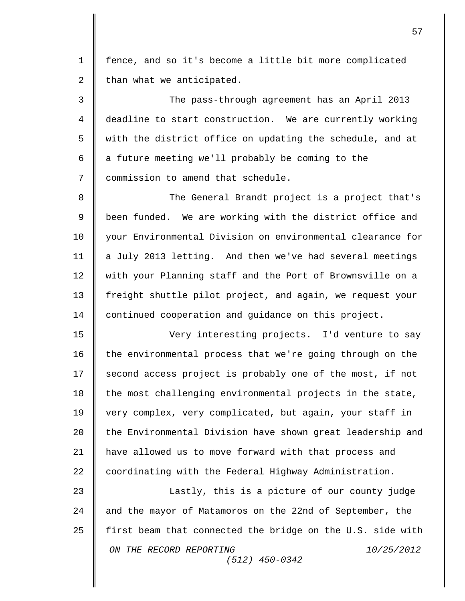1 fence, and so it's become a little bit more complicated 2  $\parallel$  than what we anticipated.

3 The pass-through agreement has an April 2013 4 deadline to start construction. We are currently working 5 || with the district office on updating the schedule, and at 6  $\parallel$  a future meeting we'll probably be coming to the 7 | commission to amend that schedule.

8 The General Brandt project is a project that's 9 || been funded. We are working with the district office and 10 your Environmental Division on environmental clearance for 11 a July 2013 letting. And then we've had several meetings 12 with your Planning staff and the Port of Brownsville on a 13 Freight shuttle pilot project, and again, we request your 14 continued cooperation and guidance on this project.

15 Very interesting projects. I'd venture to say 16 | the environmental process that we're going through on the 17 | second access project is probably one of the most, if not  $18$  the most challenging environmental projects in the state, 19 very complex, very complicated, but again, your staff in 20 | the Environmental Division have shown great leadership and 21 | have allowed us to move forward with that process and 22 coordinating with the Federal Highway Administration.

*ON THE RECORD REPORTING 10/25/2012 (512) 450-0342* 23 || Lastly, this is a picture of our county judge 24 and the mayor of Matamoros on the 22nd of September, the 25  $\parallel$  first beam that connected the bridge on the U.S. side with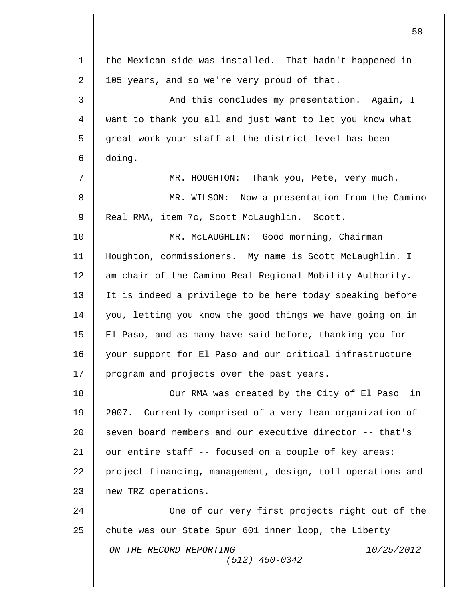| $\mathbf 1$    | the Mexican side was installed. That hadn't happened in    |
|----------------|------------------------------------------------------------|
| $\overline{2}$ | 105 years, and so we're very proud of that.                |
| 3              | And this concludes my presentation. Again, I               |
| $\overline{4}$ | want to thank you all and just want to let you know what   |
| 5              | great work your staff at the district level has been       |
| 6              | doing.                                                     |
| 7              | MR. HOUGHTON: Thank you, Pete, very much.                  |
| 8              | MR. WILSON: Now a presentation from the Camino             |
| $\mathsf 9$    | Real RMA, item 7c, Scott McLaughlin. Scott.                |
| 10             | MR. MCLAUGHLIN: Good morning, Chairman                     |
| 11             | Houghton, commissioners. My name is Scott McLaughlin. I    |
| 12             | am chair of the Camino Real Regional Mobility Authority.   |
| 13             | It is indeed a privilege to be here today speaking before  |
| 14             | you, letting you know the good things we have going on in  |
| 15             | El Paso, and as many have said before, thanking you for    |
| 16             | your support for El Paso and our critical infrastructure   |
| 17             | program and projects over the past years.                  |
| 18             | Our RMA was created by the City of El Paso<br>in           |
| 19             | 2007. Currently comprised of a very lean organization of   |
| 20             | seven board members and our executive director -- that's   |
| 21             | our entire staff -- focused on a couple of key areas:      |
| 22             | project financing, management, design, toll operations and |
| 23             | new TRZ operations.                                        |
| 24             | One of our very first projects right out of the            |
| 25             | chute was our State Spur 601 inner loop, the Liberty       |
|                | ON THE RECORD REPORTING<br>10/25/2012<br>$(512)$ 450-0342  |
|                |                                                            |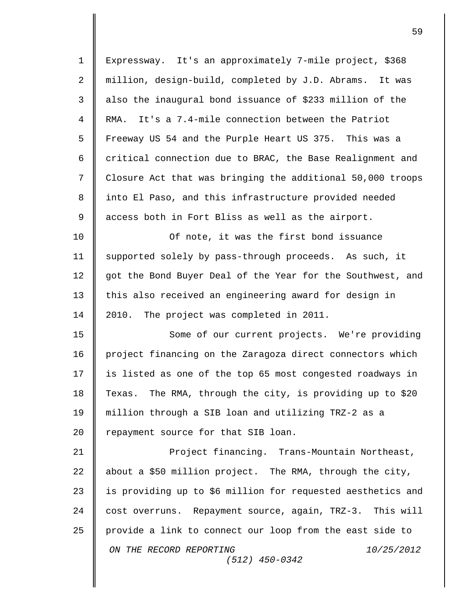| $\mathbf 1$    | Expressway. It's an approximately 7-mile project, \$368     |
|----------------|-------------------------------------------------------------|
| 2              | million, design-build, completed by J.D. Abrams. It was     |
| 3              | also the inaugural bond issuance of \$233 million of the    |
| $\overline{4}$ | It's a 7.4-mile connection between the Patriot<br>RMA.      |
| 5              | Freeway US 54 and the Purple Heart US 375. This was a       |
| 6              | critical connection due to BRAC, the Base Realignment and   |
| 7              | Closure Act that was bringing the additional 50,000 troops  |
| 8              | into El Paso, and this infrastructure provided needed       |
| 9              | access both in Fort Bliss as well as the airport.           |
| 10             | Of note, it was the first bond issuance                     |
| 11             | supported solely by pass-through proceeds. As such, it      |
| 12             | got the Bond Buyer Deal of the Year for the Southwest, and  |
| 13             | this also received an engineering award for design in       |
| 14             | The project was completed in 2011.<br>2010.                 |
| 15             | Some of our current projects. We're providing               |
| 16             | project financing on the Zaragoza direct connectors which   |
| 17             | is listed as one of the top 65 most congested roadways in   |
| 18             | Texas. The RMA, through the city, is providing up to \$20   |
| 19             | million through a SIB loan and utilizing TRZ-2 as a         |
| 20             | repayment source for that SIB loan.                         |
| 21             | Project financing. Trans-Mountain Northeast,                |
| 22             | about a \$50 million project. The RMA, through the city,    |
| 23             | is providing up to \$6 million for requested aesthetics and |
| 24             | cost overruns. Repayment source, again, TRZ-3. This will    |
| 25             | provide a link to connect our loop from the east side to    |
|                | ON THE RECORD REPORTING<br>10/25/2012<br>$(512)$ 450-0342   |
|                |                                                             |

 $\mathbf{I}$ 

I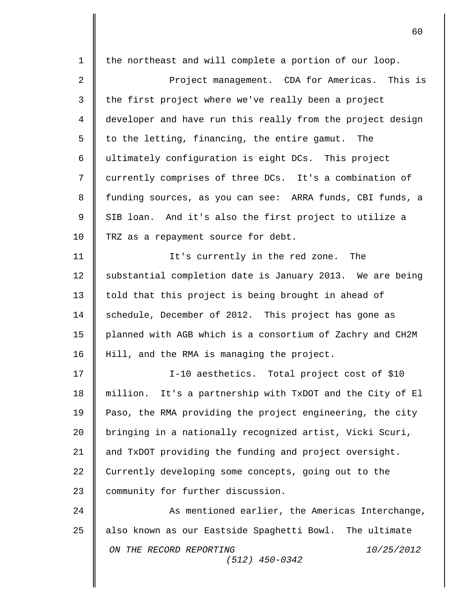|             | 60                                                         |
|-------------|------------------------------------------------------------|
| $\mathbf 1$ | the northeast and will complete a portion of our loop.     |
| 2           | Project management. CDA for Americas. This is              |
| 3           | the first project where we've really been a project        |
| 4           | developer and have run this really from the project design |
| 5           | to the letting, financing, the entire gamut. The           |
| 6           | ultimately configuration is eight DCs. This project        |
| 7           | currently comprises of three DCs. It's a combination of    |
| 8           | funding sources, as you can see: ARRA funds, CBI funds, a  |
| $\mathsf 9$ | SIB loan. And it's also the first project to utilize a     |
| 10          | TRZ as a repayment source for debt.                        |
| 11          | It's currently in the red zone.<br>The                     |
| 12          | substantial completion date is January 2013. We are being  |
| 13          | told that this project is being brought in ahead of        |
| 14          | schedule, December of 2012. This project has gone as       |
| 15          | planned with AGB which is a consortium of Zachry and CH2M  |
| 16          | Hill, and the RMA is managing the project.                 |
| 17          | I-10 aesthetics. Total project cost of \$10                |
| 18          | million. It's a partnership with TxDOT and the City of El  |
| 19          | Paso, the RMA providing the project engineering, the city  |
| 20          | bringing in a nationally recognized artist, Vicki Scuri,   |
| 21          | and TxDOT providing the funding and project oversight.     |
| 22          | Currently developing some concepts, going out to the       |
| 23          | community for further discussion.                          |
| 24          | As mentioned earlier, the Americas Interchange,            |
| 25          | also known as our Eastside Spaghetti Bowl. The ultimate    |
|             | ON THE RECORD REPORTING<br>10/25/2012<br>$(512)$ 450-0342  |
|             |                                                            |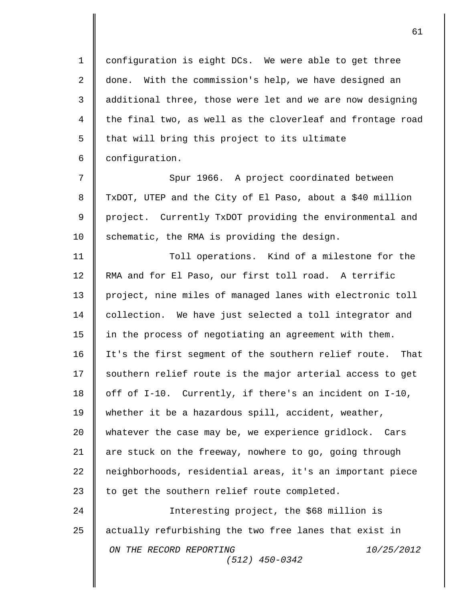1 configuration is eight DCs. We were able to get three 2 | done. With the commission's help, we have designed an 3 | additional three, those were let and we are now designing 4 the final two, as well as the cloverleaf and frontage road  $5$  | that will bring this project to its ultimate 6 | configuration.

7 || Spur 1966. A project coordinated between 8 | TxDOT, UTEP and the City of El Paso, about a \$40 million 9 project. Currently TxDOT providing the environmental and 10 | schematic, the RMA is providing the design.

11 Toll operations. Kind of a milestone for the 12 RMA and for El Paso, our first toll road. A terrific 13 project, nine miles of managed lanes with electronic toll 14 | collection. We have just selected a toll integrator and 15 | in the process of negotiating an agreement with them. 16 It's the first segment of the southern relief route. That 17 | southern relief route is the major arterial access to get 18 | off of I-10. Currently, if there's an incident on I-10, 19 whether it be a hazardous spill, accident, weather, 20 | whatever the case may be, we experience gridlock. Cars 21 | are stuck on the freeway, nowhere to go, going through 22 | neighborhoods, residential areas, it's an important piece 23  $\parallel$  to get the southern relief route completed.

*ON THE RECORD REPORTING 10/25/2012 (512) 450-0342* 24 Interesting project, the \$68 million is 25 actually refurbishing the two free lanes that exist in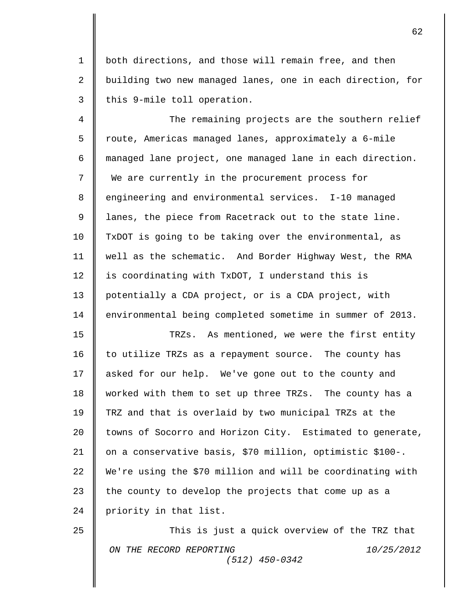1 both directions, and those will remain free, and then 2 || building two new managed lanes, one in each direction, for  $3 \parallel$  this 9-mile toll operation.

4  $\parallel$  The remaining projects are the southern relief 5 | route, Americas managed lanes, approximately a 6-mile 6 managed lane project, one managed lane in each direction. 7 We are currently in the procurement process for 8 engineering and environmental services. I-10 managed 9 lanes, the piece from Racetrack out to the state line. 10 TxDOT is going to be taking over the environmental, as 11 well as the schematic. And Border Highway West, the RMA 12  $\parallel$  is coordinating with TxDOT, I understand this is 13 potentially a CDA project, or is a CDA project, with 14 | environmental being completed sometime in summer of 2013. 15 || TRZs. As mentioned, we were the first entity

16 | to utilize TRZs as a repayment source. The county has 17 asked for our help. We've gone out to the county and 18 worked with them to set up three TRZs. The county has a 19 TRZ and that is overlaid by two municipal TRZs at the 20 | towns of Socorro and Horizon City. Estimated to generate, 21 on a conservative basis, \$70 million, optimistic \$100-. 22  $\parallel$  We're using the \$70 million and will be coordinating with 23  $\parallel$  the county to develop the projects that come up as a 24 | priority in that list.

*ON THE RECORD REPORTING 10/25/2012 (512) 450-0342* 25  $\parallel$  This is just a quick overview of the TRZ that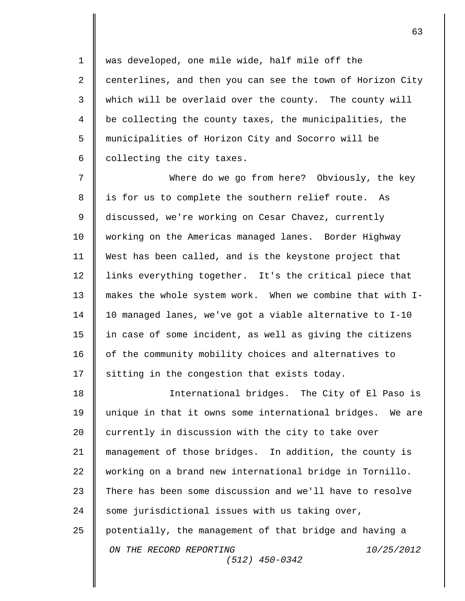1 || was developed, one mile wide, half mile off the  $2 \parallel$  centerlines, and then you can see the town of Horizon City 3 | which will be overlaid over the county. The county will be collecting the county taxes, the municipalities, the municipalities of Horizon City and Socorro will be 6 | collecting the city taxes.

 Where do we go from here? Obviously, the key 8 || is for us to complete the southern relief route. As discussed, we're working on Cesar Chavez, currently working on the Americas managed lanes. Border Highway West has been called, and is the keystone project that links everything together. It's the critical piece that makes the whole system work. When we combine that with I- 10 managed lanes, we've got a viable alternative to I-10 15 || in case of some incident, as well as giving the citizens 16 | of the community mobility choices and alternatives to  $\parallel$  sitting in the congestion that exists today.

*ON THE RECORD REPORTING 10/25/2012 (512) 450-0342* International bridges. The City of El Paso is unique in that it owns some international bridges. We are 20 currently in discussion with the city to take over management of those bridges. In addition, the county is working on a brand new international bridge in Tornillo.  $\parallel$  There has been some discussion and we'll have to resolve 24 | some jurisdictional issues with us taking over, potentially, the management of that bridge and having a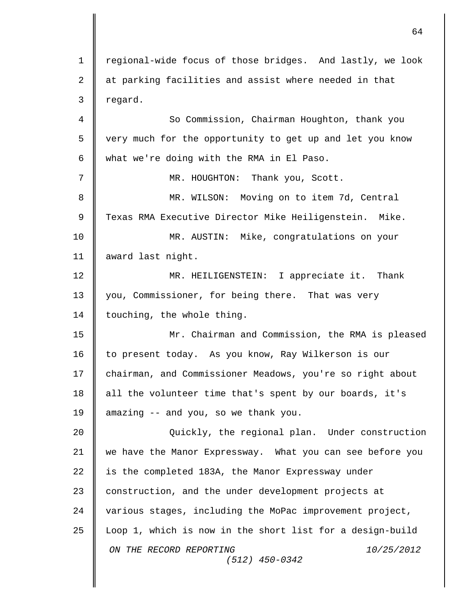*ON THE RECORD REPORTING 10/25/2012 (512) 450-0342* 1 | regional-wide focus of those bridges. And lastly, we look  $2 \parallel$  at parking facilities and assist where needed in that  $3 \parallel$  regard. 4  $\parallel$  So Commission, Chairman Houghton, thank you 5 | very much for the opportunity to get up and let you know 6  $\parallel$  what we're doing with the RMA in El Paso. 7 MR. HOUGHTON: Thank you, Scott. 8 || MR. WILSON: Moving on to item 7d, Central 9 Texas RMA Executive Director Mike Heiligenstein. Mike. 10 MR. AUSTIN: Mike, congratulations on your 11 award last night. 12 MR. HEILIGENSTEIN: I appreciate it. Thank 13 you, Commissioner, for being there. That was very 14 | touching, the whole thing. 15 Mr. Chairman and Commission, the RMA is pleased 16 to present today. As you know, Ray Wilkerson is our 17 | chairman, and Commissioner Meadows, you're so right about  $18$  | all the volunteer time that's spent by our boards, it's 19 || amazing -- and you, so we thank you. 20 Quickly, the regional plan. Under construction 21 we have the Manor Expressway. What you can see before you  $22$  | is the completed 183A, the Manor Expressway under 23 construction, and the under development projects at 24 various stages, including the MoPac improvement project, 25 Loop 1, which is now in the short list for a design-build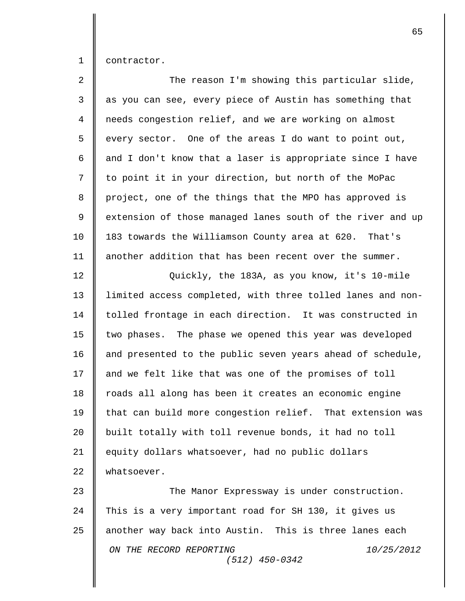1 contractor.

| $\overline{2}$ | The reason I'm showing this particular slide,              |
|----------------|------------------------------------------------------------|
| 3              | as you can see, every piece of Austin has something that   |
| $\overline{4}$ | needs congestion relief, and we are working on almost      |
| 5              | every sector. One of the areas I do want to point out,     |
| 6              | and I don't know that a laser is appropriate since I have  |
| 7              | to point it in your direction, but north of the MoPac      |
| 8              | project, one of the things that the MPO has approved is    |
| 9              | extension of those managed lanes south of the river and up |
| 10             | 183 towards the Williamson County area at 620. That's      |
| 11             | another addition that has been recent over the summer.     |
| 12             | Quickly, the 183A, as you know, it's 10-mile               |
| 13             | limited access completed, with three tolled lanes and non- |
| 14             | tolled frontage in each direction. It was constructed in   |
| 15             | two phases. The phase we opened this year was developed    |
| 16             | and presented to the public seven years ahead of schedule, |
| 17             | and we felt like that was one of the promises of toll      |
| 18             | roads all along has been it creates an economic engine     |
| 19             | that can build more congestion relief. That extension was  |
| 20             | built totally with toll revenue bonds, it had no toll      |
| 21             | equity dollars whatsoever, had no public dollars           |
| 22             | whatsoever.                                                |
| 23             | The Manor Expressway is under construction.                |
| 24             | This is a very important road for SH 130, it gives us      |
| 25             | another way back into Austin. This is three lanes each     |
|                | ON THE RECORD REPORTING<br>10/25/2012<br>$(512)$ 450-0342  |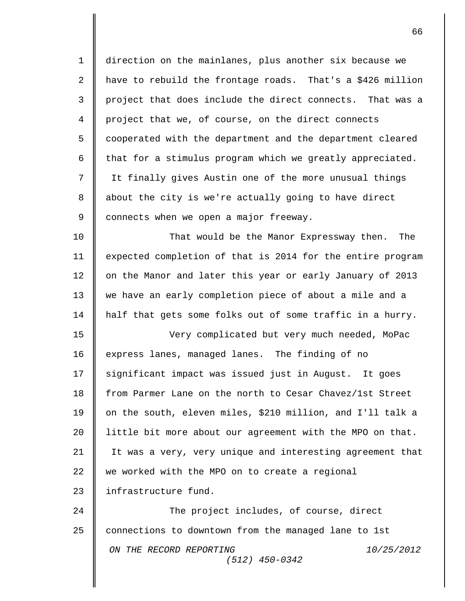| $\mathbf 1$ | direction on the mainlanes, plus another six because we    |
|-------------|------------------------------------------------------------|
| 2           | have to rebuild the frontage roads. That's a \$426 million |
| 3           | project that does include the direct connects. That was a  |
| 4           | project that we, of course, on the direct connects         |
| 5           | cooperated with the department and the department cleared  |
| 6           | that for a stimulus program which we greatly appreciated.  |
| 7           | It finally gives Austin one of the more unusual things     |
| 8           | about the city is we're actually going to have direct      |
| 9           | connects when we open a major freeway.                     |
| 10          | That would be the Manor Expressway then.<br>The            |
| 11          | expected completion of that is 2014 for the entire program |
| 12          | on the Manor and later this year or early January of 2013  |
| 13          | we have an early completion piece of about a mile and a    |
| 14          | half that gets some folks out of some traffic in a hurry.  |
| 15          | Very complicated but very much needed, MoPac               |
| 16          | express lanes, managed lanes. The finding of no            |
| 17          | significant impact was issued just in August. It goes      |
| 18          | from Parmer Lane on the north to Cesar Chavez/1st Street   |
| 19          | on the south, eleven miles, \$210 million, and I'll talk a |
| 20          | little bit more about our agreement with the MPO on that.  |
| 21          | It was a very, very unique and interesting agreement that  |
| 22          | we worked with the MPO on to create a regional             |
| 23          | infrastructure fund.                                       |
| 24          | The project includes, of course, direct                    |
| 25          | connections to downtown from the managed lane to 1st       |
|             | ON THE RECORD REPORTING<br>10/25/2012<br>$(512)$ 450-0342  |
|             |                                                            |

 $\overline{\mathbf{I}}$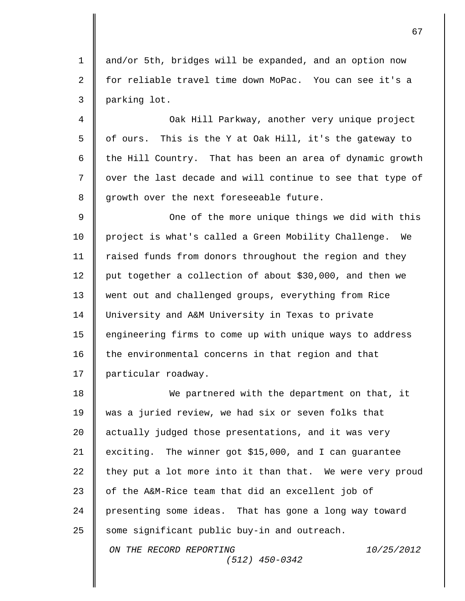1 and/or 5th, bridges will be expanded, and an option now 2 for reliable travel time down MoPac. You can see it's a 3 parking lot.

 $\parallel$  Oak Hill Parkway, another very unique project  $\parallel$  of ours. This is the Y at Oak Hill, it's the gateway to  $\parallel$  the Hill Country. That has been an area of dynamic growth 7 || over the last decade and will continue to see that type of || growth over the next foreseeable future.

9 || One of the more unique things we did with this 10 | project is what's called a Green Mobility Challenge. We 11 | raised funds from donors throughout the region and they 12 put together a collection of about \$30,000, and then we 13 went out and challenged groups, everything from Rice 14 University and A&M University in Texas to private 15 | engineering firms to come up with unique ways to address  $16$  | the environmental concerns in that region and that 17 | particular roadway.

*ON THE RECORD REPORTING 10/25/2012* 18 We partnered with the department on that, it 19 was a juried review, we had six or seven folks that 20 | actually judged those presentations, and it was very 21 exciting. The winner got \$15,000, and I can guarantee 22  $\parallel$  they put a lot more into it than that. We were very proud 23  $\parallel$  of the A&M-Rice team that did an excellent job of 24 | presenting some ideas. That has gone a long way toward  $25$  some significant public buy-in and outreach.

*(512) 450-0342*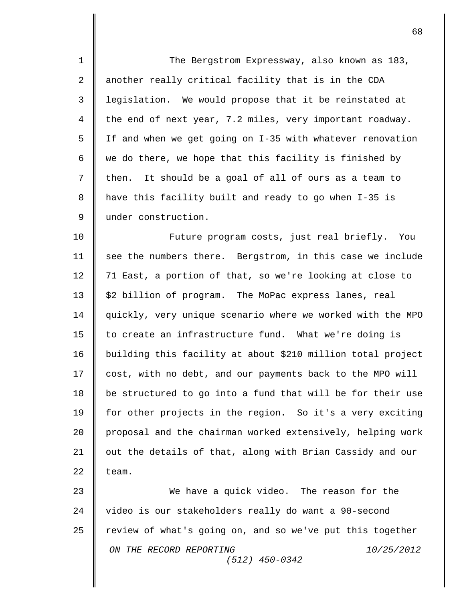1 The Bergstrom Expressway, also known as 183, 2 || another really critical facility that is in the CDA 3 | legislation. We would propose that it be reinstated at 4 the end of next year, 7.2 miles, very important roadway. 5 If and when we get going on I-35 with whatever renovation 6  $\parallel$  we do there, we hope that this facility is finished by  $7 \parallel$  then. It should be a goal of all of ours as a team to 8 have this facility built and ready to go when I-35 is 9 | under construction. 10 **Future program costs, just real briefly.** You 11 | see the numbers there. Bergstrom, in this case we include 12 || 71 East, a portion of that, so we're looking at close to 13 | \$2 billion of program. The MoPac express lanes, real 14 quickly, very unique scenario where we worked with the MPO 15 | to create an infrastructure fund. What we're doing is 16 building this facility at about \$210 million total project 17 | cost, with no debt, and our payments back to the MPO will 18  $\parallel$  be structured to go into a fund that will be for their use 19 | for other projects in the region. So it's a very exciting 20 | proposal and the chairman worked extensively, helping work 21 | out the details of that, along with Brian Cassidy and our 22  $\parallel$  team. 23 We have a quick video. The reason for the 24 | video is our stakeholders really do want a 90-second

*ON THE RECORD REPORTING 10/25/2012 (512) 450-0342*  $25$  review of what's going on, and so we've put this together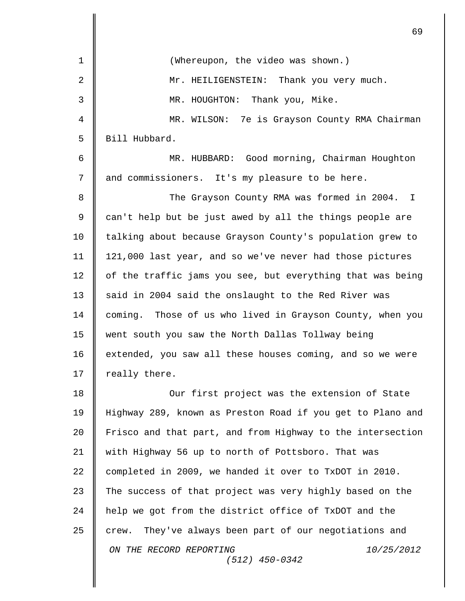|                | 69                                                           |
|----------------|--------------------------------------------------------------|
| $\mathbf 1$    | (Whereupon, the video was shown.)                            |
| $\overline{2}$ | Mr. HEILIGENSTEIN: Thank you very much.                      |
| 3              | MR. HOUGHTON: Thank you, Mike.                               |
| 4              | MR. WILSON: 7e is Grayson County RMA Chairman                |
| 5              | Bill Hubbard.                                                |
| 6              | MR. HUBBARD: Good morning, Chairman Houghton                 |
| 7              | and commissioners. It's my pleasure to be here.              |
| 8              | The Grayson County RMA was formed in 2004.<br>I.             |
| $\mathsf 9$    | can't help but be just awed by all the things people are     |
| 10             | talking about because Grayson County's population grew to    |
| 11             | 121,000 last year, and so we've never had those pictures     |
| 12             | of the traffic jams you see, but everything that was being   |
| 13             | said in 2004 said the onslaught to the Red River was         |
| 14             | Those of us who lived in Grayson County, when you<br>coming. |
| 15             | went south you saw the North Dallas Tollway being            |
| 16             | extended, you saw all these houses coming, and so we were    |
| 17             | really there.                                                |
| 18             | Our first project was the extension of State                 |
| 19             | Highway 289, known as Preston Road if you get to Plano and   |
| 20             | Frisco and that part, and from Highway to the intersection   |
| 21             | with Highway 56 up to north of Pottsboro. That was           |
| 22             | completed in 2009, we handed it over to TxDOT in 2010.       |
| 23             | The success of that project was very highly based on the     |
| 24             | help we got from the district office of TxDOT and the        |
| 25             | They've always been part of our negotiations and<br>crew.    |
|                | ON THE RECORD REPORTING<br>10/25/2012<br>$(512)$ 450-0342    |
|                |                                                              |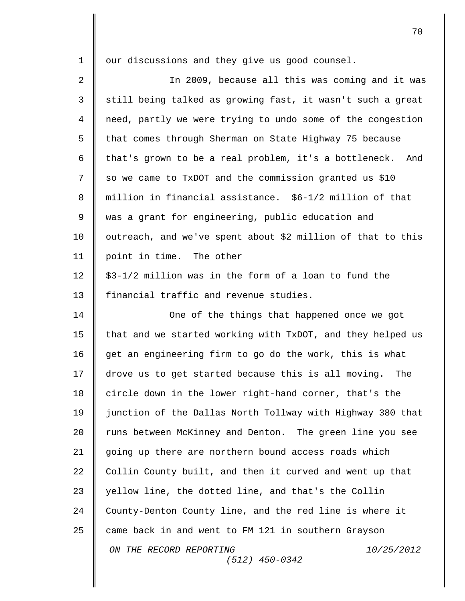| $\mathbf 1$ | our discussions and they give us good counsel.              |
|-------------|-------------------------------------------------------------|
| 2           | In 2009, because all this was coming and it was             |
| 3           | still being talked as growing fast, it wasn't such a great  |
| 4           | need, partly we were trying to undo some of the congestion  |
| 5           | that comes through Sherman on State Highway 75 because      |
| 6           | that's grown to be a real problem, it's a bottleneck. And   |
| 7           | so we came to TxDOT and the commission granted us \$10      |
| 8           | million in financial assistance. \$6-1/2 million of that    |
| 9           | was a grant for engineering, public education and           |
| 10          | outreach, and we've spent about \$2 million of that to this |
| 11          | point in time. The other                                    |
| 12          | \$3-1/2 million was in the form of a loan to fund the       |
| 13          | financial traffic and revenue studies.                      |
| 14          | One of the things that happened once we got                 |
| 15          | that and we started working with TxDOT, and they helped us  |
| 16          | get an engineering firm to go do the work, this is what     |
| 17          | drove us to get started because this is all moving.<br>The  |
| 18          | circle down in the lower right-hand corner, that's the      |
| 19          | junction of the Dallas North Tollway with Highway 380 that  |
| 20          | runs between McKinney and Denton. The green line you see    |
| 21          | going up there are northern bound access roads which        |
| 22          | Collin County built, and then it curved and went up that    |
| 23          | yellow line, the dotted line, and that's the Collin         |
| 24          | County-Denton County line, and the red line is where it     |
| 25          | came back in and went to FM 121 in southern Grayson         |
|             | ON THE RECORD REPORTING<br>10/25/2012<br>$(512)$ 450-0342   |
|             |                                                             |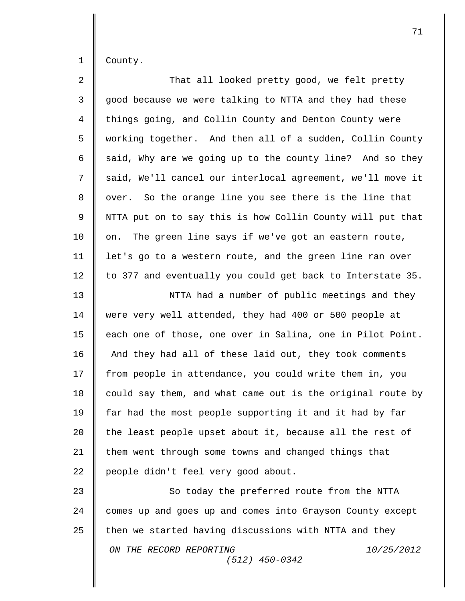1 County.

II

| $\overline{2}$ | That all looked pretty good, we felt pretty                |
|----------------|------------------------------------------------------------|
| $\mathfrak{Z}$ | good because we were talking to NTTA and they had these    |
| $\overline{4}$ | things going, and Collin County and Denton County were     |
| 5              | working together. And then all of a sudden, Collin County  |
| 6              | said, Why are we going up to the county line? And so they  |
| 7              | said, We'll cancel our interlocal agreement, we'll move it |
| 8              | over. So the orange line you see there is the line that    |
| 9              | NTTA put on to say this is how Collin County will put that |
| 10             | The green line says if we've got an eastern route,<br>on.  |
| 11             | let's go to a western route, and the green line ran over   |
| 12             | to 377 and eventually you could get back to Interstate 35. |
| 13             | NTTA had a number of public meetings and they              |
| 14             | were very well attended, they had 400 or 500 people at     |
| 15             | each one of those, one over in Salina, one in Pilot Point. |
| 16             | And they had all of these laid out, they took comments     |
| 17             | from people in attendance, you could write them in, you    |
| 18             | could say them, and what came out is the original route by |
| 19             | far had the most people supporting it and it had by far    |
| 20             | the least people upset about it, because all the rest of   |
| 21             | them went through some towns and changed things that       |
| 22             | people didn't feel very good about.                        |
| 23             | So today the preferred route from the NTTA                 |
| 24             | comes up and goes up and comes into Grayson County except  |
| 25             | then we started having discussions with NTTA and they      |
|                | ON THE RECORD REPORTING<br>10/25/2012<br>$(512)$ 450-0342  |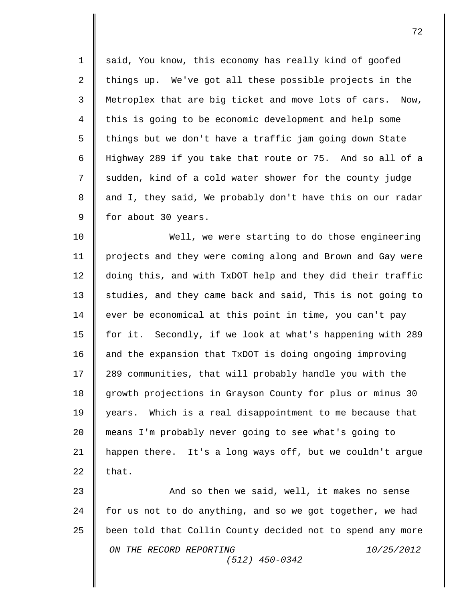1 | said, You know, this economy has really kind of goofed 2 things up. We've got all these possible projects in the 3 Metroplex that are big ticket and move lots of cars. Now, 4 this is going to be economic development and help some 5  $\parallel$  things but we don't have a traffic jam going down State 6 Highway 289 if you take that route or 75. And so all of a 7 || sudden, kind of a cold water shower for the county judge 8 || and I, they said, We probably don't have this on our radar  $9 \parallel$  for about 30 years.

 Well, we were starting to do those engineering projects and they were coming along and Brown and Gay were doing this, and with TxDOT help and they did their traffic  $\parallel$  studies, and they came back and said, This is not going to 14 | ever be economical at this point in time, you can't pay for it. Secondly, if we look at what's happening with 289 16 and the expansion that TxDOT is doing ongoing improving 17 | 289 communities, that will probably handle you with the 18 growth projections in Grayson County for plus or minus 30 years. Which is a real disappointment to me because that means I'm probably never going to see what's going to happen there. It's a long ways off, but we couldn't argue  $\parallel$  that.

*ON THE RECORD REPORTING 10/25/2012 (512) 450-0342* 23 **And so then we said, well, it makes no sense** 24 for us not to do anything, and so we got together, we had 25 | been told that Collin County decided not to spend any more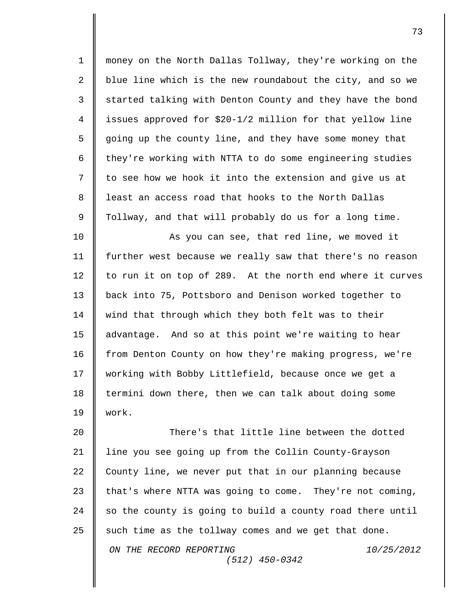1 money on the North Dallas Tollway, they're working on the 2 blue line which is the new roundabout the city, and so we 3 started talking with Denton County and they have the bond 4 issues approved for \$20-1/2 million for that yellow line 5 going up the county line, and they have some money that 6  $\parallel$  they're working with NTTA to do some engineering studies  $7 \parallel$  to see how we hook it into the extension and give us at 8 || least an access road that hooks to the North Dallas 9 | Tollway, and that will probably do us for a long time. 10 || As you can see, that red line, we moved it

11 further west because we really saw that there's no reason 12 to run it on top of 289. At the north end where it curves 13 back into 75, Pottsboro and Denison worked together to 14 | wind that through which they both felt was to their 15 | advantage. And so at this point we're waiting to hear 16 from Denton County on how they're making progress, we're 17 | working with Bobby Littlefield, because once we get a 18 termini down there, then we can talk about doing some 19  $\blacksquare$  work.

*ON THE RECORD REPORTING 10/25/2012 (512) 450-0342* 20  $\parallel$  There's that little line between the dotted 21 | line you see going up from the Collin County-Grayson 22 County line, we never put that in our planning because 23  $\parallel$  that's where NTTA was going to come. They're not coming,  $24$   $\parallel$  so the county is going to build a county road there until 25 such time as the tollway comes and we get that done.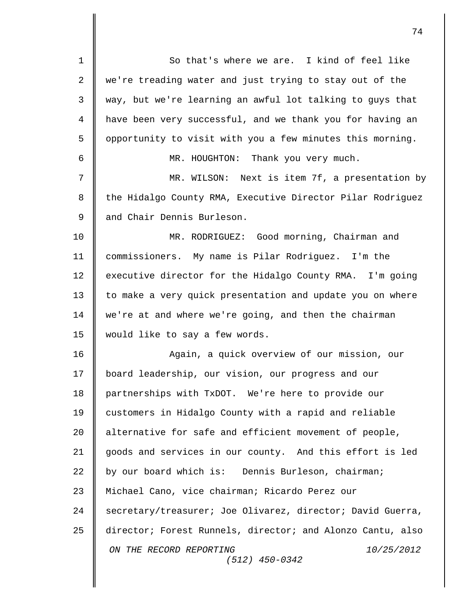*ON THE RECORD REPORTING 10/25/2012 (512) 450-0342* 1 || So that's where we are. I kind of feel like 2 we're treading water and just trying to stay out of the  $3 \parallel$  way, but we're learning an awful lot talking to guys that 4 have been very successful, and we thank you for having an  $5 \parallel$  opportunity to visit with you a few minutes this morning. 6 MR. HOUGHTON: Thank you very much. 7 MR. WILSON: Next is item 7f, a presentation by 8 | the Hidalgo County RMA, Executive Director Pilar Rodriguez 9 and Chair Dennis Burleson. 10 MR. RODRIGUEZ: Good morning, Chairman and 11 commissioners. My name is Pilar Rodriguez. I'm the 12 executive director for the Hidalgo County RMA. I'm going 13 to make a very quick presentation and update you on where 14 we're at and where we're going, and then the chairman 15 would like to say a few words. 16 Again, a quick overview of our mission, our 17 | board leadership, our vision, our progress and our 18 partnerships with TxDOT. We're here to provide our 19 customers in Hidalgo County with a rapid and reliable 20 | alternative for safe and efficient movement of people, 21 goods and services in our county. And this effort is led 22 by our board which is: Dennis Burleson, chairman; 23 | Michael Cano, vice chairman; Ricardo Perez our 24 Secretary/treasurer; Joe Olivarez, director; David Guerra, 25 director; Forest Runnels, director; and Alonzo Cantu, also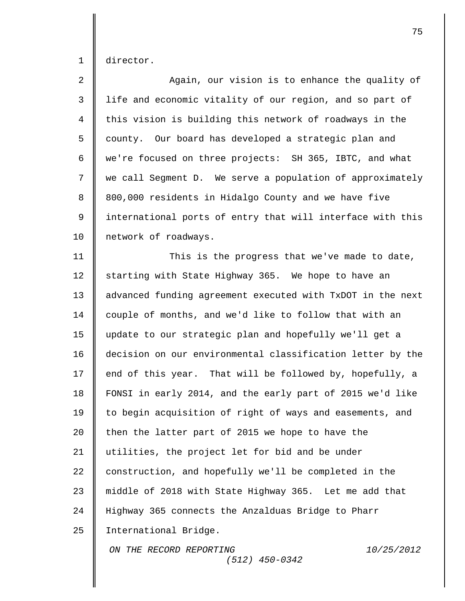1 director.

| $\overline{a}$ | Again, our vision is to enhance the quality of             |
|----------------|------------------------------------------------------------|
| $\mathfrak{Z}$ | life and economic vitality of our region, and so part of   |
| $\overline{4}$ | this vision is building this network of roadways in the    |
| 5              | county. Our board has developed a strategic plan and       |
| 6              | we're focused on three projects: SH 365, IBTC, and what    |
| 7              | we call Segment D. We serve a population of approximately  |
| 8              | 800,000 residents in Hidalgo County and we have five       |
| 9              | international ports of entry that will interface with this |
| 10             | network of roadways.                                       |
| 11             | This is the progress that we've made to date,              |
| 12             | starting with State Highway 365. We hope to have an        |
| 13             | advanced funding agreement executed with TxDOT in the next |
| 14             | couple of months, and we'd like to follow that with an     |
| 15             | update to our strategic plan and hopefully we'll get a     |
| 16             | decision on our environmental classification letter by the |
| 17             | end of this year. That will be followed by, hopefully, a   |
| 18             | FONSI in early 2014, and the early part of 2015 we'd like  |
| 19             | to begin acquisition of right of ways and easements, and   |
| 20             | then the latter part of 2015 we hope to have the           |
| 21             | utilities, the project let for bid and be under            |
| 22             | construction, and hopefully we'll be completed in the      |
| 23             | middle of 2018 with State Highway 365. Let me add that     |
| 24             | Highway 365 connects the Anzalduas Bridge to Pharr         |
| 25             | International Bridge.                                      |
|                | ON THE RECORD REPORTING<br>10/25/2012<br>$(512)$ 450-0342  |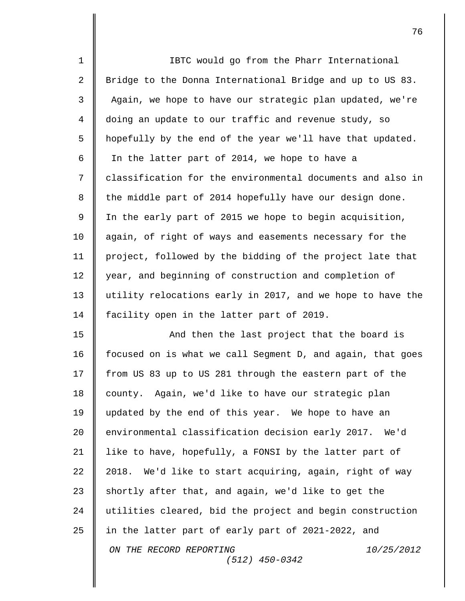| $\mathbf 1$    | IBTC would go from the Pharr International                 |
|----------------|------------------------------------------------------------|
| $\overline{a}$ | Bridge to the Donna International Bridge and up to US 83.  |
| 3              | Again, we hope to have our strategic plan updated, we're   |
| 4              | doing an update to our traffic and revenue study, so       |
| 5              | hopefully by the end of the year we'll have that updated.  |
| 6              | In the latter part of 2014, we hope to have a              |
| 7              | classification for the environmental documents and also in |
| 8              | the middle part of 2014 hopefully have our design done.    |
| 9              | In the early part of 2015 we hope to begin acquisition,    |
| 10             | again, of right of ways and easements necessary for the    |
| 11             | project, followed by the bidding of the project late that  |
| 12             | year, and beginning of construction and completion of      |
| 13             | utility relocations early in 2017, and we hope to have the |
| 14             | facility open in the latter part of 2019.                  |
| 15             | And then the last project that the board is                |
| 16             | focused on is what we call Segment D, and again, that goes |
| 17             | from US 83 up to US 281 through the eastern part of the    |
| 18             | county. Again, we'd like to have our strategic plan        |
| 19             | updated by the end of this year. We hope to have an        |
| 20             | environmental classification decision early 2017. We'd     |
| 21             | like to have, hopefully, a FONSI by the latter part of     |
| 22             | We'd like to start acquiring, again, right of way<br>2018. |
| 23             | shortly after that, and again, we'd like to get the        |
| 24             | utilities cleared, bid the project and begin construction  |
| 25             | in the latter part of early part of 2021-2022, and         |
|                | 10/25/2012<br>ON THE RECORD REPORTING<br>$(512)$ 450-0342  |
|                |                                                            |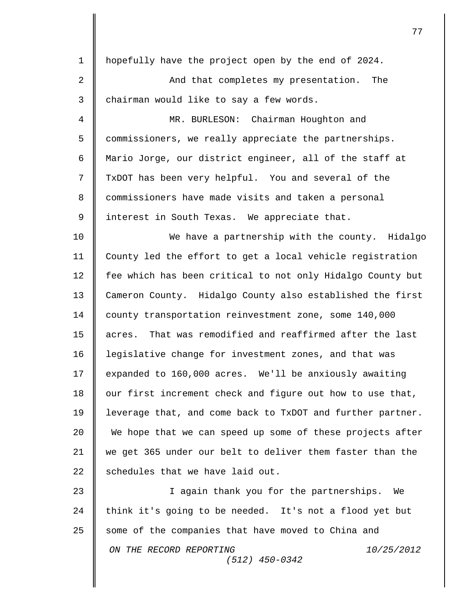| $\mathbf 1$ | hopefully have the project open by the end of 2024.         |
|-------------|-------------------------------------------------------------|
| 2           | And that completes my presentation.<br>The                  |
| 3           | chairman would like to say a few words.                     |
| 4           | MR. BURLESON: Chairman Houghton and                         |
| 5           | commissioners, we really appreciate the partnerships.       |
| 6           | Mario Jorge, our district engineer, all of the staff at     |
| 7           | TxDOT has been very helpful. You and several of the         |
| 8           | commissioners have made visits and taken a personal         |
| 9           | interest in South Texas. We appreciate that.                |
| 10          | We have a partnership with the county. Hidalgo              |
| 11          | County led the effort to get a local vehicle registration   |
| 12          | fee which has been critical to not only Hidalgo County but  |
| 13          | Cameron County. Hidalgo County also established the first   |
| 14          | county transportation reinvestment zone, some 140,000       |
| 15          | That was remodified and reaffirmed after the last<br>acres. |
| 16          | legislative change for investment zones, and that was       |
| 17          | expanded to 160,000 acres. We'll be anxiously awaiting      |
| 18          | our first increment check and figure out how to use that,   |
| 19          | leverage that, and come back to TxDOT and further partner.  |
| 20          | We hope that we can speed up some of these projects after   |
| 21          | we get 365 under our belt to deliver them faster than the   |
| 22          | schedules that we have laid out.                            |
| 23          | I again thank you for the partnerships. We                  |
| 24          | think it's going to be needed. It's not a flood yet but     |
| 25          | some of the companies that have moved to China and          |
|             | ON THE RECORD REPORTING<br>10/25/2012<br>$(512)$ 450-0342   |
|             |                                                             |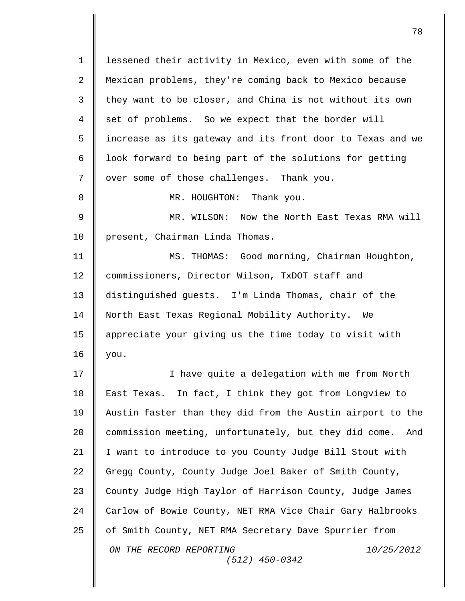*ON THE RECORD REPORTING 10/25/2012 (512) 450-0342* 1 | lessened their activity in Mexico, even with some of the 2 Mexican problems, they're coming back to Mexico because  $3 \parallel$  they want to be closer, and China is not without its own 4 set of problems. So we expect that the border will 5 increase as its gateway and its front door to Texas and we 6 | look forward to being part of the solutions for getting 7 | over some of those challenges. Thank you. 8 **||** MR. HOUGHTON: Thank you. 9 MR. WILSON: Now the North East Texas RMA will 10 | present, Chairman Linda Thomas. 11 MS. THOMAS: Good morning, Chairman Houghton, 12 commissioners, Director Wilson, TxDOT staff and 13 distinguished guests. I'm Linda Thomas, chair of the 14 North East Texas Regional Mobility Authority. We 15 appreciate your giving us the time today to visit with  $16$  | you. 17 || I have quite a delegation with me from North 18 East Texas. In fact, I think they got from Longview to 19 Austin faster than they did from the Austin airport to the 20 commission meeting, unfortunately, but they did come. And 21 I want to introduce to you County Judge Bill Stout with 22 Gregg County, County Judge Joel Baker of Smith County, 23 County Judge High Taylor of Harrison County, Judge James 24 Carlow of Bowie County, NET RMA Vice Chair Gary Halbrooks 25 | of Smith County, NET RMA Secretary Dave Spurrier from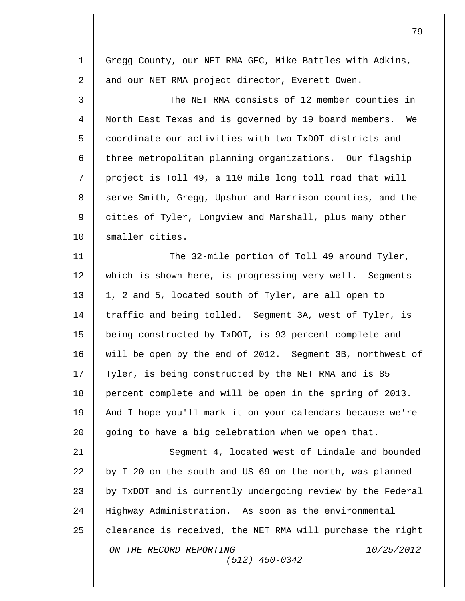*ON THE RECORD REPORTING 10/25/2012 (512) 450-0342* 1 Gregg County, our NET RMA GEC, Mike Battles with Adkins, 2 || and our NET RMA project director, Everett Owen. 3 The NET RMA consists of 12 member counties in 4 North East Texas and is governed by 19 board members. We 5  $\parallel$  coordinate our activities with two TxDOT districts and  $6$   $\parallel$  three metropolitan planning organizations. Our flagship 7 || project is Toll 49, a 110 mile long toll road that will 8 Serve Smith, Gregg, Upshur and Harrison counties, and the 9 || cities of Tyler, Longview and Marshall, plus many other 10 Smaller cities. 11 The 32-mile portion of Toll 49 around Tyler, 12 which is shown here, is progressing very well. Segments 13 || 1, 2 and 5, located south of Tyler, are all open to 14 | traffic and being tolled. Segment 3A, west of Tyler, is 15 being constructed by TxDOT, is 93 percent complete and 16 will be open by the end of 2012. Segment 3B, northwest of 17 | Tyler, is being constructed by the NET RMA and is 85 18 percent complete and will be open in the spring of 2013. 19 | And I hope you'll mark it on your calendars because we're 20 going to have a big celebration when we open that. 21 Segment 4, located west of Lindale and bounded 22 by I-20 on the south and US 69 on the north, was planned 23 by TxDOT and is currently undergoing review by the Federal 24 Highway Administration. As soon as the environmental 25  $\parallel$  clearance is received, the NET RMA will purchase the right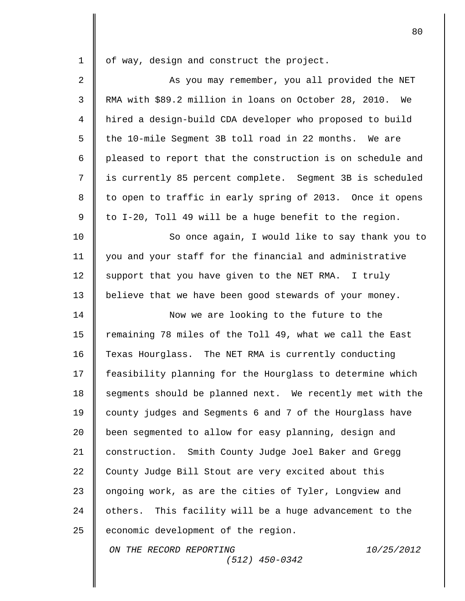1 | of way, design and construct the project.

2 || As you may remember, you all provided the NET RMA with \$89.2 million in loans on October 28, 2010. We hired a design-build CDA developer who proposed to build  $\parallel$  the 10-mile Seqment 3B toll road in 22 months. We are 6 pleased to report that the construction is on schedule and is currently 85 percent complete. Segment 3B is scheduled 8 || to open to traffic in early spring of 2013. Once it opens  $\parallel$  to I-20, Toll 49 will be a huge benefit to the region.

10 So once again, I would like to say thank you to 11 you and your staff for the financial and administrative 12  $\parallel$  support that you have given to the NET RMA. I truly 13 | believe that we have been good stewards of your money.

14 **Now we are looking to the future to the** 15 Tremaining 78 miles of the Toll 49, what we call the East 16 Texas Hourglass. The NET RMA is currently conducting 17 | feasibility planning for the Hourglass to determine which 18 | segments should be planned next. We recently met with the 19 county judges and Segments 6 and 7 of the Hourglass have 20 **been segmented to allow for easy planning, design and** 21 construction. Smith County Judge Joel Baker and Gregg 22 County Judge Bill Stout are very excited about this 23 | ongoing work, as are the cities of Tyler, Longview and 24 | others. This facility will be a huge advancement to the  $25$  | economic development of the region.

*(512) 450-0342*

*ON THE RECORD REPORTING 10/25/2012*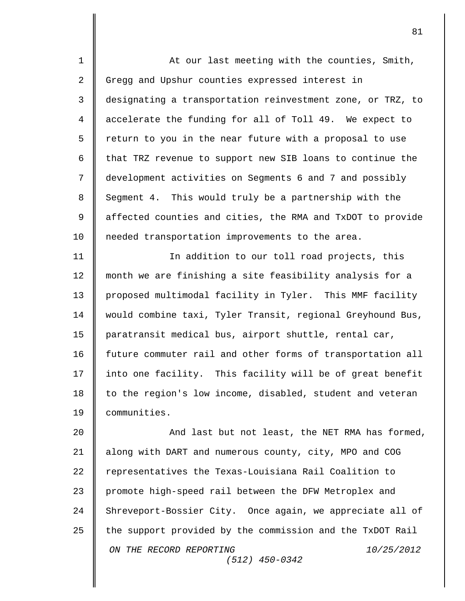| $\mathbf 1$    | At our last meeting with the counties, Smith,              |
|----------------|------------------------------------------------------------|
| 2              | Gregg and Upshur counties expressed interest in            |
| 3              | designating a transportation reinvestment zone, or TRZ, to |
| $\overline{4}$ | accelerate the funding for all of Toll 49. We expect to    |
| 5              | return to you in the near future with a proposal to use    |
| 6              | that TRZ revenue to support new SIB loans to continue the  |
| 7              | development activities on Segments 6 and 7 and possibly    |
| 8              | Segment 4. This would truly be a partnership with the      |
| $\mathsf 9$    | affected counties and cities, the RMA and TxDOT to provide |
| 10             | needed transportation improvements to the area.            |
| 11             | In addition to our toll road projects, this                |
| 12             | month we are finishing a site feasibility analysis for a   |
| 13             | proposed multimodal facility in Tyler. This MMF facility   |
| 14             | would combine taxi, Tyler Transit, regional Greyhound Bus, |
| 15             | paratransit medical bus, airport shuttle, rental car,      |
| 16             | future commuter rail and other forms of transportation all |
| 17             | into one facility. This facility will be of great benefit  |
| 18             | to the region's low income, disabled, student and veteran  |
| 19             | communities.                                               |
| 20             | And last but not least, the NET RMA has formed,            |
| 21             | along with DART and numerous county, city, MPO and COG     |
| 22             | representatives the Texas-Louisiana Rail Coalition to      |
| 23             | promote high-speed rail between the DFW Metroplex and      |
| 24             | Shreveport-Bossier City. Once again, we appreciate all of  |
| 25             | the support provided by the commission and the TxDOT Rail  |
|                | ON THE RECORD REPORTING<br>10/25/2012<br>$(512)$ 450-0342  |
|                |                                                            |

 $\mathbf{I}$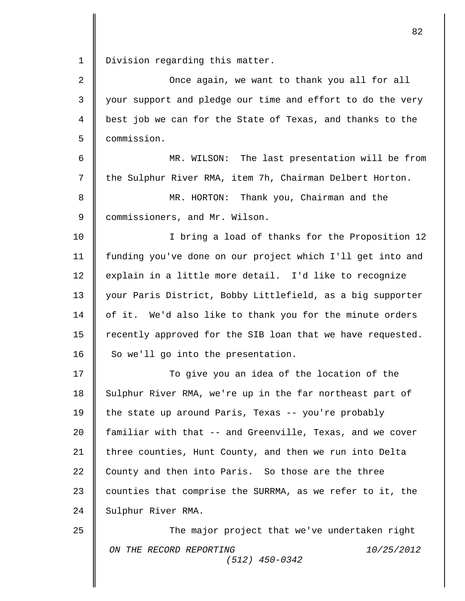1 | Division regarding this matter.

*ON THE RECORD REPORTING 10/25/2012 (512) 450-0342* 2 **Q** Once again, we want to thank you all for all 3 || your support and pledge our time and effort to do the very 4 best job we can for the State of Texas, and thanks to the 5 commission. 6 MR. WILSON: The last presentation will be from 7 | the Sulphur River RMA, item 7h, Chairman Delbert Horton. 8 MR. HORTON: Thank you, Chairman and the 9 Commissioners, and Mr. Wilson. 10 || I bring a load of thanks for the Proposition 12 11 funding you've done on our project which I'll get into and 12  $\parallel$  explain in a little more detail. I'd like to recognize 13 | your Paris District, Bobby Littlefield, as a big supporter  $14$  | of it. We'd also like to thank you for the minute orders 15 | recently approved for the SIB loan that we have requested. 16  $\parallel$  So we'll go into the presentation. 17 ||<br>
17 || 18 Sulphur River RMA, we're up in the far northeast part of 19 | the state up around Paris, Texas -- you're probably 20 | familiar with that -- and Greenville, Texas, and we cover 21 | three counties, Hunt County, and then we run into Delta 22 County and then into Paris. So those are the three 23  $\parallel$  counties that comprise the SURRMA, as we refer to it, the 24 Sulphur River RMA. 25 **The major project that we've undertaken right**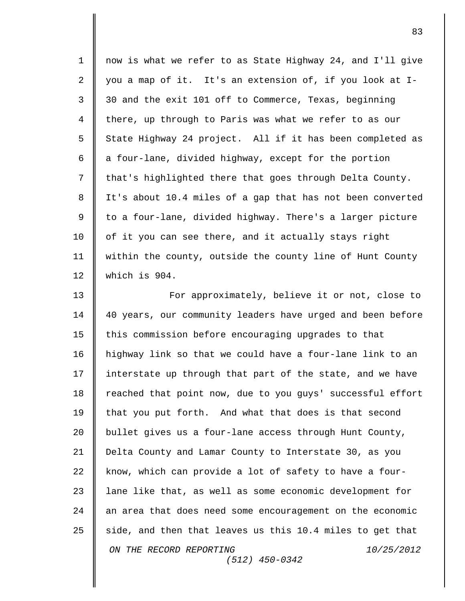| $\mathbf 1$ | now is what we refer to as State Highway 24, and I'll give |
|-------------|------------------------------------------------------------|
| 2           | you a map of it. It's an extension of, if you look at I-   |
| 3           | 30 and the exit 101 off to Commerce, Texas, beginning      |
| 4           | there, up through to Paris was what we refer to as our     |
| 5           | State Highway 24 project. All if it has been completed as  |
| 6           | a four-lane, divided highway, except for the portion       |
| 7           | that's highlighted there that goes through Delta County.   |
| 8           | It's about 10.4 miles of a gap that has not been converted |
| $\mathsf 9$ | to a four-lane, divided highway. There's a larger picture  |
| $10 \,$     | of it you can see there, and it actually stays right       |
| 11          | within the county, outside the county line of Hunt County  |
| 12          | which is 904.                                              |
| 13          | For approximately, believe it or not, close to             |
| 14          | 40 years, our community leaders have urged and been before |
| 15          | this commission before encouraging upgrades to that        |
| 16          | highway link so that we could have a four-lane link to an  |
| 17          | interstate up through that part of the state, and we have  |
| 18          | reached that point now, due to you guys' successful effort |
| 19          | that you put forth. And what that does is that second      |
| 20          | bullet gives us a four-lane access through Hunt County,    |
| 21          | Delta County and Lamar County to Interstate 30, as you     |
| 22          | know, which can provide a lot of safety to have a four-    |
| 23          | lane like that, as well as some economic development for   |
| 24          | an area that does need some encouragement on the economic  |
| 25          | side, and then that leaves us this 10.4 miles to get that  |
|             | ON THE RECORD REPORTING<br>10/25/2012<br>$(512)$ 450-0342  |
|             |                                                            |

 $\mathbf{I}$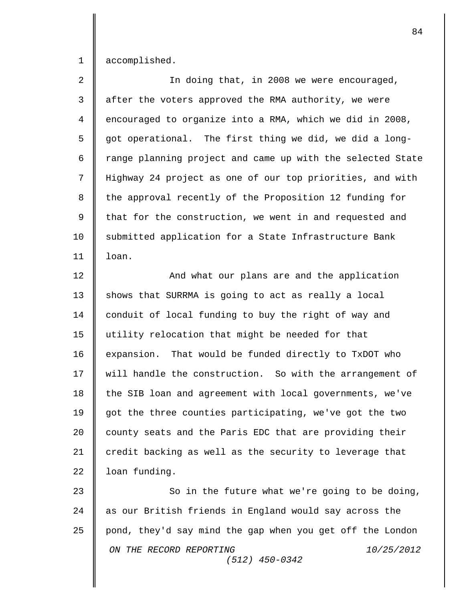1 accomplished.

| $\overline{a}$ | In doing that, in 2008 we were encouraged,                 |
|----------------|------------------------------------------------------------|
| 3              | after the voters approved the RMA authority, we were       |
| $\overline{4}$ | encouraged to organize into a RMA, which we did in 2008,   |
| 5              | got operational. The first thing we did, we did a long-    |
| 6              | range planning project and came up with the selected State |
| 7              | Highway 24 project as one of our top priorities, and with  |
| 8              | the approval recently of the Proposition 12 funding for    |
| 9              | that for the construction, we went in and requested and    |
| 10             | submitted application for a State Infrastructure Bank      |
| 11             | loan.                                                      |
| 12             | And what our plans are and the application                 |
| 13             | shows that SURRMA is going to act as really a local        |
| 14             | conduit of local funding to buy the right of way and       |
| 15             | utility relocation that might be needed for that           |
| 16             | expansion. That would be funded directly to TxDOT who      |
| 17             | will handle the construction. So with the arrangement of   |
| 18             | the SIB loan and agreement with local governments, we've   |
| 19             | got the three counties participating, we've got the two    |
| 20             | county seats and the Paris EDC that are providing their    |
| 21             | credit backing as well as the security to leverage that    |
| 22             | loan funding.                                              |
| 23             | So in the future what we're going to be doing,             |
| 24             | as our British friends in England would say across the     |
| 25             | pond, they'd say mind the gap when you get off the London  |
|                | ON THE RECORD REPORTING<br>10/25/2012<br>$(512)$ 450-0342  |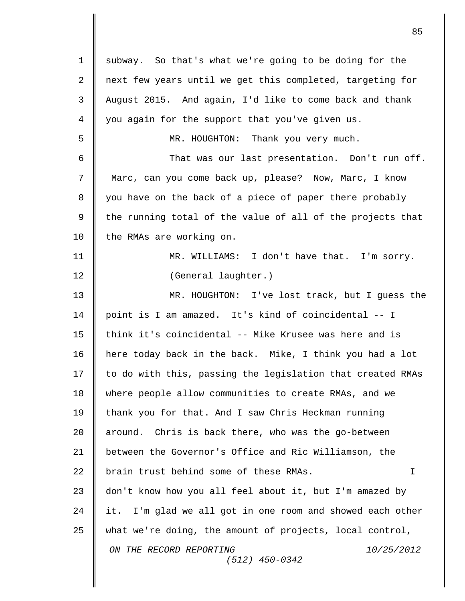| $\mathbf 1$ | subway. So that's what we're going to be doing for the       |
|-------------|--------------------------------------------------------------|
| 2           | next few years until we get this completed, targeting for    |
| 3           | August 2015. And again, I'd like to come back and thank      |
| 4           | you again for the support that you've given us.              |
| 5           | MR. HOUGHTON: Thank you very much.                           |
| 6           | That was our last presentation. Don't run off.               |
| 7           | Marc, can you come back up, please? Now, Marc, I know        |
| 8           | you have on the back of a piece of paper there probably      |
| 9           | the running total of the value of all of the projects that   |
| 10          | the RMAs are working on.                                     |
| 11          | MR. WILLIAMS: I don't have that. I'm sorry.                  |
| 12          | (General laughter.)                                          |
| 13          | MR. HOUGHTON: I've lost track, but I guess the               |
| 14          | point is I am amazed. It's kind of coincidental -- I         |
| 15          | think it's coincidental -- Mike Krusee was here and is       |
| 16          | here today back in the back. Mike, I think you had a lot     |
| 17          | to do with this, passing the legislation that created RMAs   |
| 18          | where people allow communities to create RMAs, and we        |
| 19          | thank you for that. And I saw Chris Heckman running          |
| 20          | Chris is back there, who was the go-between<br>around.       |
| 21          | between the Governor's Office and Ric Williamson, the        |
| 22          | brain trust behind some of these RMAs.<br>$\mathbf I$        |
| 23          | don't know how you all feel about it, but I'm amazed by      |
| 24          | I'm glad we all got in one room and showed each other<br>it. |
| 25          | what we're doing, the amount of projects, local control,     |
|             | ON THE RECORD REPORTING<br>10/25/2012<br>$(512)$ 450-0342    |
|             |                                                              |

 $\overline{\mathsf{I}}$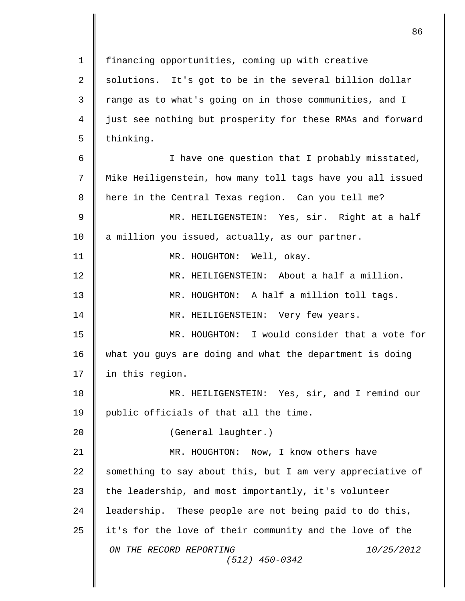*ON THE RECORD REPORTING 10/25/2012 (512) 450-0342* 1 | financing opportunities, coming up with creative 2  $\parallel$  solutions. It's got to be in the several billion dollar 3 T range as to what's going on in those communities, and I 4 just see nothing but prosperity for these RMAs and forward  $5 \parallel$  thinking. 6 || I have one question that I probably misstated, 7 Mike Heiligenstein, how many toll tags have you all issued 8 || here in the Central Texas region. Can you tell me? 9 MR. HEILIGENSTEIN: Yes, sir. Right at a half 10 a million you issued, actually, as our partner. 11 || MR. HOUGHTON: Well, okay. 12 MR. HEILIGENSTEIN: About a half a million. 13 MR. HOUGHTON: A half a million toll tags. 14 MR. HEILIGENSTEIN: Very few years. 15 MR. HOUGHTON: I would consider that a vote for 16 what you guys are doing and what the department is doing 17 | in this region. 18 MR. HEILIGENSTEIN: Yes, sir, and I remind our 19 | public officials of that all the time. 20 | (General laughter.) 21 | MR. HOUGHTON: Now, I know others have 22  $\parallel$  something to say about this, but I am very appreciative of 23 the leadership, and most importantly, it's volunteer 24 | leadership. These people are not being paid to do this, 25 it's for the love of their community and the love of the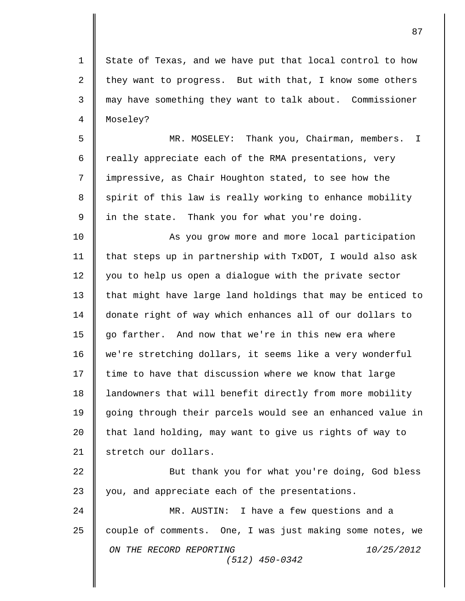1 || State of Texas, and we have put that local control to how 2  $\parallel$  they want to progress. But with that, I know some others 3 may have something they want to talk about. Commissioner 4 | Moseley?

5 MR. MOSELEY: Thank you, Chairman, members. I 6  $\parallel$  really appreciate each of the RMA presentations, very 7 || impressive, as Chair Houghton stated, to see how the 8  $\parallel$  spirit of this law is really working to enhance mobility  $9 \parallel$  in the state. Thank you for what you're doing.

10 || As you grow more and more local participation 11 | that steps up in partnership with TxDOT, I would also ask 12 you to help us open a dialoque with the private sector 13  $\parallel$  that might have large land holdings that may be enticed to 14 donate right of way which enhances all of our dollars to 15 go farther. And now that we're in this new era where 16 | we're stretching dollars, it seems like a very wonderful  $17$  time to have that discussion where we know that large 18 | landowners that will benefit directly from more mobility 19 going through their parcels would see an enhanced value in 20  $\parallel$  that land holding, may want to give us rights of way to 21 | stretch our dollars.

22 || But thank you for what you're doing, God bless 23 you, and appreciate each of the presentations.

*ON THE RECORD REPORTING 10/25/2012 (512) 450-0342* 24 MR. AUSTIN: I have a few questions and a 25 couple of comments. One, I was just making some notes, we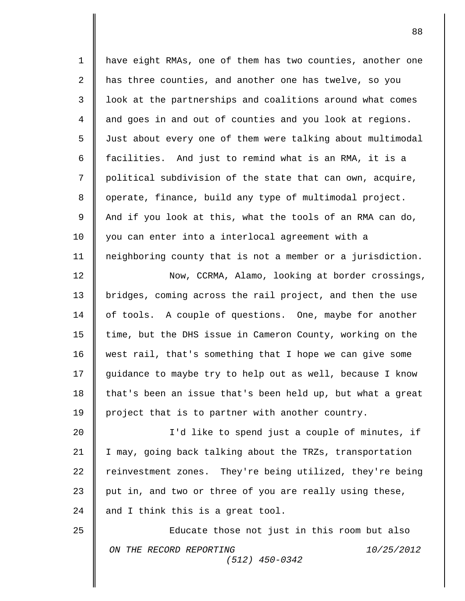*ON THE RECORD REPORTING 10/25/2012 (512) 450-0342* 1 | have eight RMAs, one of them has two counties, another one 2 has three counties, and another one has twelve, so you 3 | look at the partnerships and coalitions around what comes 4 and goes in and out of counties and you look at regions. 5 | Just about every one of them were talking about multimodal 6  $\parallel$  facilities. And just to remind what is an RMA, it is a 7 || political subdivision of the state that can own, acquire, 8 | operate, finance, build any type of multimodal project. 9  $\parallel$  And if you look at this, what the tools of an RMA can do, 10 | you can enter into a interlocal agreement with a 11 neighboring county that is not a member or a jurisdiction. 12 Now, CCRMA, Alamo, looking at border crossings, 13 bridges, coming across the rail project, and then the use 14 | of tools. A couple of questions. One, maybe for another 15 | time, but the DHS issue in Cameron County, working on the 16 west rail, that's something that I hope we can give some 17 guidance to maybe try to help out as well, because I know 18  $\parallel$  that's been an issue that's been held up, but what a great 19 | project that is to partner with another country. 20 || I'd like to spend just a couple of minutes, if 21 I may, going back talking about the TRZs, transportation 22  $\parallel$  reinvestment zones. They're being utilized, they're being 23  $\parallel$  put in, and two or three of you are really using these, 24  $\parallel$  and I think this is a great tool. 25 **Educate those not just in this room but also**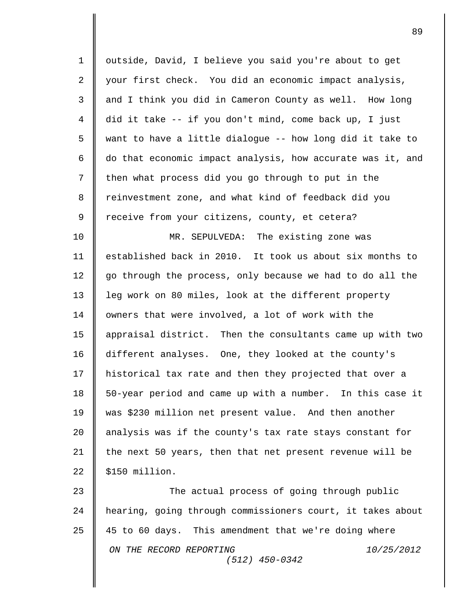| $\mathbf 1$    | outside, David, I believe you said you're about to get     |
|----------------|------------------------------------------------------------|
| $\overline{a}$ | your first check. You did an economic impact analysis,     |
| 3              | and I think you did in Cameron County as well. How long    |
| 4              | did it take -- if you don't mind, come back up, I just     |
| 5              | want to have a little dialogue -- how long did it take to  |
| 6              | do that economic impact analysis, how accurate was it, and |
| 7              | then what process did you go through to put in the         |
| 8              | reinvestment zone, and what kind of feedback did you       |
| 9              | receive from your citizens, county, et cetera?             |
| 10             | MR. SEPULVEDA: The existing zone was                       |
| 11             | established back in 2010. It took us about six months to   |
| 12             | go through the process, only because we had to do all the  |
| 13             | leg work on 80 miles, look at the different property       |
| 14             | owners that were involved, a lot of work with the          |
| 15             | appraisal district. Then the consultants came up with two  |
| 16             | different analyses. One, they looked at the county's       |
| 17             | historical tax rate and then they projected that over a    |
| 18             | 50-year period and came up with a number. In this case it  |
| 19             | was \$230 million net present value. And then another      |
| 20             | analysis was if the county's tax rate stays constant for   |
| 21             | the next 50 years, then that net present revenue will be   |
| 22             | \$150 million.                                             |
| 23             | The actual process of going through public                 |
| 24             | hearing, going through commissioners court, it takes about |
| 25             | 45 to 60 days. This amendment that we're doing where       |
|                | ON THE RECORD REPORTING<br>10/25/2012<br>$(512)$ 450-0342  |
|                |                                                            |

 $\overline{\mathbf{I}}$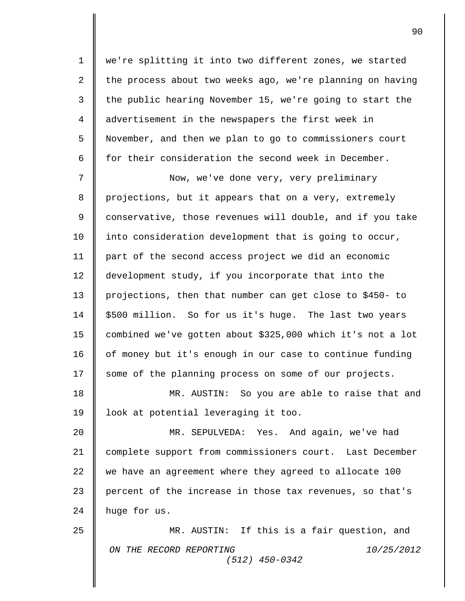1 | we're splitting it into two different zones, we started 2 the process about two weeks ago, we're planning on having 3 the public hearing November 15, we're going to start the 4 advertisement in the newspapers the first week in 5 November, and then we plan to go to commissioners court 6  $\parallel$  for their consideration the second week in December. 7 Now, we've done very, very preliminary

8 projections, but it appears that on a very, extremely 9 || conservative, those revenues will double, and if you take 10 | into consideration development that is going to occur, 11 part of the second access project we did an economic 12 development study, if you incorporate that into the 13 projections, then that number can get close to \$450- to 14 | \$500 million. So for us it's huge. The last two years 15 combined we've gotten about \$325,000 which it's not a lot 16 | of money but it's enough in our case to continue funding 17 Some of the planning process on some of our projects.

18 MR. AUSTIN: So you are able to raise that and 19 | look at potential leveraging it too.

20 MR. SEPULVEDA: Yes. And again, we've had 21 complete support from commissioners court. Last December 22 we have an agreement where they agreed to allocate 100 23 percent of the increase in those tax revenues, so that's 24  $\parallel$  huge for us.

*ON THE RECORD REPORTING 10/25/2012 (512) 450-0342* 25 MR. AUSTIN: If this is a fair question, and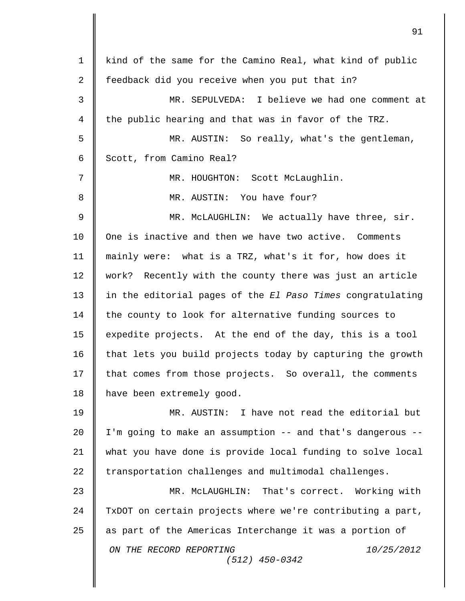| $\mathbf 1$ | kind of the same for the Camino Real, what kind of public  |
|-------------|------------------------------------------------------------|
| 2           | feedback did you receive when you put that in?             |
| 3           | MR. SEPULVEDA: I believe we had one comment at             |
| 4           | the public hearing and that was in favor of the TRZ.       |
| 5           | MR. AUSTIN: So really, what's the gentleman,               |
| 6           | Scott, from Camino Real?                                   |
| 7           | MR. HOUGHTON: Scott McLaughlin.                            |
| 8           | MR. AUSTIN: You have four?                                 |
| 9           | MR. McLAUGHLIN: We actually have three, sir.               |
| 10          | One is inactive and then we have two active. Comments      |
| 11          | mainly were: what is a TRZ, what's it for, how does it     |
| 12          | work? Recently with the county there was just an article   |
| 13          | in the editorial pages of the El Paso Times congratulating |
| 14          | the county to look for alternative funding sources to      |
| 15          | expedite projects. At the end of the day, this is a tool   |
| 16          | that lets you build projects today by capturing the growth |
| 17          | that comes from those projects. So overall, the comments   |
| 18          | have been extremely good.                                  |
| 19          | MR. AUSTIN: I have not read the editorial but              |
| 20          | I'm going to make an assumption -- and that's dangerous -- |
| 21          | what you have done is provide local funding to solve local |
| 22          | transportation challenges and multimodal challenges.       |
| 23          | MR. McLAUGHLIN: That's correct. Working with               |
| 24          | TxDOT on certain projects where we're contributing a part, |
| 25          | as part of the Americas Interchange it was a portion of    |
|             | ON THE RECORD REPORTING<br>10/25/2012<br>$(512)$ 450-0342  |
|             |                                                            |

 $\overline{\mathsf{I}}$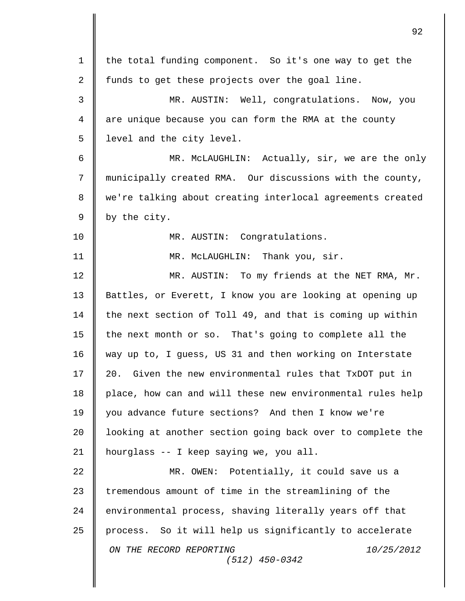*ON THE RECORD REPORTING 10/25/2012 (512) 450-0342* 1 the total funding component. So it's one way to get the 2 | funds to get these projects over the goal line. 3 || MR. AUSTIN: Well, congratulations. Now, you 4 || are unique because you can form the RMA at the county 5 | level and the city level. 6 || MR. McLAUGHLIN: Actually, sir, we are the only 7 municipally created RMA. Our discussions with the county, 8 || we're talking about creating interlocal agreements created  $9 \parallel$  by the city. 10 || MR. AUSTIN: Congratulations. 11 **||** MR. McLAUGHLIN: Thank you, sir. 12 MR. AUSTIN: To my friends at the NET RMA, Mr. 13 Battles, or Everett, I know you are looking at opening up 14 | the next section of Toll 49, and that is coming up within 15 | the next month or so. That's going to complete all the 16 way up to, I guess, US 31 and then working on Interstate 17 20. Given the new environmental rules that TxDOT put in 18 | place, how can and will these new environmental rules help 19 you advance future sections? And then I know we're 20 | looking at another section going back over to complete the 21 hourglass -- I keep saying we, you all. 22 || MR. OWEN: Potentially, it could save us a 23 tremendous amount of time in the streamlining of the 24 environmental process, shaving literally years off that 25 process. So it will help us significantly to accelerate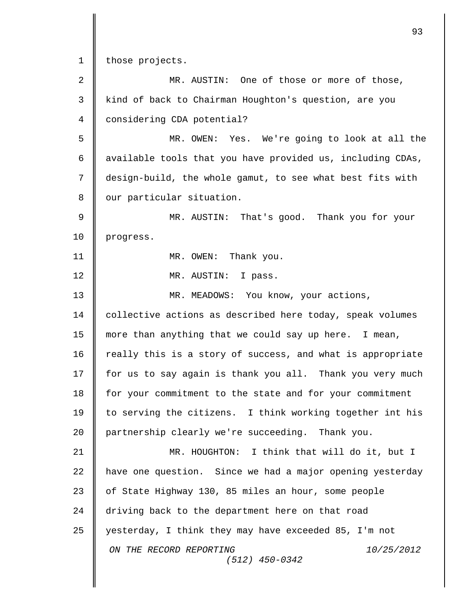1 those projects.

II

| $\sqrt{2}$ | MR. AUSTIN: One of those or more of those,                 |
|------------|------------------------------------------------------------|
| 3          | kind of back to Chairman Houghton's question, are you      |
| 4          | considering CDA potential?                                 |
| 5          | Yes. We're going to look at all the<br>MR. OWEN:           |
| 6          | available tools that you have provided us, including CDAs, |
| 7          | design-build, the whole gamut, to see what best fits with  |
| 8          | our particular situation.                                  |
| 9          | MR. AUSTIN: That's good. Thank you for your                |
| 10         | progress.                                                  |
| 11         | MR. OWEN: Thank you.                                       |
| 12         | MR. AUSTIN: I pass.                                        |
| 13         | MR. MEADOWS: You know, your actions,                       |
| 14         | collective actions as described here today, speak volumes  |
| 15         | more than anything that we could say up here. I mean,      |
| 16         | really this is a story of success, and what is appropriate |
| 17         | for us to say again is thank you all. Thank you very much  |
| 18         | for your commitment to the state and for your commitment   |
| 19         | to serving the citizens. I think working together int his  |
| 20         | partnership clearly we're succeeding. Thank you.           |
| 21         | MR. HOUGHTON: I think that will do it, but I               |
| 22         | have one question. Since we had a major opening yesterday  |
| 23         | of State Highway 130, 85 miles an hour, some people        |
| 24         | driving back to the department here on that road           |
| 25         | yesterday, I think they may have exceeded 85, I'm not      |
|            | ON THE RECORD REPORTING<br>10/25/2012<br>$(512)$ 450-0342  |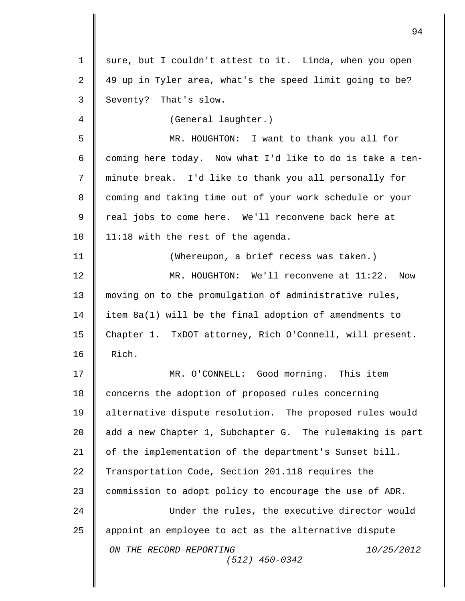*ON THE RECORD REPORTING 10/25/2012 (512) 450-0342* 1 || sure, but I couldn't attest to it. Linda, when you open 2 49 up in Tyler area, what's the speed limit going to be? 3 Seventy? That's slow. 4 (General laughter.) 5 MR. HOUGHTON: I want to thank you all for 6  $\parallel$  coming here today. Now what I'd like to do is take a ten-7 minute break. I'd like to thank you all personally for 8 coming and taking time out of your work schedule or your 9 || real jobs to come here. We'll reconvene back here at 10 | 11:18 with the rest of the agenda. 11 (Whereupon, a brief recess was taken.) 12 MR. HOUGHTON: We'll reconvene at 11:22. Now 13 moving on to the promulgation of administrative rules, 14 item 8a(1) will be the final adoption of amendments to 15 Chapter 1. TxDOT attorney, Rich O'Connell, will present.  $16$  | Rich. 17 MR. O'CONNELL: Good morning. This item 18 concerns the adoption of proposed rules concerning 19 alternative dispute resolution. The proposed rules would 20 add a new Chapter 1, Subchapter G. The rulemaking is part 21 | of the implementation of the department's Sunset bill. 22 Transportation Code, Section 201.118 requires the 23 commission to adopt policy to encourage the use of ADR. 24 Under the rules, the executive director would 25 appoint an employee to act as the alternative dispute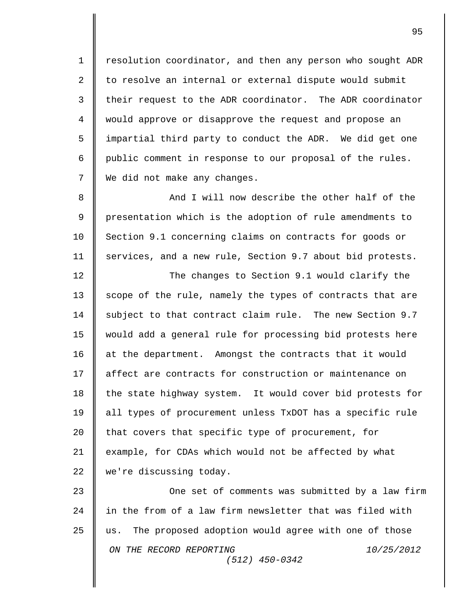1 | resolution coordinator, and then any person who sought ADR 2 || to resolve an internal or external dispute would submit 3 | their request to the ADR coordinator. The ADR coordinator 4 would approve or disapprove the request and propose an 5 || impartial third party to conduct the ADR. We did get one 6 public comment in response to our proposal of the rules. 7 | We did not make any changes.

8 And I will now describe the other half of the 9 || presentation which is the adoption of rule amendments to 10 Section 9.1 concerning claims on contracts for goods or 11 | services, and a new rule, Section 9.7 about bid protests.

12 The changes to Section 9.1 would clarify the 13 scope of the rule, namely the types of contracts that are 14 | subject to that contract claim rule. The new Section 9.7 15 would add a general rule for processing bid protests here 16 | at the department. Amongst the contracts that it would 17 || affect are contracts for construction or maintenance on 18  $\parallel$  the state highway system. It would cover bid protests for 19 all types of procurement unless TxDOT has a specific rule 20 that covers that specific type of procurement, for 21 example, for CDAs which would not be affected by what 22 we're discussing today.

*ON THE RECORD REPORTING 10/25/2012 (512) 450-0342* 23 **One set of comments was submitted by a law firm** 24 || in the from of a law firm newsletter that was filed with 25 us. The proposed adoption would agree with one of those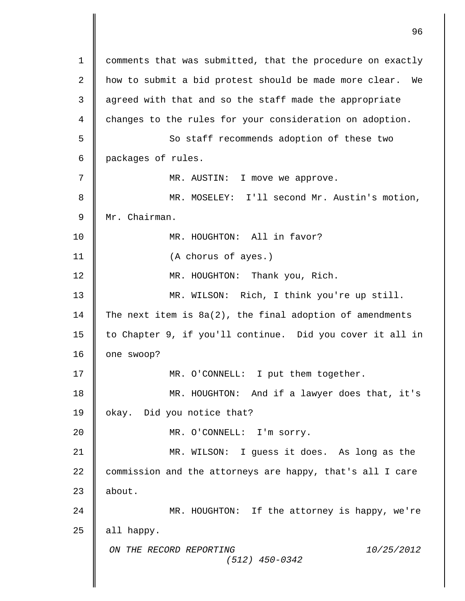*ON THE RECORD REPORTING 10/25/2012 (512) 450-0342* 1 | comments that was submitted, that the procedure on exactly 2 how to submit a bid protest should be made more clear. We 3 | agreed with that and so the staff made the appropriate 4 changes to the rules for your consideration on adoption. 5 || So staff recommends adoption of these two 6 packages of rules. 7 MR. AUSTIN: I move we approve. 8 MR. MOSELEY: I'll second Mr. Austin's motion, 9 Mr. Chairman. 10 MR. HOUGHTON: All in favor? 11 (A chorus of ayes.) 12 || MR. HOUGHTON: Thank you, Rich. 13 MR. WILSON: Rich, I think you're up still. 14 The next item is  $8a(2)$ , the final adoption of amendments 15 | to Chapter 9, if you'll continue. Did you cover it all in 16 | one swoop? 17 || MR. O'CONNELL: I put them together. 18 MR. HOUGHTON: And if a lawyer does that, it's 19 | okay. Did you notice that? 20 || MR. O'CONNELL: I'm sorry. 21 MR. WILSON: I guess it does. As long as the 22 commission and the attorneys are happy, that's all I care  $23$  **l** about. 24 MR. HOUGHTON: If the attorney is happy, we're  $25$  | all happy.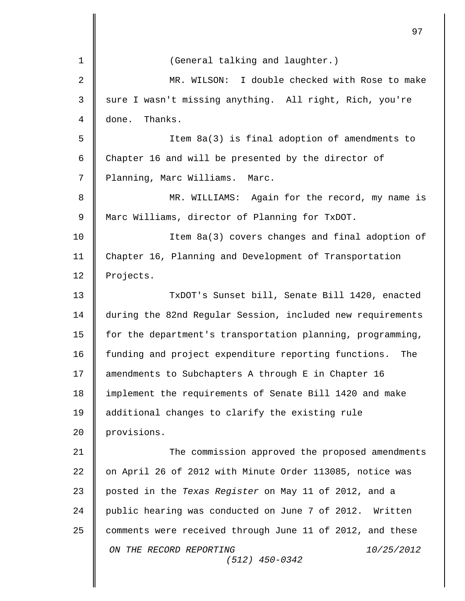|             | 97                                                          |
|-------------|-------------------------------------------------------------|
| $\mathbf 1$ | (General talking and laughter.)                             |
| 2           | MR. WILSON: I double checked with Rose to make              |
| 3           | sure I wasn't missing anything. All right, Rich, you're     |
| 4           | Thanks.<br>done.                                            |
| 5           | Item 8a(3) is final adoption of amendments to               |
| 6           | Chapter 16 and will be presented by the director of         |
| 7           | Planning, Marc Williams.<br>Marc.                           |
| 8           | MR. WILLIAMS: Again for the record, my name is              |
| $\mathsf 9$ | Marc Williams, director of Planning for TxDOT.              |
| 10          | Item 8a(3) covers changes and final adoption of             |
| 11          | Chapter 16, Planning and Development of Transportation      |
| 12          | Projects.                                                   |
| 13          | TxDOT's Sunset bill, Senate Bill 1420, enacted              |
| 14          | during the 82nd Regular Session, included new requirements  |
| 15          | for the department's transportation planning, programming,  |
| 16          | funding and project expenditure reporting functions.<br>The |
| 17          | amendments to Subchapters A through E in Chapter 16         |
| 18          | implement the requirements of Senate Bill 1420 and make     |
| 19          | additional changes to clarify the existing rule             |
| 20          | provisions.                                                 |
| 21          | The commission approved the proposed amendments             |
| 22          | on April 26 of 2012 with Minute Order 113085, notice was    |
| 23          | posted in the Texas Register on May 11 of 2012, and a       |
| 24          | public hearing was conducted on June 7 of 2012. Written     |
| 25          | comments were received through June 11 of 2012, and these   |
|             | ON THE RECORD REPORTING<br>10/25/2012<br>$(512)$ 450-0342   |
|             |                                                             |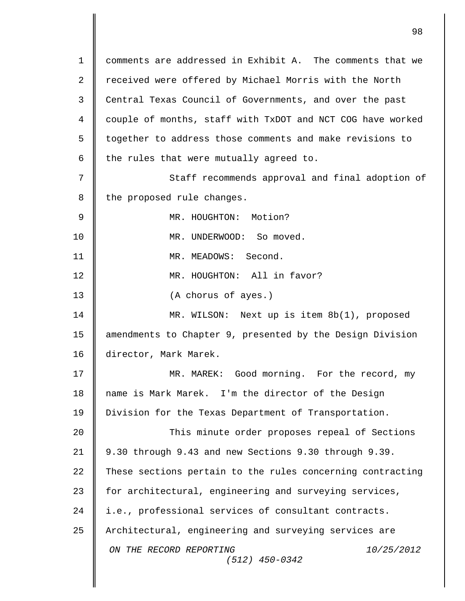*ON THE RECORD REPORTING 10/25/2012 (512) 450-0342* 1 comments are addressed in Exhibit A. The comments that we 2 || received were offered by Michael Morris with the North 3 Central Texas Council of Governments, and over the past 4 | couple of months, staff with TxDOT and NCT COG have worked 5 | together to address those comments and make revisions to 6  $\parallel$  the rules that were mutually agreed to. 7 || Staff recommends approval and final adoption of  $8$  | the proposed rule changes. 9 || MR. HOUGHTON: Motion? 10 MR. UNDERWOOD: So moved. 11 MR. MEADOWS: Second. 12 || MR. HOUGHTON: All in favor? 13 | (A chorus of ayes.) 14 MR. WILSON: Next up is item 8b(1), proposed 15 amendments to Chapter 9, presented by the Design Division 16 director, Mark Marek. 17 || MR. MAREK: Good morning. For the record, my 18 name is Mark Marek. I'm the director of the Design 19 | Division for the Texas Department of Transportation. 20 || This minute order proposes repeal of Sections 21 9.30 through 9.43 and new Sections 9.30 through 9.39. 22 These sections pertain to the rules concerning contracting 23 for architectural, engineering and surveying services, 24 i.e., professional services of consultant contracts. 25 Architectural, engineering and surveying services are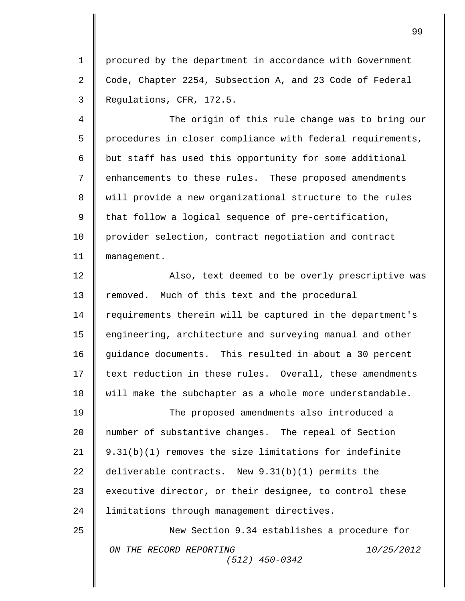1 | procured by the department in accordance with Government 2  $\parallel$  Code, Chapter 2254, Subsection A, and 23 Code of Federal 3 Regulations, CFR, 172.5.

 The origin of this rule change was to bring our  $5 \parallel$  procedures in closer compliance with federal requirements,  $\parallel$  but staff has used this opportunity for some additional enhancements to these rules. These proposed amendments will provide a new organizational structure to the rules  $9 \parallel$  that follow a logical sequence of pre-certification, provider selection, contract negotiation and contract 11 | management.

12 || Also, text deemed to be overly prescriptive was 13 | removed. Much of this text and the procedural 14 | requirements therein will be captured in the department's 15 engineering, architecture and surveying manual and other 16 guidance documents. This resulted in about a 30 percent 17 text reduction in these rules. Overall, these amendments 18 | will make the subchapter as a whole more understandable.

19 **The proposed amendments also introduced a** 20 | number of substantive changes. The repeal of Section 21 |  $9.31(b)(1)$  removes the size limitations for indefinite 22 deliverable contracts. New 9.31(b)(1) permits the 23  $\parallel$  executive director, or their designee, to control these 24 | limitations through management directives.

*ON THE RECORD REPORTING 10/25/2012 (512) 450-0342* 25 New Section 9.34 establishes a procedure for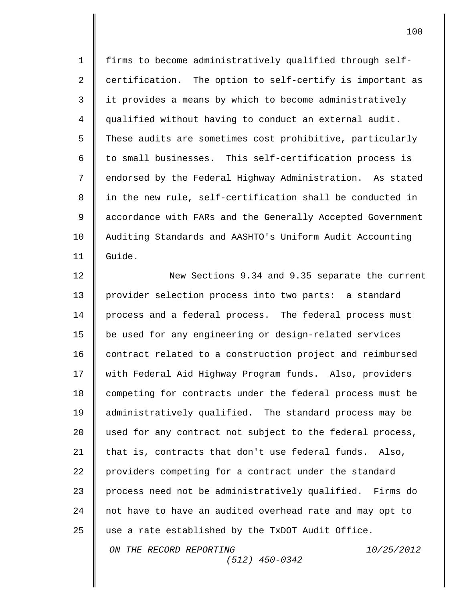1 firms to become administratively qualified through self-2  $\parallel$  certification. The option to self-certify is important as 3 | it provides a means by which to become administratively 4 qualified without having to conduct an external audit. 5 These audits are sometimes cost prohibitive, particularly 6  $\parallel$  to small businesses. This self-certification process is 7 || endorsed by the Federal Highway Administration. As stated 8 || in the new rule, self-certification shall be conducted in 9 || accordance with FARs and the Generally Accepted Government 10 Auditing Standards and AASHTO's Uniform Audit Accounting 11 Guide.

*ON THE RECORD REPORTING 10/25/2012 (512) 450-0342* 12 New Sections 9.34 and 9.35 separate the current 13 provider selection process into two parts: a standard 14 | process and a federal process. The federal process must 15 be used for any engineering or design-related services 16 | contract related to a construction project and reimbursed 17 | with Federal Aid Highway Program funds. Also, providers 18 competing for contracts under the federal process must be 19 administratively qualified. The standard process may be 20 used for any contract not subject to the federal process, 21 | that is, contracts that don't use federal funds. Also, 22 providers competing for a contract under the standard 23 process need not be administratively qualified. Firms do 24 | not have to have an audited overhead rate and may opt to 25  $\parallel$  use a rate established by the TxDOT Audit Office.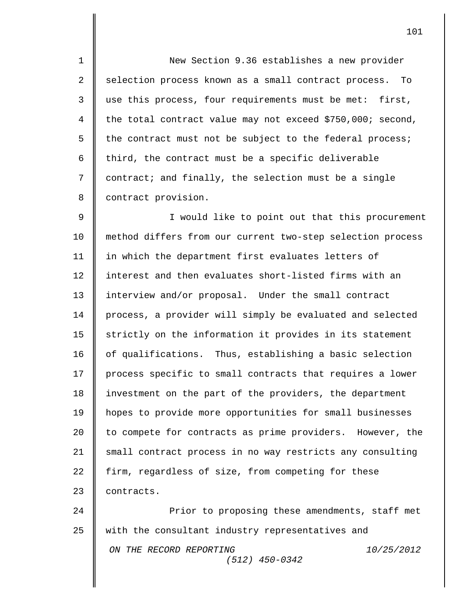1 New Section 9.36 establishes a new provider 2 | selection process known as a small contract process. To 3 use this process, four requirements must be met: first, 4 the total contract value may not exceed \$750,000; second, 5 the contract must not be subject to the federal process; 6  $\parallel$  third, the contract must be a specific deliverable 7 contract; and finally, the selection must be a single 8 | contract provision.

9 || Sould like to point out that this procurement 10 | method differs from our current two-step selection process 11 in which the department first evaluates letters of 12 || interest and then evaluates short-listed firms with an 13 interview and/or proposal. Under the small contract 14 | process, a provider will simply be evaluated and selected  $15$  strictly on the information it provides in its statement 16 | of qualifications. Thus, establishing a basic selection 17 | process specific to small contracts that requires a lower 18 investment on the part of the providers, the department 19 hopes to provide more opportunities for small businesses 20 | to compete for contracts as prime providers. However, the 21 | small contract process in no way restricts any consulting 22 firm, regardless of size, from competing for these 23 contracts.

*ON THE RECORD REPORTING 10/25/2012 (512) 450-0342* 24 **Prior** to proposing these amendments, staff met 25 with the consultant industry representatives and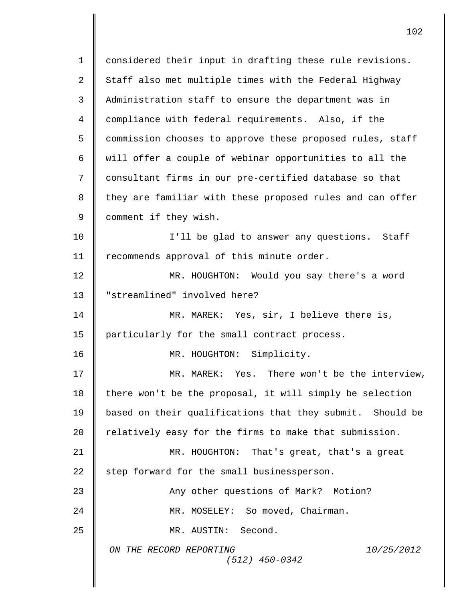*ON THE RECORD REPORTING 10/25/2012 (512) 450-0342* 1 | considered their input in drafting these rule revisions. 2  $\parallel$  Staff also met multiple times with the Federal Highway 3 Administration staff to ensure the department was in 4 compliance with federal requirements. Also, if the 5 commission chooses to approve these proposed rules, staff 6 will offer a couple of webinar opportunities to all the 7 | consultant firms in our pre-certified database so that 8 they are familiar with these proposed rules and can offer 9 | comment if they wish. 10 || I'll be glad to answer any questions. Staff 11 | recommends approval of this minute order. 12 MR. HOUGHTON: Would you say there's a word 13 || "streamlined" involved here? 14 || MR. MAREK: Yes, sir, I believe there is, 15 | particularly for the small contract process. 16 || MR. HOUGHTON: Simplicity. 17 MR. MAREK: Yes. There won't be the interview, 18 there won't be the proposal, it will simply be selection 19 based on their qualifications that they submit. Should be 20  $\parallel$  relatively easy for the firms to make that submission. 21 MR. HOUGHTON: That's great, that's a great 22  $\parallel$  step forward for the small businessperson. 23 **Any other questions of Mark?** Motion? 24 MR. MOSELEY: So moved, Chairman. 25 || MR. AUSTIN: Second.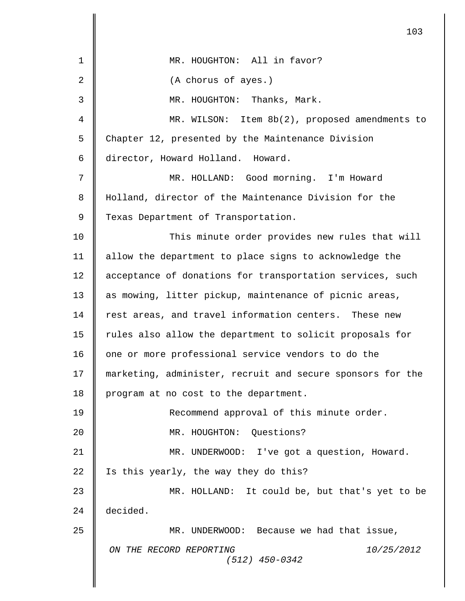|                | 103                                                        |
|----------------|------------------------------------------------------------|
| 1              | MR. HOUGHTON: All in favor?                                |
| $\overline{2}$ | (A chorus of ayes.)                                        |
| 3              | MR. HOUGHTON: Thanks, Mark.                                |
| 4              | MR. WILSON: Item 8b(2), proposed amendments to             |
| 5              | Chapter 12, presented by the Maintenance Division          |
| 6              | director, Howard Holland. Howard.                          |
| 7              | MR. HOLLAND: Good morning. I'm Howard                      |
| 8              | Holland, director of the Maintenance Division for the      |
| 9              | Texas Department of Transportation.                        |
| 10             | This minute order provides new rules that will             |
| 11             | allow the department to place signs to acknowledge the     |
| 12             | acceptance of donations for transportation services, such  |
| 13             | as mowing, litter pickup, maintenance of picnic areas,     |
| 14             | rest areas, and travel information centers. These new      |
| 15             | rules also allow the department to solicit proposals for   |
| 16             | one or more professional service vendors to do the         |
| 17             | marketing, administer, recruit and secure sponsors for the |
| 18             | program at no cost to the department.                      |
| 19             | Recommend approval of this minute order.                   |
| 20             | MR. HOUGHTON: Questions?                                   |
| 21             | MR. UNDERWOOD: I've got a question, Howard.                |
| 22             | Is this yearly, the way they do this?                      |
| 23             | MR. HOLLAND: It could be, but that's yet to be             |
| 24             | decided.                                                   |
| 25             | MR. UNDERWOOD: Because we had that issue,                  |
|                | ON THE RECORD REPORTING<br>10/25/2012<br>$(512)$ 450-0342  |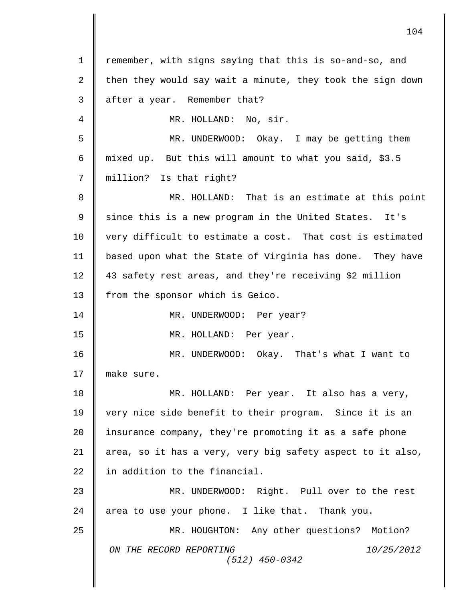| 1  | remember, with signs saying that this is so-and-so, and    |
|----|------------------------------------------------------------|
| 2  | then they would say wait a minute, they took the sign down |
| 3  | after a year. Remember that?                               |
| 4  | MR. HOLLAND: No, sir.                                      |
| 5  | MR. UNDERWOOD: Okay. I may be getting them                 |
| 6  | mixed up. But this will amount to what you said, \$3.5     |
| 7  | million? Is that right?                                    |
| 8  | MR. HOLLAND: That is an estimate at this point             |
| 9  | since this is a new program in the United States.<br>It's  |
| 10 | very difficult to estimate a cost. That cost is estimated  |
| 11 | based upon what the State of Virginia has done. They have  |
| 12 | 43 safety rest areas, and they're receiving \$2 million    |
| 13 | from the sponsor which is Geico.                           |
| 14 | MR. UNDERWOOD: Per year?                                   |
| 15 | MR. HOLLAND: Per year.                                     |
| 16 | MR. UNDERWOOD: Okay. That's what I want to                 |
| 17 | make sure.                                                 |
| 18 | MR. HOLLAND: Per year. It also has a very,                 |
| 19 | very nice side benefit to their program. Since it is an    |
| 20 | insurance company, they're promoting it as a safe phone    |
| 21 | area, so it has a very, very big safety aspect to it also, |
| 22 | in addition to the financial.                              |
| 23 | MR. UNDERWOOD: Right. Pull over to the rest                |
| 24 | area to use your phone. I like that. Thank you.            |
| 25 | MR. HOUGHTON: Any other questions? Motion?                 |
|    | ON THE RECORD REPORTING<br>10/25/2012<br>$(512)$ 450-0342  |
|    |                                                            |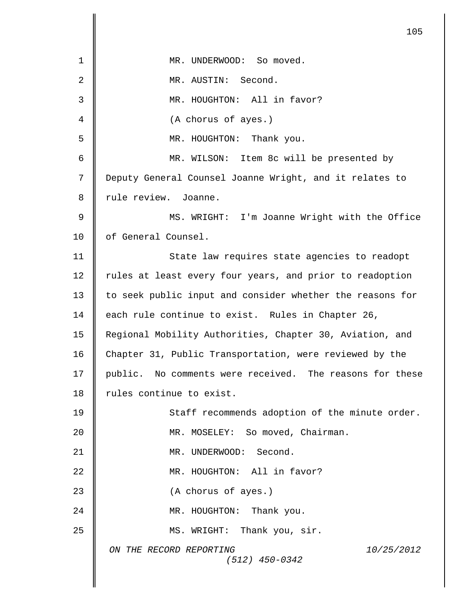*ON THE RECORD REPORTING 10/25/2012 (512) 450-0342* 105 1 || MR. UNDERWOOD: So moved. 2 MR. AUSTIN: Second. 3  $\parallel$  MR. HOUGHTON: All in favor? 4 (A chorus of ayes.) 5 MR. HOUGHTON: Thank you. 6 MR. WILSON: Item 8c will be presented by 7 Deputy General Counsel Joanne Wright, and it relates to 8 || rule review. Joanne. 9 MS. WRIGHT: I'm Joanne Wright with the Office 10 || of General Counsel. 11 || State law requires state agencies to readopt 12 | rules at least every four years, and prior to readoption 13 to seek public input and consider whether the reasons for 14 each rule continue to exist. Rules in Chapter 26, 15 Regional Mobility Authorities, Chapter 30, Aviation, and 16 Chapter 31, Public Transportation, were reviewed by the 17 | public. No comments were received. The reasons for these 18 Tules continue to exist. 19 || Staff recommends adoption of the minute order. 20 **MR. MOSELEY:** So moved, Chairman. 21 || MR. UNDERWOOD: Second. 22 || MR. HOUGHTON: All in favor? 23 **(A** chorus of ayes.) 24 || MR. HOUGHTON: Thank you. 25 || MS. WRIGHT: Thank you, sir.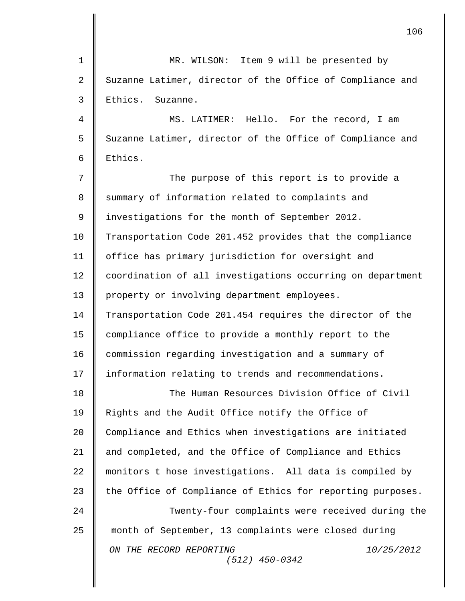|             | 106                                                        |
|-------------|------------------------------------------------------------|
| $\mathbf 1$ | MR. WILSON: Item 9 will be presented by                    |
| 2           | Suzanne Latimer, director of the Office of Compliance and  |
| 3           | Ethics.<br>Suzanne.                                        |
| 4           | MS. LATIMER: Hello. For the record, I am                   |
| 5           | Suzanne Latimer, director of the Office of Compliance and  |
| 6           | Ethics.                                                    |
| 7           | The purpose of this report is to provide a                 |
| 8           | summary of information related to complaints and           |
| 9           | investigations for the month of September 2012.            |
| 10          | Transportation Code 201.452 provides that the compliance   |
| 11          | office has primary jurisdiction for oversight and          |
| 12          | coordination of all investigations occurring on department |
| 13          | property or involving department employees.                |
| 14          | Transportation Code 201.454 requires the director of the   |
| 15          | compliance office to provide a monthly report to the       |
| 16          | commission regarding investigation and a summary of        |
| 17          | information relating to trends and recommendations.        |
| 18          | The Human Resources Division Office of Civil               |
| 19          | Rights and the Audit Office notify the Office of           |
| 20          | Compliance and Ethics when investigations are initiated    |
| 21          | and completed, and the Office of Compliance and Ethics     |
| 22          | monitors t hose investigations. All data is compiled by    |
| 23          | the Office of Compliance of Ethics for reporting purposes. |
| 24          | Twenty-four complaints were received during the            |
| 25          | month of September, 13 complaints were closed during       |
|             | ON THE RECORD REPORTING<br>10/25/2012<br>$(512)$ 450-0342  |
|             |                                                            |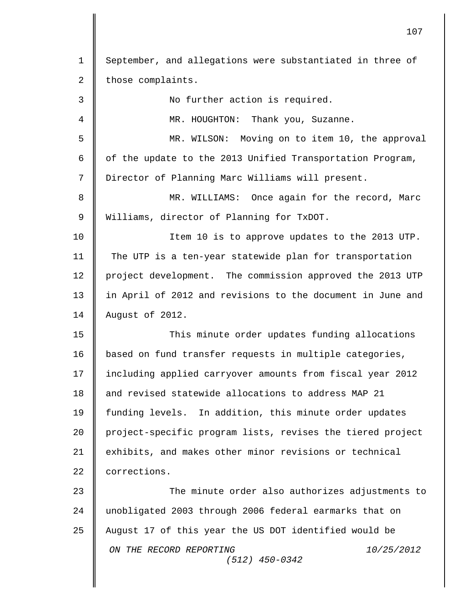| 1              | September, and allegations were substantiated in three of  |
|----------------|------------------------------------------------------------|
| $\overline{2}$ | those complaints.                                          |
| 3              | No further action is required.                             |
| 4              | MR. HOUGHTON: Thank you, Suzanne.                          |
| 5              | MR. WILSON: Moving on to item 10, the approval             |
| 6              | of the update to the 2013 Unified Transportation Program,  |
| 7              | Director of Planning Marc Williams will present.           |
| 8              | MR. WILLIAMS: Once again for the record, Marc              |
| 9              | Williams, director of Planning for TxDOT.                  |
| 10             | Item 10 is to approve updates to the 2013 UTP.             |
| 11             | The UTP is a ten-year statewide plan for transportation    |
| 12             | project development. The commission approved the 2013 UTP  |
| 13             | in April of 2012 and revisions to the document in June and |
| 14             | August of 2012.                                            |
| 15             | This minute order updates funding allocations              |
| 16             | based on fund transfer requests in multiple categories,    |
| 17             | including applied carryover amounts from fiscal year 2012  |
| 18             | and revised statewide allocations to address MAP 21        |
| 19             | funding levels. In addition, this minute order updates     |
| 20             | project-specific program lists, revises the tiered project |
| 21             | exhibits, and makes other minor revisions or technical     |
| 22             | corrections.                                               |
| 23             | The minute order also authorizes adjustments to            |
| 24             | unobligated 2003 through 2006 federal earmarks that on     |
| 25             | August 17 of this year the US DOT identified would be      |
|                | ON THE RECORD REPORTING<br>10/25/2012<br>$(512)$ 450-0342  |
|                |                                                            |

 $\overline{\mathsf{I}}$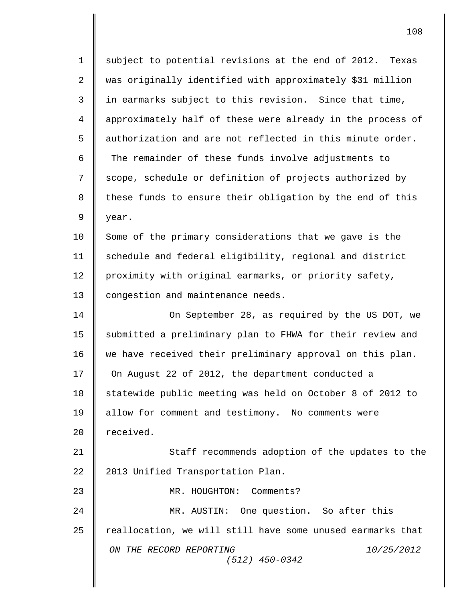*ON THE RECORD REPORTING 10/25/2012 (512) 450-0342* 1 || subject to potential revisions at the end of 2012. Texas 2 was originally identified with approximately \$31 million  $3$   $\parallel$  in earmarks subject to this revision. Since that time, 4 approximately half of these were already in the process of 5  $\parallel$  authorization and are not reflected in this minute order. 6 The remainder of these funds involve adjustments to 7 Scope, schedule or definition of projects authorized by  $8$   $\parallel$  these funds to ensure their obligation by the end of this  $9 \parallel$  year. 10 Some of the primary considerations that we gave is the 11 | schedule and federal eligibility, regional and district 12 proximity with original earmarks, or priority safety, 13 | congestion and maintenance needs. 14 On September 28, as required by the US DOT, we 15 | submitted a preliminary plan to FHWA for their review and 16 we have received their preliminary approval on this plan. 17 **O**n August 22 of 2012, the department conducted a 18 Statewide public meeting was held on October 8 of 2012 to 19 | allow for comment and testimony. No comments were 20 | received. 21 || Staff recommends adoption of the updates to the 22 | 2013 Unified Transportation Plan. 23 || MR. HOUGHTON: Comments? 24 MR. AUSTIN: One question. So after this 25 reallocation, we will still have some unused earmarks that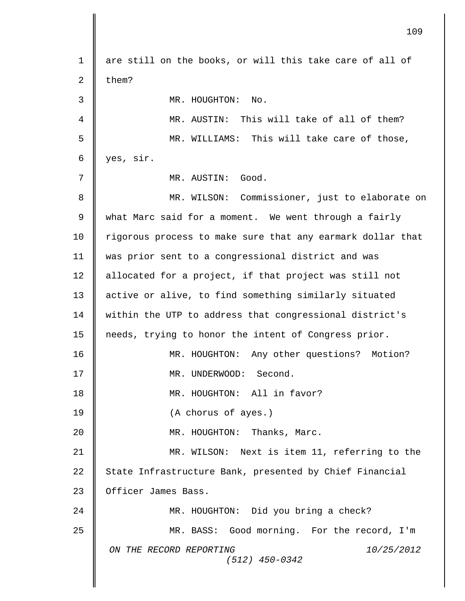*ON THE RECORD REPORTING 10/25/2012 (512) 450-0342* 1 || are still on the books, or will this take care of all of 2  $\blacksquare$  them? 3 MR. HOUGHTON: No. 4 MR. AUSTIN: This will take of all of them? 5 MR. WILLIAMS: This will take care of those,  $6 \parallel \text{yes}, \text{ sir.}$ 7 MR. AUSTIN: Good. 8 || MR. WILSON: Commissioner, just to elaborate on 9 | what Marc said for a moment. We went through a fairly 10 | rigorous process to make sure that any earmark dollar that 11 was prior sent to a congressional district and was 12 | allocated for a project, if that project was still not 13 active or alive, to find something similarly situated 14 | within the UTP to address that congressional district's 15 needs, trying to honor the intent of Congress prior. 16 MR. HOUGHTON: Any other questions? Motion? 17 MR. UNDERWOOD: Second. 18 || MR. HOUGHTON: All in favor? 19 **C** (A chorus of ayes.) 20 **||** MR. HOUGHTON: Thanks, Marc. 21 MR. WILSON: Next is item 11, referring to the 22 State Infrastructure Bank, presented by Chief Financial 23 | Officer James Bass. 24 MR. HOUGHTON: Did you bring a check? 25 MR. BASS: Good morning. For the record, I'm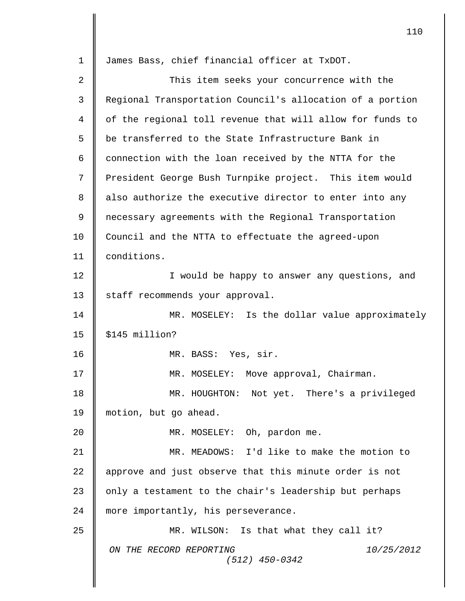| $\mathbf 1$ | James Bass, chief financial officer at TxDOT.             |
|-------------|-----------------------------------------------------------|
| 2           | This item seeks your concurrence with the                 |
| 3           | Regional Transportation Council's allocation of a portion |
| 4           | of the regional toll revenue that will allow for funds to |
| 5           | be transferred to the State Infrastructure Bank in        |
| 6           | connection with the loan received by the NTTA for the     |
| 7           | President George Bush Turnpike project. This item would   |
| 8           | also authorize the executive director to enter into any   |
| 9           | necessary agreements with the Regional Transportation     |
| 10          | Council and the NTTA to effectuate the agreed-upon        |
| 11          | conditions.                                               |
| 12          | I would be happy to answer any questions, and             |
| 13          | staff recommends your approval.                           |
| 14          | MR. MOSELEY: Is the dollar value approximately            |
| 15          | \$145 million?                                            |
| 16          | MR. BASS: Yes, sir.                                       |
| 17          | MR. MOSELEY: Move approval, Chairman.                     |
| 18          | MR. HOUGHTON: Not yet. There's a privileged               |
| 19          | motion, but go ahead.                                     |
| 20          | MR. MOSELEY: Oh, pardon me.                               |
| 21          | MR. MEADOWS: I'd like to make the motion to               |
| 22          | approve and just observe that this minute order is not    |
| 23          | only a testament to the chair's leadership but perhaps    |
| 24          | more importantly, his perseverance.                       |
| 25          | MR. WILSON: Is that what they call it?                    |
|             | ON THE RECORD REPORTING<br>10/25/2012<br>$(512)$ 450-0342 |
|             |                                                           |

 $\overline{\mathbf{I}}$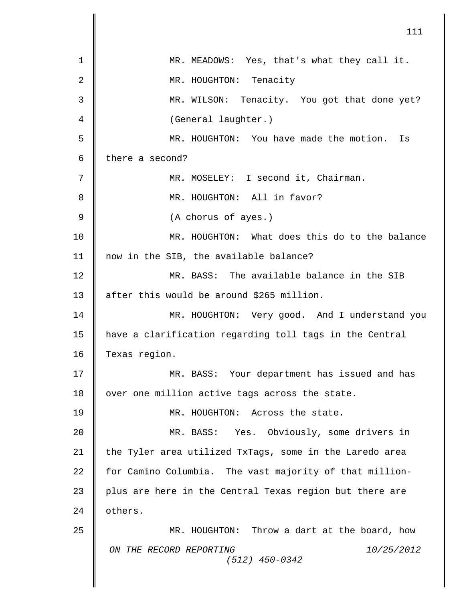|                | 111                                                       |
|----------------|-----------------------------------------------------------|
| 1              | MR. MEADOWS: Yes, that's what they call it.               |
| $\overline{2}$ | MR. HOUGHTON: Tenacity                                    |
| 3              | MR. WILSON: Tenacity. You got that done yet?              |
| 4              | (General laughter.)                                       |
| 5              | MR. HOUGHTON: You have made the motion.<br>Is             |
| 6              | there a second?                                           |
| 7              | MR. MOSELEY: I second it, Chairman.                       |
| 8              | MR. HOUGHTON: All in favor?                               |
| 9              | (A chorus of ayes.)                                       |
| 10             | MR. HOUGHTON: What does this do to the balance            |
| 11             | now in the SIB, the available balance?                    |
| 12             | MR. BASS: The available balance in the SIB                |
| 13             | after this would be around \$265 million.                 |
| 14             | MR. HOUGHTON: Very good. And I understand you             |
| 15             | have a clarification regarding toll tags in the Central   |
| 16             | Texas region.                                             |
| 17             | MR. BASS: Your department has issued and has              |
| 18             | over one million active tags across the state.            |
| 19             | MR. HOUGHTON: Across the state.                           |
| 20             | MR. BASS: Yes. Obviously, some drivers in                 |
| 21             | the Tyler area utilized TxTags, some in the Laredo area   |
| 22             | for Camino Columbia. The vast majority of that million-   |
| 23             | plus are here in the Central Texas region but there are   |
| 24             | others.                                                   |
| 25             | MR. HOUGHTON: Throw a dart at the board, how              |
|                | ON THE RECORD REPORTING<br>10/25/2012<br>$(512)$ 450-0342 |
|                |                                                           |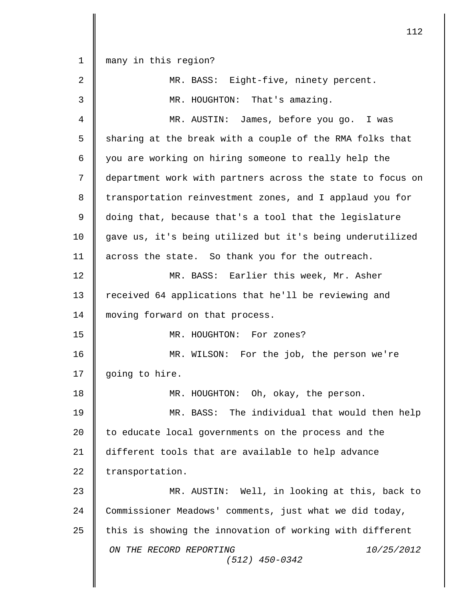*ON THE RECORD REPORTING 10/25/2012 (512) 450-0342* many in this region? MR. BASS: Eight-five, ninety percent. MR. HOUGHTON: That's amazing. MR. AUSTIN: James, before you go. I was  $5 \parallel$  sharing at the break with a couple of the RMA folks that 6 || you are working on hiring someone to really help the department work with partners across the state to focus on 8 transportation reinvestment zones, and I applaud you for doing that, because that's a tool that the legislature gave us, it's being utilized but it's being underutilized 11 | across the state. So thank you for the outreach. MR. BASS: Earlier this week, Mr. Asher 13 | received 64 applications that he'll be reviewing and 14 | moving forward on that process. MR. HOUGHTON: For zones? MR. WILSON: For the job, the person we're 17 | going to hire. MR. HOUGHTON: Oh, okay, the person. MR. BASS: The individual that would then help 20 | to educate local governments on the process and the different tools that are available to help advance  $\parallel$  transportation. MR. AUSTIN: Well, in looking at this, back to Commissioner Meadows' comments, just what we did today,  $\parallel$  this is showing the innovation of working with different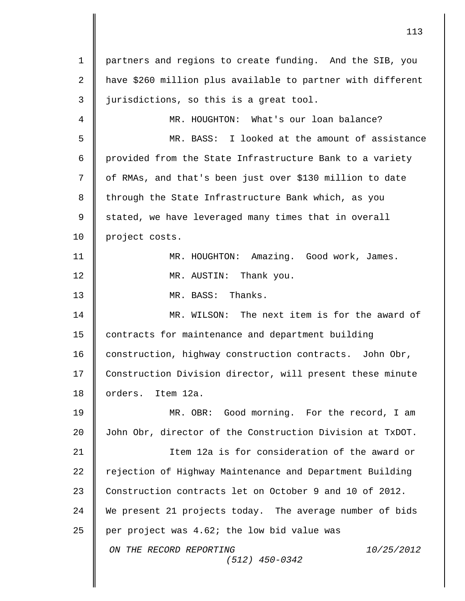*ON THE RECORD REPORTING 10/25/2012 (512) 450-0342* 1 partners and regions to create funding. And the SIB, you 2 have \$260 million plus available to partner with different  $3 \parallel$  jurisdictions, so this is a great tool. 4 MR. HOUGHTON: What's our loan balance? 5 MR. BASS: I looked at the amount of assistance 6  $\parallel$  provided from the State Infrastructure Bank to a variety 7 || of RMAs, and that's been just over \$130 million to date  $8$  || through the State Infrastructure Bank which, as you 9 || stated, we have leveraged many times that in overall 10 project costs. 11 MR. HOUGHTON: Amazing. Good work, James. 12 **||** MR. AUSTIN: Thank you. 13 MR. BASS: Thanks. 14 MR. WILSON: The next item is for the award of 15 | contracts for maintenance and department building 16 construction, highway construction contracts. John Obr, 17 Construction Division director, will present these minute 18 orders. Item 12a. 19 || MR. OBR: Good morning. For the record, I am 20 John Obr, director of the Construction Division at TxDOT. 21 Item 12a is for consideration of the award or 22 | rejection of Highway Maintenance and Department Building 23 Construction contracts let on October 9 and 10 of 2012. 24 We present 21 projects today. The average number of bids 25  $\parallel$  per project was 4.62; the low bid value was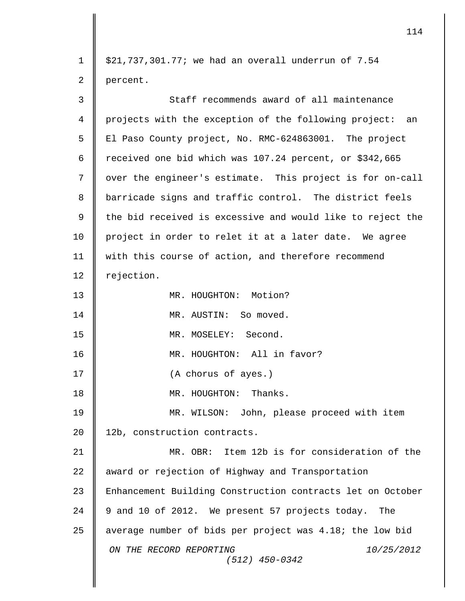| $\mathbf 1$    | $$21,737,301.77$ ; we had an overall underrun of $7.54$    |
|----------------|------------------------------------------------------------|
| $\overline{2}$ | percent.                                                   |
| 3              | Staff recommends award of all maintenance                  |
| $\overline{4}$ | projects with the exception of the following project: an   |
| 5              | El Paso County project, No. RMC-624863001. The project     |
| 6              | received one bid which was 107.24 percent, or \$342,665    |
| 7              | over the engineer's estimate. This project is for on-call  |
| 8              | barricade signs and traffic control. The district feels    |
| 9              | the bid received is excessive and would like to reject the |
| 10             | project in order to relet it at a later date. We agree     |
| 11             | with this course of action, and therefore recommend        |
| 12             | rejection.                                                 |
| 13             | MR. HOUGHTON: Motion?                                      |
| 14             | MR. AUSTIN: So moved.                                      |
| 15             | MR. MOSELEY: Second.                                       |
| 16             | MR. HOUGHTON: All in favor?                                |
| 17             | (A chorus of ayes.)                                        |
| 18             | MR. HOUGHTON: Thanks.                                      |
| 19             | MR. WILSON: John, please proceed with item                 |
| 20             | 12b, construction contracts.                               |
| 21             | MR. OBR: Item 12b is for consideration of the              |
| 22             | award or rejection of Highway and Transportation           |
| 23             | Enhancement Building Construction contracts let on October |
| 24             | 9 and 10 of 2012. We present 57 projects today. The        |
| 25             | average number of bids per project was 4.18; the low bid   |
|                | ON THE RECORD REPORTING<br>10/25/2012<br>$(512)$ 450-0342  |
|                |                                                            |

 $\overline{\mathsf{I}}$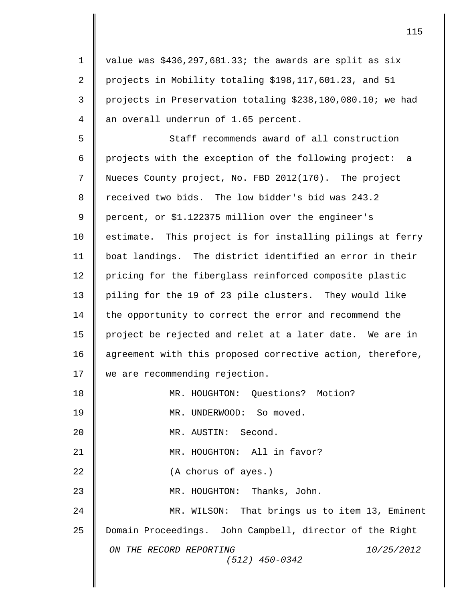1 | value was  $$436,297,681.33$ ; the awards are split as six 2 projects in Mobility totaling \$198,117,601.23, and 51 3 projects in Preservation totaling \$238,180,080.10; we had 4 || an overall underrun of 1.65 percent.

5  $\parallel$  Staff recommends award of all construction 6 projects with the exception of the following project: a 7 Nueces County project, No. FBD 2012(170). The project 8 Teceived two bids. The low bidder's bid was 243.2 9 || percent, or \$1.122375 million over the engineer's 10 | estimate. This project is for installing pilings at ferry 11 boat landings. The district identified an error in their 12 | pricing for the fiberglass reinforced composite plastic 13 | piling for the 19 of 23 pile clusters. They would like 14 | the opportunity to correct the error and recommend the 15 project be rejected and relet at a later date. We are in 16 | agreement with this proposed corrective action, therefore, 17 | we are recommending rejection.

*ON THE RECORD REPORTING 10/25/2012 (512) 450-0342* 18 MR. HOUGHTON: Questions? Motion? 19 || MR. UNDERWOOD: So moved. 20 MR. AUSTIN: Second. 21 || MR. HOUGHTON: All in favor? 22 **(A** chorus of ayes.) 23 **||** MR. HOUGHTON: Thanks, John. 24 | MR. WILSON: That brings us to item 13, Eminent 25 Domain Proceedings. John Campbell, director of the Right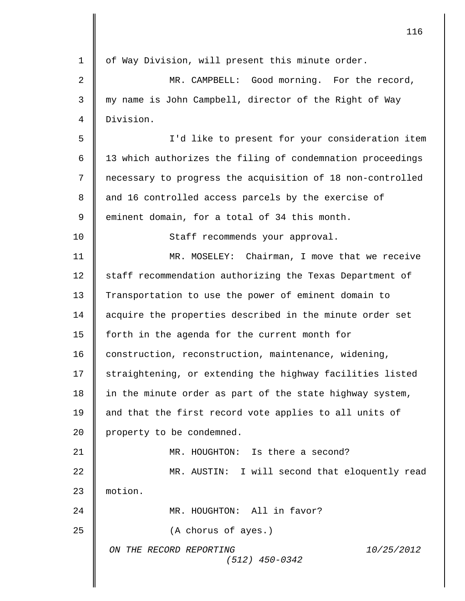|    | 116                                                              |
|----|------------------------------------------------------------------|
| 1  | of Way Division, will present this minute order.                 |
| 2  | MR. CAMPBELL: Good morning. For the record,                      |
| 3  | my name is John Campbell, director of the Right of Way           |
| 4  | Division.                                                        |
| 5  | I'd like to present for your consideration item                  |
| 6  | 13 which authorizes the filing of condemnation proceedings       |
| 7  | necessary to progress the acquisition of 18 non-controlled       |
| 8  | and 16 controlled access parcels by the exercise of              |
| 9  | eminent domain, for a total of 34 this month.                    |
| 10 | Staff recommends your approval.                                  |
| 11 | MR. MOSELEY: Chairman, I move that we receive                    |
| 12 | staff recommendation authorizing the Texas Department of         |
| 13 | Transportation to use the power of eminent domain to             |
| 14 | acquire the properties described in the minute order set         |
| 15 | forth in the agenda for the current month for                    |
| 16 | construction, reconstruction, maintenance, widening,             |
| 17 | straightening, or extending the highway facilities listed        |
| 18 | in the minute order as part of the state highway system,         |
| 19 | and that the first record vote applies to all units of           |
| 20 | property to be condemned.                                        |
| 21 | MR. HOUGHTON: Is there a second?                                 |
| 22 | MR. AUSTIN: I will second that eloquently read                   |
| 23 | motion.                                                          |
| 24 | MR. HOUGHTON: All in favor?                                      |
| 25 | (A chorus of ayes.)                                              |
|    | ON THE RECORD REPORTING<br><i>10/25/2012</i><br>$(512)$ 450-0342 |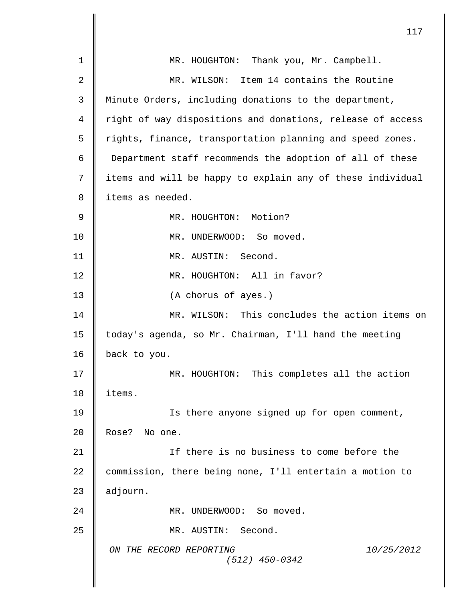| 1              | MR. HOUGHTON: Thank you, Mr. Campbell.                     |
|----------------|------------------------------------------------------------|
| $\overline{2}$ | MR. WILSON: Item 14 contains the Routine                   |
| 3              | Minute Orders, including donations to the department,      |
| 4              | right of way dispositions and donations, release of access |
| 5              | rights, finance, transportation planning and speed zones.  |
| 6              | Department staff recommends the adoption of all of these   |
| 7              | items and will be happy to explain any of these individual |
| 8              | items as needed.                                           |
| $\mathsf 9$    | MR. HOUGHTON: Motion?                                      |
| 10             | MR. UNDERWOOD: So moved.                                   |
| 11             | MR. AUSTIN: Second.                                        |
| 12             | MR. HOUGHTON: All in favor?                                |
| 13             | (A chorus of ayes.)                                        |
| 14             | MR. WILSON: This concludes the action items on             |
| 15             | today's agenda, so Mr. Chairman, I'll hand the meeting     |
| 16             | back to you.                                               |
| 17             | MR. HOUGHTON: This completes all the action                |
| 18             | items.                                                     |
| 19             | Is there anyone signed up for open comment,                |
| 20             | Rose? No one.                                              |
| 21             | If there is no business to come before the                 |
| 22             | commission, there being none, I'll entertain a motion to   |
| 23             | adjourn.                                                   |
| 24             | MR. UNDERWOOD: So moved.                                   |
| 25             | MR. AUSTIN: Second.                                        |
|                | ON THE RECORD REPORTING<br>10/25/2012<br>$(512)$ 450-0342  |
|                |                                                            |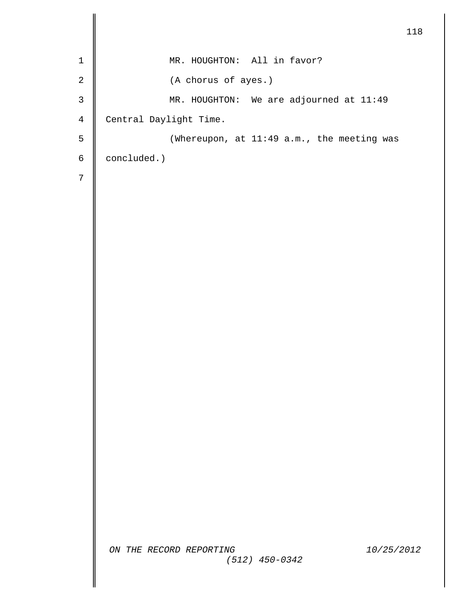```
ON THE RECORD REPORTING 10/25/2012
                   (512) 450-0342
                                             118
1 || MR. HOUGHTON: All in favor?
2 (A chorus of ayes.)
3 || MR. HOUGHTON: We are adjourned at 11:49
4 Central Daylight Time.
5 || (Whereupon, at 11:49 a.m., the meeting was
6 concluded.)
7
```